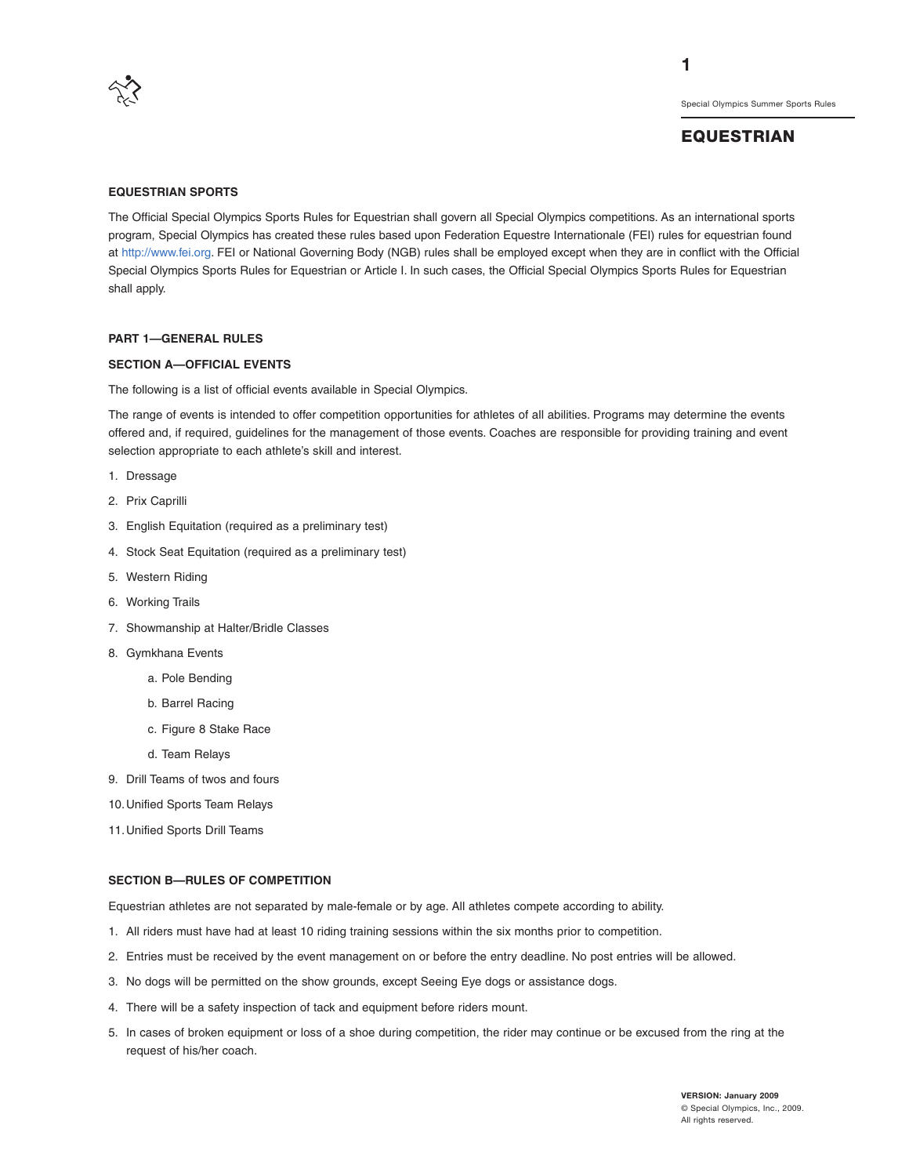

## **EQUESTRIAN**

**1**

#### **EQUESTRIAN SPORTS**

The Official Special Olympics Sports Rules for Equestrian shall govern all Special Olympics competitions. As an international sports program, Special Olympics has created these rules based upon Federation Equestre Internationale (FEI) rules for equestrian found at http://www.fei.org. FEI or National Governing Body (NGB) rules shall be employed except when they are in conflict with the Official Special Olympics Sports Rules for Equestrian or Article I. In such cases, the Official Special Olympics Sports Rules for Equestrian shall apply.

#### **PART 1—GENERAL RULES**

#### **SECTION A—OFFICIAL EVENTS**

The following is a list of official events available in Special Olympics.

The range of events is intended to offer competition opportunities for athletes of all abilities. Programs may determine the events offered and, if required, guidelines for the management of those events. Coaches are responsible for providing training and event selection appropriate to each athlete's skill and interest.

- 1. Dressage
- 2. Prix Caprilli
- 3. English Equitation (required as a preliminary test)
- 4. Stock Seat Equitation (required as a preliminary test)
- 5. Western Riding
- 6. Working Trails
- 7. Showmanship at Halter/Bridle Classes
- 8. Gymkhana Events
	- a. Pole Bending
	- b. Barrel Racing
	- c. Figure 8 Stake Race
	- d. Team Relays
- 9. Drill Teams of twos and fours
- 10.Unified Sports Team Relays
- 11.Unified Sports Drill Teams

#### **SECTION B—RULES OF COMPETITION**

Equestrian athletes are not separated by male-female or by age. All athletes compete according to ability.

- 1. All riders must have had at least 10 riding training sessions within the six months prior to competition.
- 2. Entries must be received by the event management on or before the entry deadline. No post entries will be allowed.
- 3. No dogs will be permitted on the show grounds, except Seeing Eye dogs or assistance dogs.
- 4. There will be a safety inspection of tack and equipment before riders mount.
- 5. In cases of broken equipment or loss of a shoe during competition, the rider may continue or be excused from the ring at the request of his/her coach.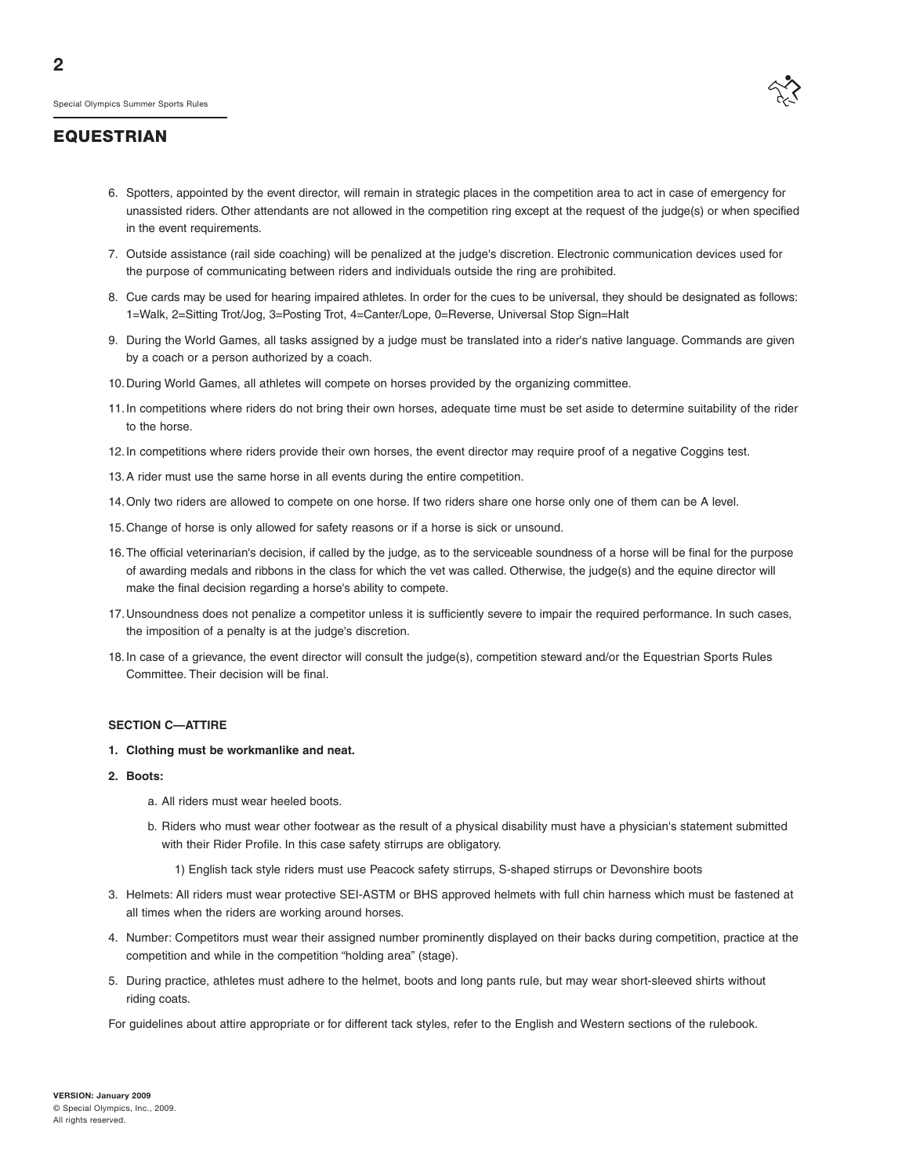**2**

Special Olympics Summer Sports Rules

#### **EQUESTRIAN**

- 6. Spotters, appointed by the event director, will remain in strategic places in the competition area to act in case of emergency for unassisted riders. Other attendants are not allowed in the competition ring except at the request of the judge(s) or when specified in the event requirements.
- 7. Outside assistance (rail side coaching) will be penalized at the judge's discretion. Electronic communication devices used for the purpose of communicating between riders and individuals outside the ring are prohibited.
- 8. Cue cards may be used for hearing impaired athletes. In order for the cues to be universal, they should be designated as follows: 1=Walk, 2=Sitting Trot/Jog, 3=Posting Trot, 4=Canter/Lope, 0=Reverse, Universal Stop Sign=Halt
- 9. During the World Games, all tasks assigned by a judge must be translated into a rider's native language. Commands are given by a coach or a person authorized by a coach.
- 10.During World Games, all athletes will compete on horses provided by the organizing committee.
- 11.In competitions where riders do not bring their own horses, adequate time must be set aside to determine suitability of the rider to the horse.
- 12.In competitions where riders provide their own horses, the event director may require proof of a negative Coggins test.
- 13.A rider must use the same horse in all events during the entire competition.
- 14.Only two riders are allowed to compete on one horse. If two riders share one horse only one of them can be A level.
- 15.Change of horse is only allowed for safety reasons or if a horse is sick or unsound.
- 16.The official veterinarian's decision, if called by the judge, as to the serviceable soundness of a horse will be final for the purpose of awarding medals and ribbons in the class for which the vet was called. Otherwise, the judge(s) and the equine director will make the final decision regarding a horse's ability to compete.
- 17.Unsoundness does not penalize a competitor unless it is sufficiently severe to impair the required performance. In such cases, the imposition of a penalty is at the judge's discretion.
- 18.In case of a grievance, the event director will consult the judge(s), competition steward and/or the Equestrian Sports Rules Committee. Their decision will be final.

#### **SECTION C—ATTIRE**

- **1. Clothing must be workmanlike and neat.**
- **2. Boots:**
	- a. All riders must wear heeled boots.
	- b. Riders who must wear other footwear as the result of a physical disability must have a physician's statement submitted with their Rider Profile. In this case safety stirrups are obligatory.
		- 1) English tack style riders must use Peacock safety stirrups, S-shaped stirrups or Devonshire boots
- 3. Helmets: All riders must wear protective SEI-ASTM or BHS approved helmets with full chin harness which must be fastened at all times when the riders are working around horses.
- 4. Number: Competitors must wear their assigned number prominently displayed on their backs during competition, practice at the competition and while in the competition "holding area" (stage).
- 5. During practice, athletes must adhere to the helmet, boots and long pants rule, but may wear short-sleeved shirts without riding coats.

For guidelines about attire appropriate or for different tack styles, refer to the English and Western sections of the rulebook.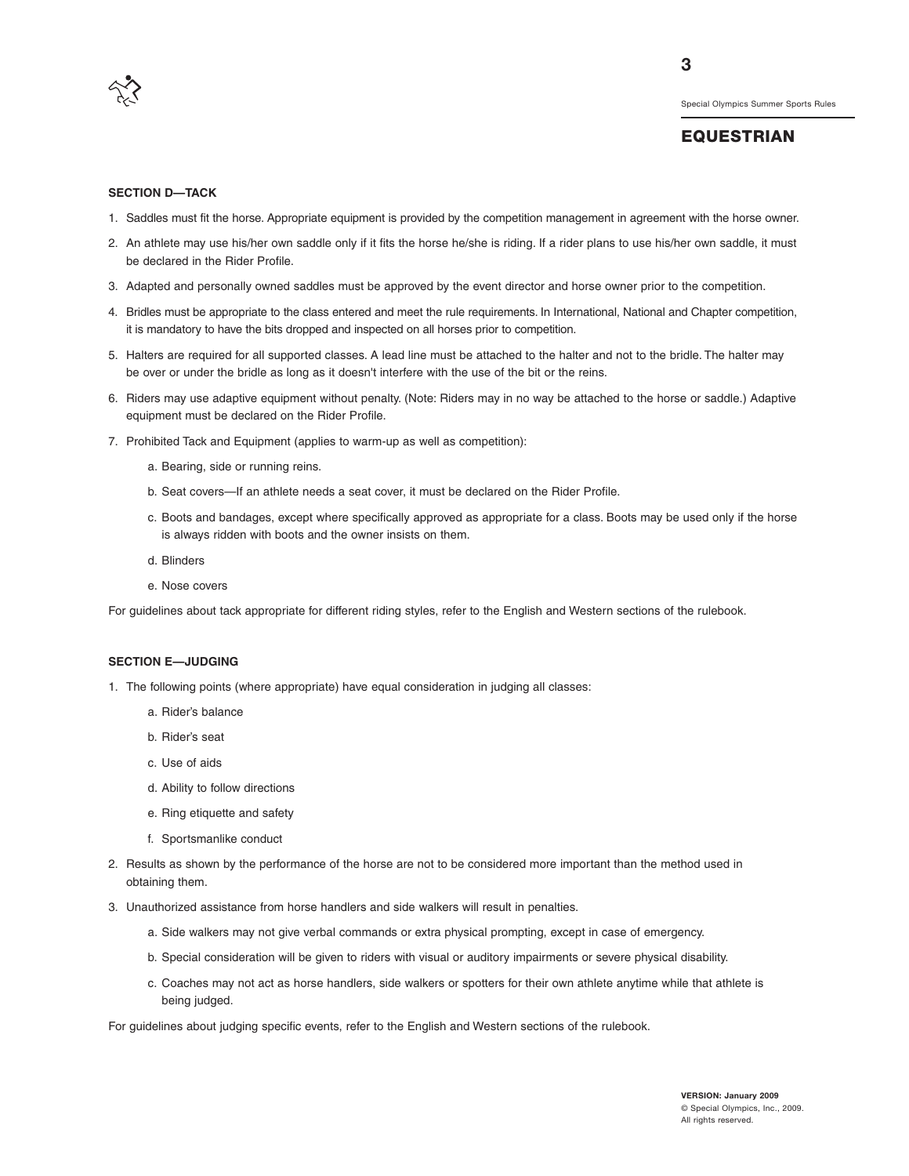

**3**

#### **SECTION D—TACK**

- 1. Saddles must fit the horse. Appropriate equipment is provided by the competition management in agreement with the horse owner.
- 2. An athlete may use his/her own saddle only if it fits the horse he/she is riding. If a rider plans to use his/her own saddle, it must be declared in the Rider Profile.
- 3. Adapted and personally owned saddles must be approved by the event director and horse owner prior to the competition.
- 4. Bridles must be appropriate to the class entered and meet the rule requirements. In International, National and Chapter competition, it is mandatory to have the bits dropped and inspected on all horses prior to competition.
- 5. Halters are required for all supported classes. A lead line must be attached to the halter and not to the bridle. The halter may be over or under the bridle as long as it doesn't interfere with the use of the bit or the reins.
- 6. Riders may use adaptive equipment without penalty. (Note: Riders may in no way be attached to the horse or saddle.) Adaptive equipment must be declared on the Rider Profile.
- 7. Prohibited Tack and Equipment (applies to warm-up as well as competition):
	- a. Bearing, side or running reins.
	- b. Seat covers—If an athlete needs a seat cover, it must be declared on the Rider Profile.
	- c. Boots and bandages, except where specifically approved as appropriate for a class. Boots may be used only if the horse is always ridden with boots and the owner insists on them.
	- d. Blinders
	- e. Nose covers

For guidelines about tack appropriate for different riding styles, refer to the English and Western sections of the rulebook.

#### **SECTION E—JUDGING**

- 1. The following points (where appropriate) have equal consideration in judging all classes:
	- a. Rider's balance
	- b. Rider's seat
	- c. Use of aids
	- d. Ability to follow directions
	- e. Ring etiquette and safety
	- f. Sportsmanlike conduct
- 2. Results as shown by the performance of the horse are not to be considered more important than the method used in obtaining them.
- 3. Unauthorized assistance from horse handlers and side walkers will result in penalties.
	- a. Side walkers may not give verbal commands or extra physical prompting, except in case of emergency.
	- b. Special consideration will be given to riders with visual or auditory impairments or severe physical disability.
	- c. Coaches may not act as horse handlers, side walkers or spotters for their own athlete anytime while that athlete is being judged.

For guidelines about judging specific events, refer to the English and Western sections of the rulebook.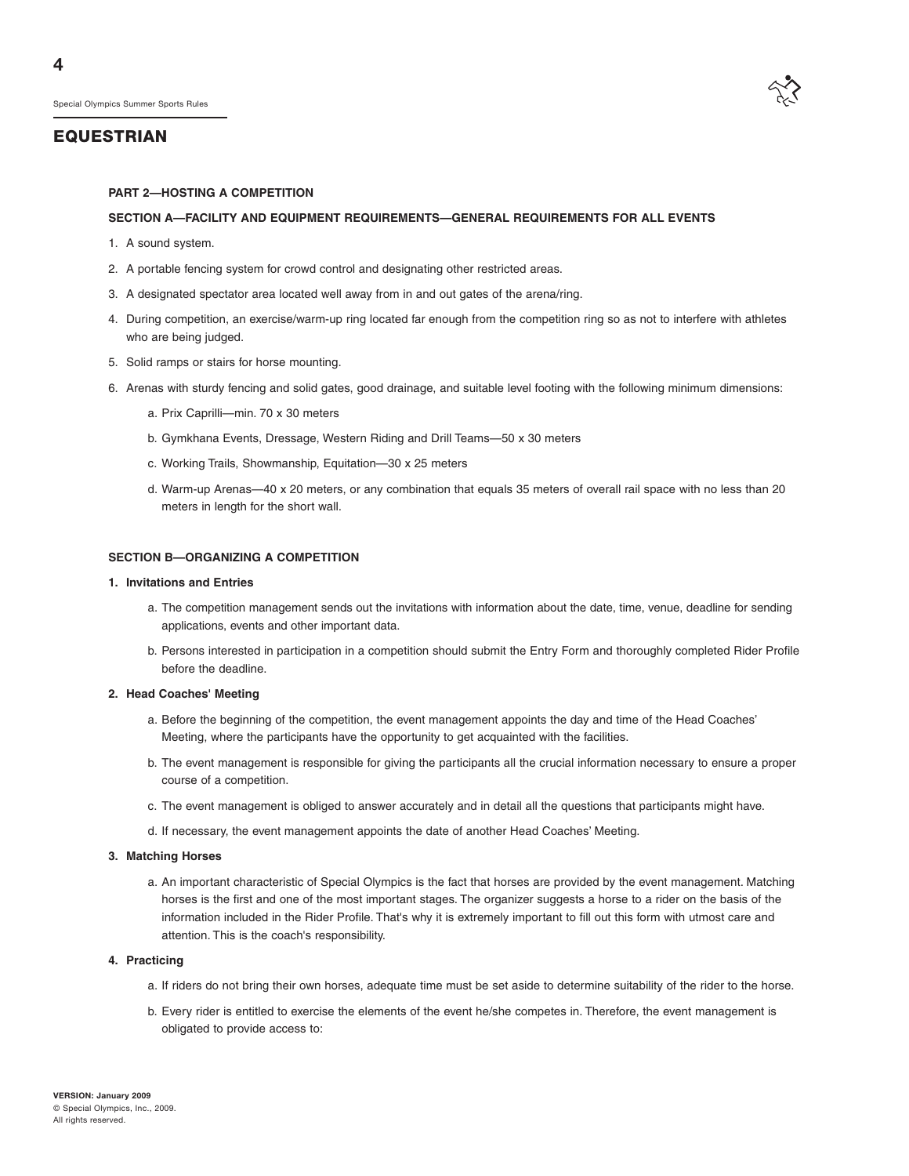

#### **PART 2—HOSTING A COMPETITION**

#### **SECTION A—FACILITY AND EQUIPMENT REQUIREMENTS—GENERAL REQUIREMENTS FOR ALL EVENTS**

- 1. A sound system.
- 2. A portable fencing system for crowd control and designating other restricted areas.
- 3. A designated spectator area located well away from in and out gates of the arena/ring.
- 4. During competition, an exercise/warm-up ring located far enough from the competition ring so as not to interfere with athletes who are being judged.
- 5. Solid ramps or stairs for horse mounting.
- 6. Arenas with sturdy fencing and solid gates, good drainage, and suitable level footing with the following minimum dimensions:
	- a. Prix Caprilli—min. 70 x 30 meters
	- b. Gymkhana Events, Dressage, Western Riding and Drill Teams—50 x 30 meters
	- c. Working Trails, Showmanship, Equitation—30 x 25 meters
	- d. Warm-up Arenas—40 x 20 meters, or any combination that equals 35 meters of overall rail space with no less than 20 meters in length for the short wall.

#### **SECTION B—ORGANIZING A COMPETITION**

#### **1. Invitations and Entries**

- a. The competition management sends out the invitations with information about the date, time, venue, deadline for sending applications, events and other important data.
- b. Persons interested in participation in a competition should submit the Entry Form and thoroughly completed Rider Profile before the deadline.

#### **2. Head Coaches' Meeting**

- a. Before the beginning of the competition, the event management appoints the day and time of the Head Coaches' Meeting, where the participants have the opportunity to get acquainted with the facilities.
- b. The event management is responsible for giving the participants all the crucial information necessary to ensure a proper course of a competition.
- c. The event management is obliged to answer accurately and in detail all the questions that participants might have.
- d. If necessary, the event management appoints the date of another Head Coaches' Meeting.

#### **3. Matching Horses**

a. An important characteristic of Special Olympics is the fact that horses are provided by the event management. Matching horses is the first and one of the most important stages. The organizer suggests a horse to a rider on the basis of the information included in the Rider Profile. That's why it is extremely important to fill out this form with utmost care and attention. This is the coach's responsibility.

#### **4. Practicing**

- a. If riders do not bring their own horses, adequate time must be set aside to determine suitability of the rider to the horse.
- b. Every rider is entitled to exercise the elements of the event he/she competes in. Therefore, the event management is obligated to provide access to: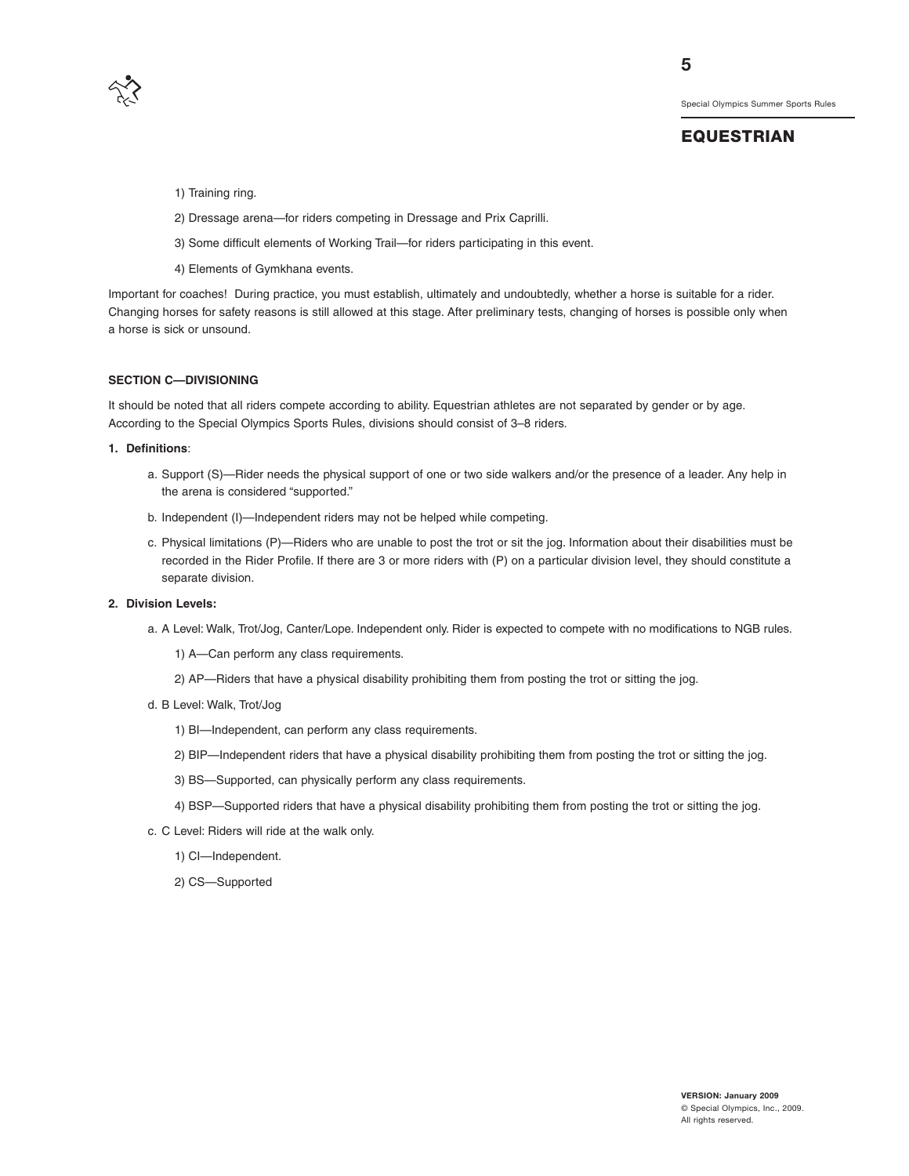

#### **EQUESTRIAN**

- 1) Training ring.
- 2) Dressage arena—for riders competing in Dressage and Prix Caprilli.
- 3) Some difficult elements of Working Trail—for riders participating in this event.
- 4) Elements of Gymkhana events.

Important for coaches! During practice, you must establish, ultimately and undoubtedly, whether a horse is suitable for a rider. Changing horses for safety reasons is still allowed at this stage. After preliminary tests, changing of horses is possible only when a horse is sick or unsound.

#### **SECTION C—DIVISIONING**

It should be noted that all riders compete according to ability. Equestrian athletes are not separated by gender or by age. According to the Special Olympics Sports Rules, divisions should consist of 3–8 riders.

#### **1. Definitions**:

- a. Support (S)—Rider needs the physical support of one or two side walkers and/or the presence of a leader. Any help in the arena is considered "supported."
- b. Independent (I)—Independent riders may not be helped while competing.
- c. Physical limitations (P)—Riders who are unable to post the trot or sit the jog. Information about their disabilities must be recorded in the Rider Profile. If there are 3 or more riders with (P) on a particular division level, they should constitute a separate division.

#### **2. Division Levels:**

- a. A Level: Walk, Trot/Jog, Canter/Lope. Independent only. Rider is expected to compete with no modifications to NGB rules.
	- 1) A—Can perform any class requirements.
	- 2) AP—Riders that have a physical disability prohibiting them from posting the trot or sitting the jog.
- d. B Level: Walk, Trot/Jog
	- 1) BI—Independent, can perform any class requirements.
	- 2) BIP—Independent riders that have a physical disability prohibiting them from posting the trot or sitting the jog.
	- 3) BS—Supported, can physically perform any class requirements.
	- 4) BSP—Supported riders that have a physical disability prohibiting them from posting the trot or sitting the jog.
- c. C Level: Riders will ride at the walk only.
	- 1) CI—Independent.
	- 2) CS—Supported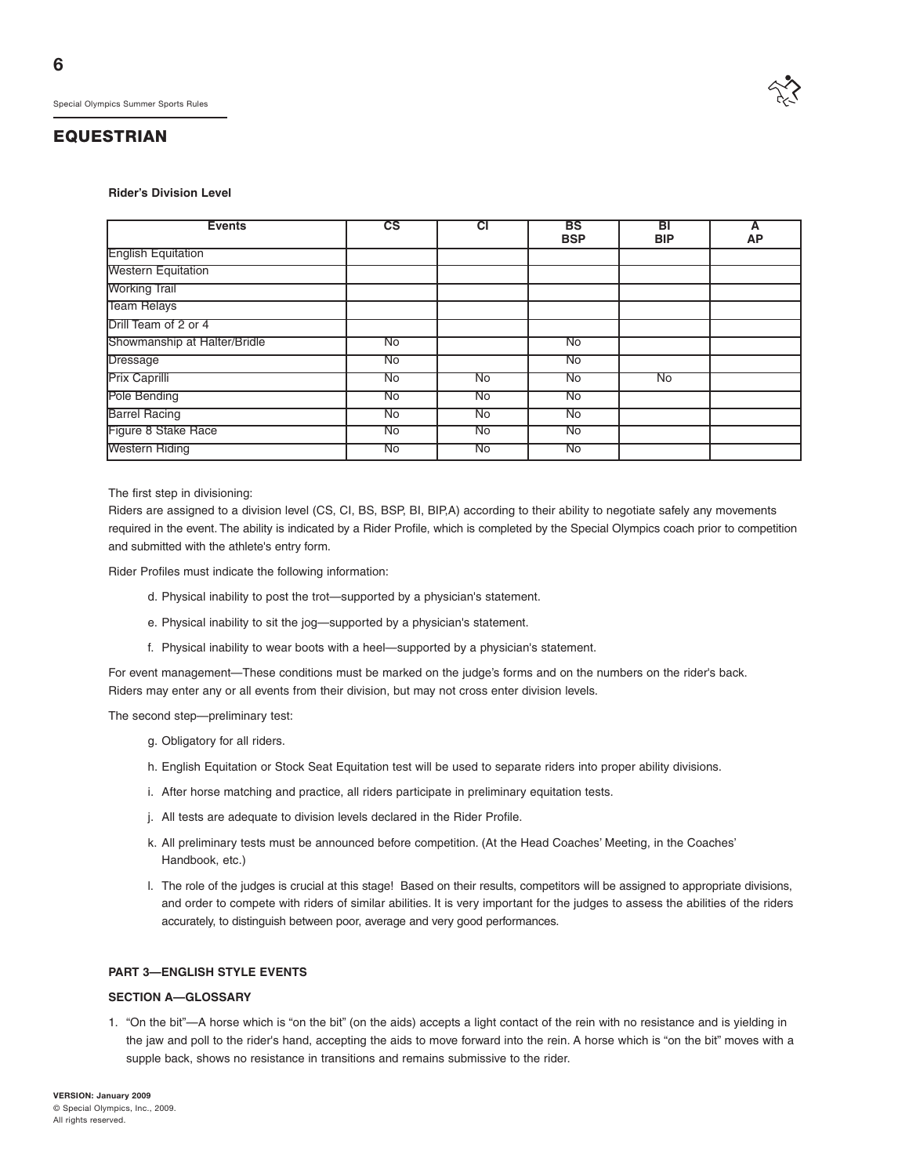#### **Rider's Division Level**

| <b>Events</b>                | $\overline{\text{cs}}$ | CI                 | BS<br><b>BSP</b>   | вı<br><b>BIP</b> | <b>AP</b> |
|------------------------------|------------------------|--------------------|--------------------|------------------|-----------|
| <b>English Equitation</b>    |                        |                    |                    |                  |           |
| <b>Western Equitation</b>    |                        |                    |                    |                  |           |
| <b>Working Trail</b>         |                        |                    |                    |                  |           |
| <b>Team Relays</b>           |                        |                    |                    |                  |           |
| Drill Team of 2 or 4         |                        |                    |                    |                  |           |
| Showmanship at Halter/Bridle | No                     |                    | $\overline{N_{0}}$ |                  |           |
| <b>Dressage</b>              | No                     |                    | $\overline{N_{0}}$ |                  |           |
| <b>Prix Caprilli</b>         | No                     | No                 | No                 | No               |           |
| Pole Bending                 | $\overline{N_{0}}$     | $\overline{N_{0}}$ | $\overline{N_{0}}$ |                  |           |
| <b>Barrel Racing</b>         | <b>No</b>              | <b>No</b>          | <b>No</b>          |                  |           |
| Figure 8 Stake Race          | $\overline{N_{0}}$     | No                 | $\overline{N_{0}}$ |                  |           |
| <b>Western Riding</b>        | No                     | No                 | No                 |                  |           |

The first step in divisioning:

Riders are assigned to a division level (CS, CI, BS, BSP, BI, BIP,A) according to their ability to negotiate safely any movements required in the event. The ability is indicated by a Rider Profile, which is completed by the Special Olympics coach prior to competition and submitted with the athlete's entry form.

Rider Profiles must indicate the following information:

- d. Physical inability to post the trot—supported by a physician's statement.
- e. Physical inability to sit the jog—supported by a physician's statement.
- f. Physical inability to wear boots with a heel—supported by a physician's statement.

For event management—These conditions must be marked on the judge's forms and on the numbers on the rider's back. Riders may enter any or all events from their division, but may not cross enter division levels.

The second step—preliminary test:

- g. Obligatory for all riders.
- h. English Equitation or Stock Seat Equitation test will be used to separate riders into proper ability divisions.
- i. After horse matching and practice, all riders participate in preliminary equitation tests.
- j. All tests are adequate to division levels declared in the Rider Profile.
- k. All preliminary tests must be announced before competition. (At the Head Coaches' Meeting, in the Coaches' Handbook, etc.)
- l. The role of the judges is crucial at this stage! Based on their results, competitors will be assigned to appropriate divisions, and order to compete with riders of similar abilities. It is very important for the judges to assess the abilities of the riders accurately, to distinguish between poor, average and very good performances.

#### **PART 3—ENGLISH STYLE EVENTS**

#### **SECTION A—GLOSSARY**

1. "On the bit"—A horse which is "on the bit" (on the aids) accepts a light contact of the rein with no resistance and is yielding in the jaw and poll to the rider's hand, accepting the aids to move forward into the rein. A horse which is "on the bit" moves with a supple back, shows no resistance in transitions and remains submissive to the rider.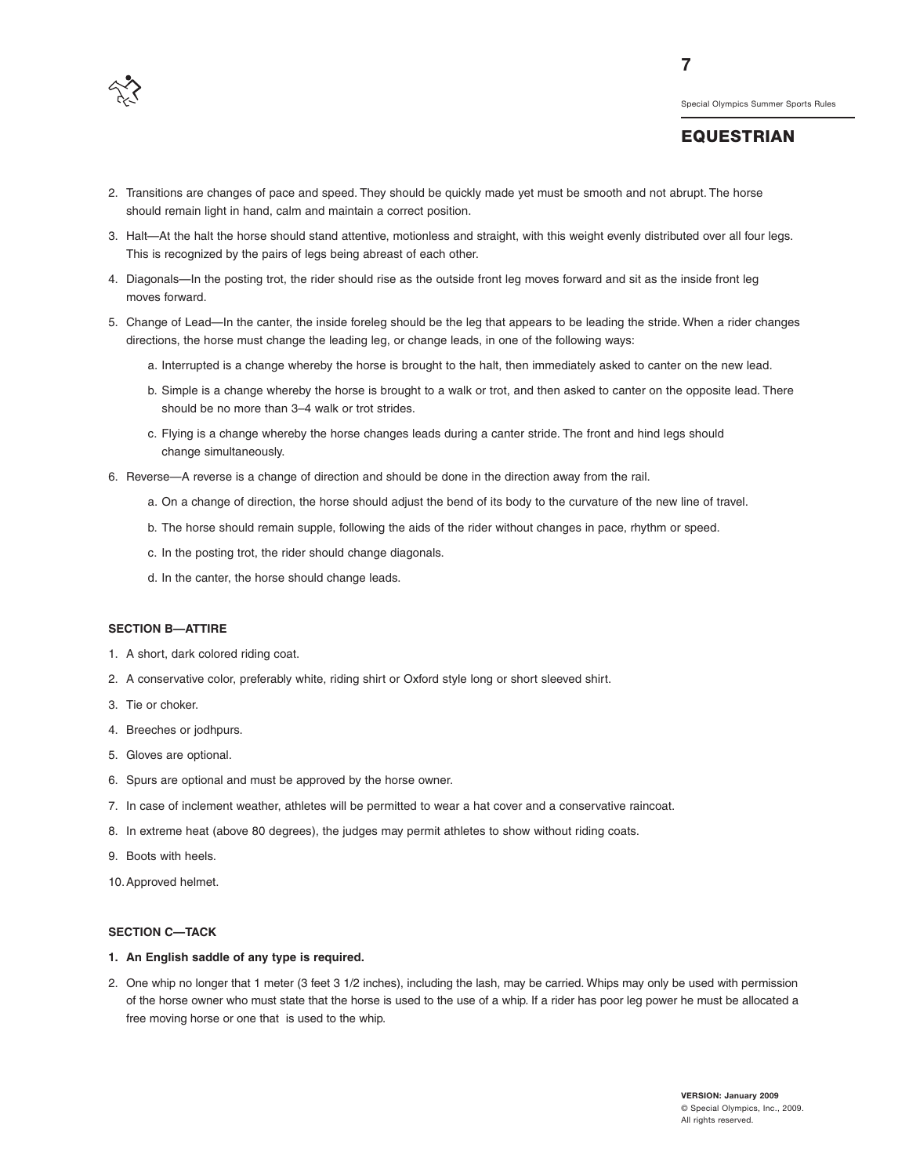

**7**

- 2. Transitions are changes of pace and speed. They should be quickly made yet must be smooth and not abrupt. The horse should remain light in hand, calm and maintain a correct position.
- 3. Halt—At the halt the horse should stand attentive, motionless and straight, with this weight evenly distributed over all four legs. This is recognized by the pairs of legs being abreast of each other.
- 4. Diagonals—In the posting trot, the rider should rise as the outside front leg moves forward and sit as the inside front leg moves forward.
- 5. Change of Lead—In the canter, the inside foreleg should be the leg that appears to be leading the stride. When a rider changes directions, the horse must change the leading leg, or change leads, in one of the following ways:
	- a. Interrupted is a change whereby the horse is brought to the halt, then immediately asked to canter on the new lead.
	- b. Simple is a change whereby the horse is brought to a walk or trot, and then asked to canter on the opposite lead. There should be no more than 3–4 walk or trot strides.
	- c. Flying is a change whereby the horse changes leads during a canter stride. The front and hind legs should change simultaneously.
- 6. Reverse—A reverse is a change of direction and should be done in the direction away from the rail.
	- a. On a change of direction, the horse should adjust the bend of its body to the curvature of the new line of travel.
	- b. The horse should remain supple, following the aids of the rider without changes in pace, rhythm or speed.
	- c. In the posting trot, the rider should change diagonals.
	- d. In the canter, the horse should change leads.

#### **SECTION B—ATTIRE**

- 1. A short, dark colored riding coat.
- 2. A conservative color, preferably white, riding shirt or Oxford style long or short sleeved shirt.
- 3. Tie or choker.
- 4. Breeches or jodhpurs.
- 5. Gloves are optional.
- 6. Spurs are optional and must be approved by the horse owner.
- 7. In case of inclement weather, athletes will be permitted to wear a hat cover and a conservative raincoat.
- 8. In extreme heat (above 80 degrees), the judges may permit athletes to show without riding coats.
- 9. Boots with heels.
- 10.Approved helmet.

#### **SECTION C—TACK**

#### **1. An English saddle of any type is required.**

2. One whip no longer that 1 meter (3 feet 3 1/2 inches), including the lash, may be carried. Whips may only be used with permission of the horse owner who must state that the horse is used to the use of a whip. If a rider has poor leg power he must be allocated a free moving horse or one that is used to the whip.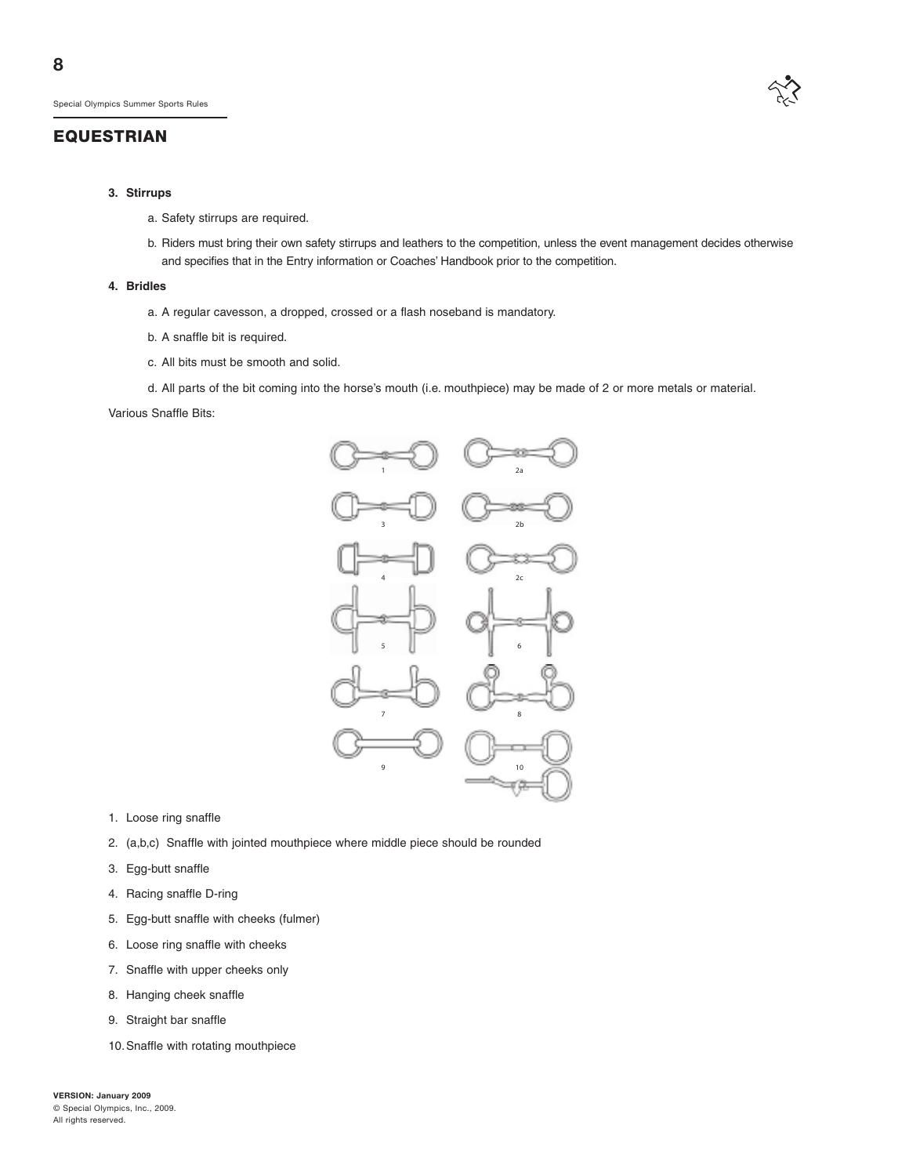

#### **3. Stirrups**

- a. Safety stirrups are required.
- b. Riders must bring their own safety stirrups and leathers to the competition, unless the event management decides otherwise and specifies that in the Entry information or Coaches' Handbook prior to the competition.

#### **4. Bridles**

- a. A regular cavesson, a dropped, crossed or a flash noseband is mandatory.
- b. A snaffle bit is required.
- c. All bits must be smooth and solid.
- d. All parts of the bit coming into the horse's mouth (i.e. mouthpiece) may be made of 2 or more metals or material.

#### Various Snaffle Bits:



- 1. Loose ring snaffle
- 2. (a,b,c) Snaffle with jointed mouthpiece where middle piece should be rounded
- 3. Egg-butt snaffle
- 4. Racing snaffle D-ring
- 5. Egg-butt snaffle with cheeks (fulmer)
- 6. Loose ring snaffle with cheeks
- 7. Snaffle with upper cheeks only
- 8. Hanging cheek snaffle
- 9. Straight bar snaffle
- 10.Snaffle with rotating mouthpiece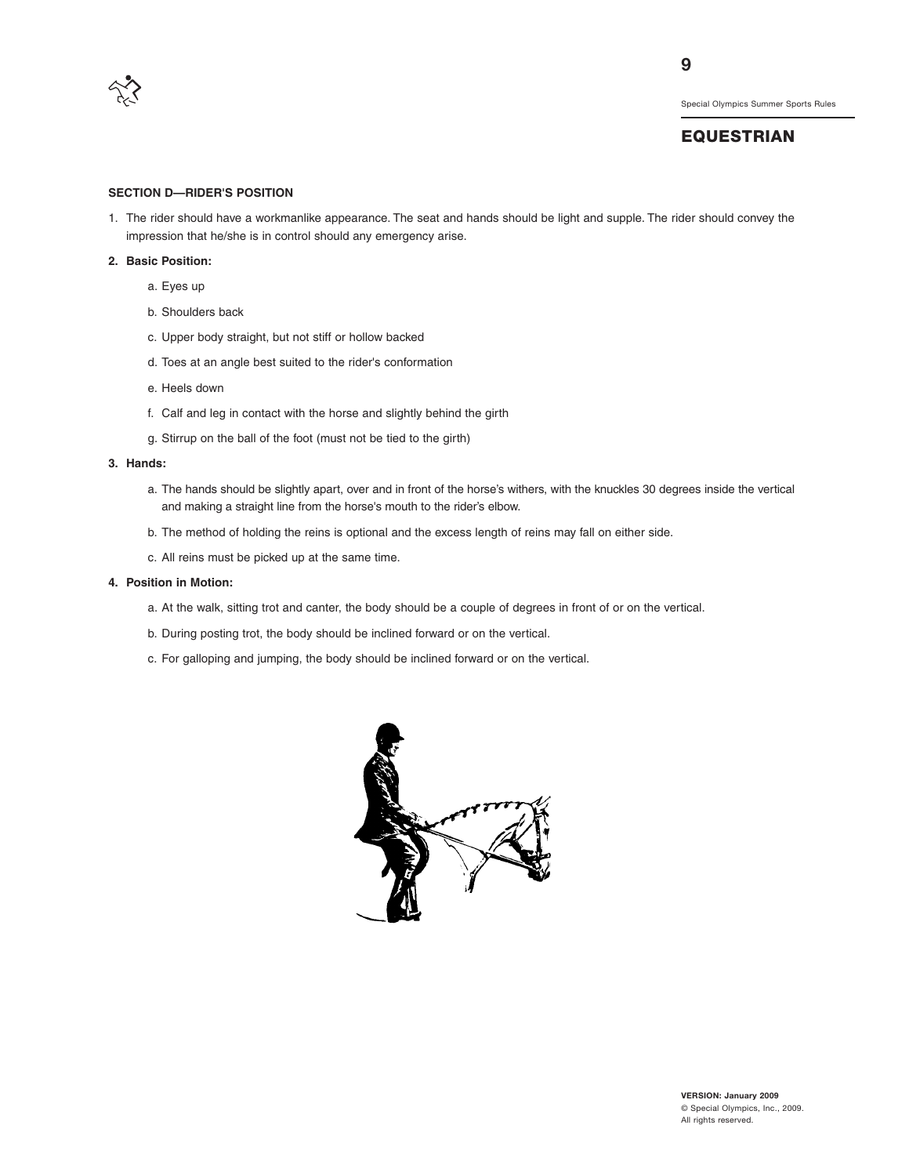

**9**

Special Olympics Summer Sports Rules

## **EQUESTRIAN**

#### **SECTION D—RIDER'S POSITION**

1. The rider should have a workmanlike appearance. The seat and hands should be light and supple. The rider should convey the impression that he/she is in control should any emergency arise.

#### **2. Basic Position:**

- a. Eyes up
- b. Shoulders back
- c. Upper body straight, but not stiff or hollow backed
- d. Toes at an angle best suited to the rider's conformation
- e. Heels down
- f. Calf and leg in contact with the horse and slightly behind the girth
- g. Stirrup on the ball of the foot (must not be tied to the girth)

#### **3. Hands:**

- a. The hands should be slightly apart, over and in front of the horse's withers, with the knuckles 30 degrees inside the vertical and making a straight line from the horse's mouth to the rider's elbow.
- b. The method of holding the reins is optional and the excess length of reins may fall on either side.
- c. All reins must be picked up at the same time.

#### **4. Position in Motion:**

- a. At the walk, sitting trot and canter, the body should be a couple of degrees in front of or on the vertical.
- b. During posting trot, the body should be inclined forward or on the vertical.
- c. For galloping and jumping, the body should be inclined forward or on the vertical.

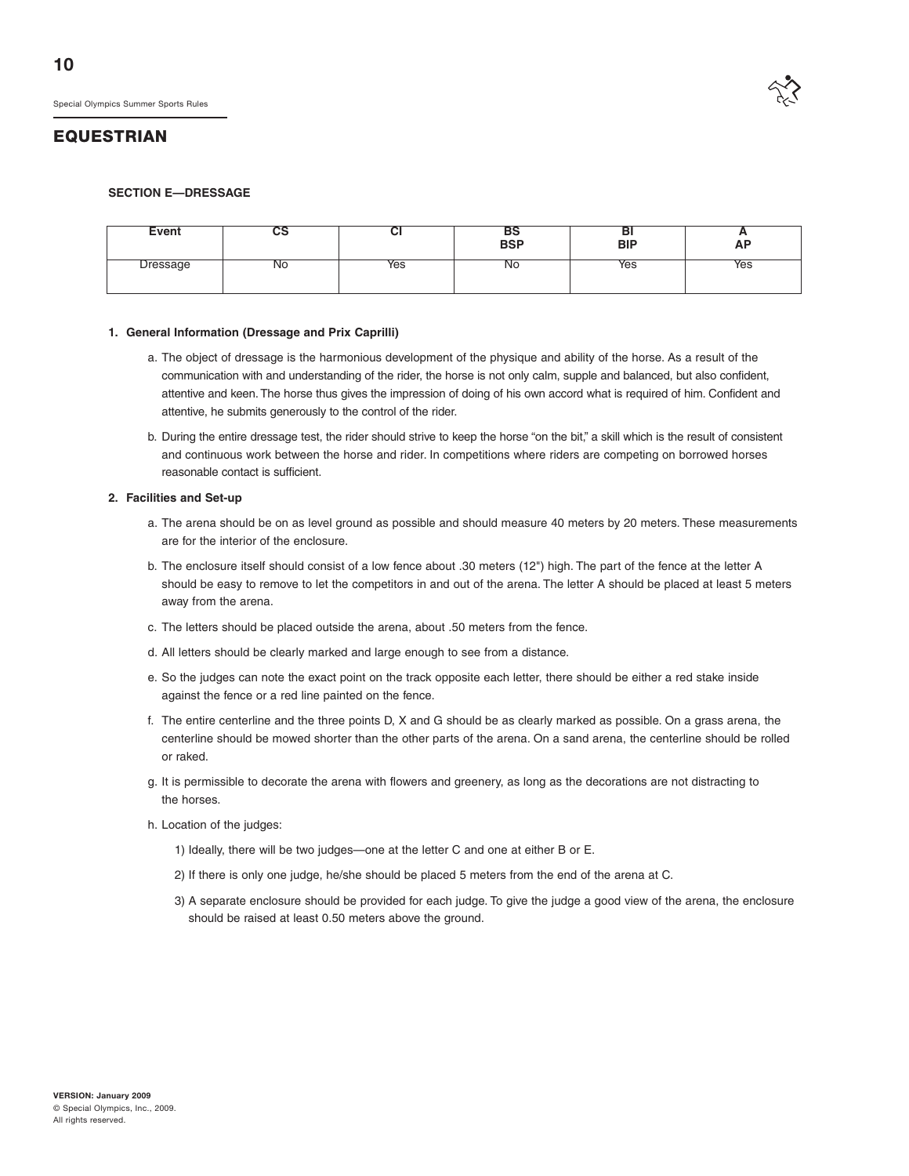

#### **SECTION E—DRESSAGE**

| Event                | uə | vı  | BS<br>BSP | DI<br><b>BIP</b> | -<br><b>AP</b> |
|----------------------|----|-----|-----------|------------------|----------------|
| )roccogo<br>n cəbuyi | N0 | Yes | <b>NO</b> | Yes              | Yes            |

#### **1. General Information (Dressage and Prix Caprilli)**

- a. The object of dressage is the harmonious development of the physique and ability of the horse. As a result of the communication with and understanding of the rider, the horse is not only calm, supple and balanced, but also confident, attentive and keen. The horse thus gives the impression of doing of his own accord what is required of him. Confident and attentive, he submits generously to the control of the rider.
- b. During the entire dressage test, the rider should strive to keep the horse "on the bit," a skill which is the result of consistent and continuous work between the horse and rider. In competitions where riders are competing on borrowed horses reasonable contact is sufficient.

#### **2. Facilities and Set-up**

- a. The arena should be on as level ground as possible and should measure 40 meters by 20 meters. These measurements are for the interior of the enclosure.
- b. The enclosure itself should consist of a low fence about .30 meters (12") high. The part of the fence at the letter A should be easy to remove to let the competitors in and out of the arena. The letter A should be placed at least 5 meters away from the arena.
- c. The letters should be placed outside the arena, about .50 meters from the fence.
- d. All letters should be clearly marked and large enough to see from a distance.
- e. So the judges can note the exact point on the track opposite each letter, there should be either a red stake inside against the fence or a red line painted on the fence.
- f. The entire centerline and the three points D, X and G should be as clearly marked as possible. On a grass arena, the centerline should be mowed shorter than the other parts of the arena. On a sand arena, the centerline should be rolled or raked.
- g. It is permissible to decorate the arena with flowers and greenery, as long as the decorations are not distracting to the horses.
- h. Location of the judges:
	- 1) Ideally, there will be two judges—one at the letter C and one at either B or E.
	- 2) If there is only one judge, he/she should be placed 5 meters from the end of the arena at C.
	- 3) A separate enclosure should be provided for each judge. To give the judge a good view of the arena, the enclosure should be raised at least 0.50 meters above the ground.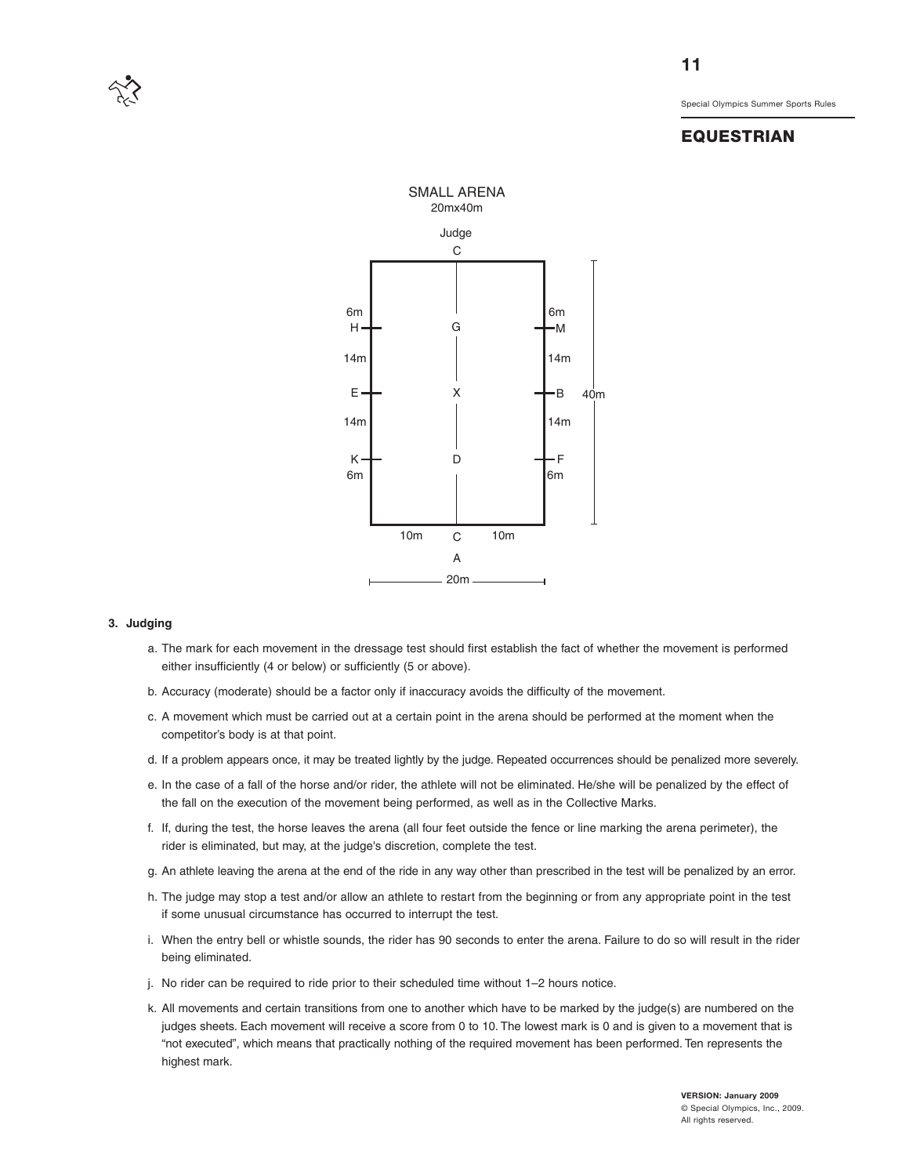



#### **3. Judging**

- a. The mark for each movement in the dressage test should first establish the fact of whether the movement is performed either insufficiently (4 or below) or sufficiently (5 or above).
- b. Accuracy (moderate) should be a factor only if inaccuracy avoids the difficulty of the movement.
- c. A movement which must be carried out at a certain point in the arena should be performed at the moment when the competitor's body is at that point.
- d. If a problem appears once, it may be treated lightly by the judge. Repeated occurrences should be penalized more severely.
- e. In the case of a fall of the horse and/or rider, the athlete will not be eliminated. He/she will be penalized by the effect of the fall on the execution of the movement being performed, as well as in the Collective Marks.
- f. If, during the test, the horse leaves the arena (all four feet outside the fence or line marking the arena perimeter), the rider is eliminated, but may, at the judge's discretion, complete the test.
- g. An athlete leaving the arena at the end of the ride in any way other than prescribed in the test will be penalized by an error.
- h. The judge may stop a test and/or allow an athlete to restart from the beginning or from any appropriate point in the test if some unusual circumstance has occurred to interrupt the test.
- i. When the entry bell or whistle sounds, the rider has 90 seconds to enter the arena. Failure to do so will result in the rider being eliminated.
- j. No rider can be required to ride prior to their scheduled time without 1–2 hours notice.
- k. All movements and certain transitions from one to another which have to be marked by the judge(s) are numbered on the judges sheets. Each movement will receive a score from 0 to 10. The lowest mark is 0 and is given to a movement that is "not executed", which means that practically nothing of the required movement has been performed. Ten represents the highest mark.

**11**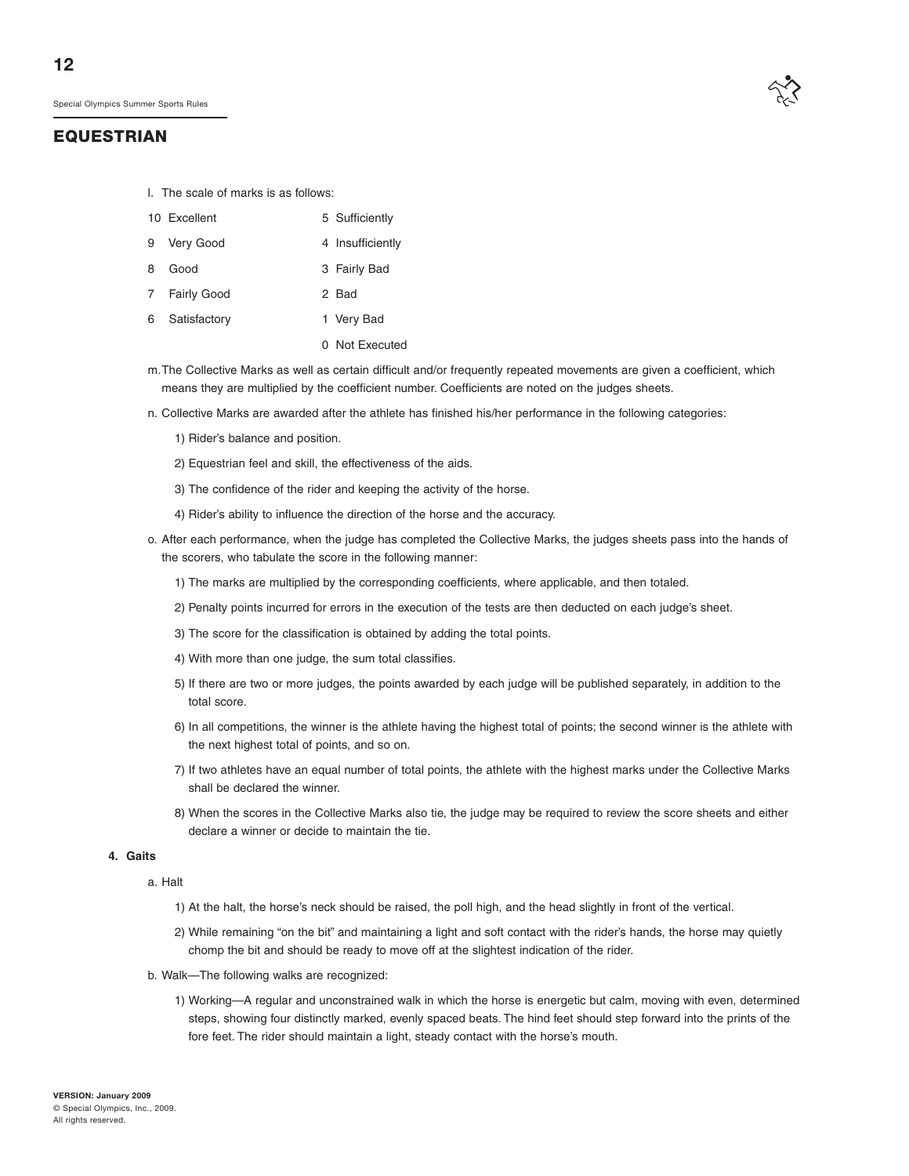

- l. The scale of marks is as follows:
- 10 Excellent 5 Sufficiently
- 9 Very Good 4 Insufficiently
- 8 Good 3 Fairly Bad
- 7 Fairly Good 2 Bad
- 6 Satisfactory 1 Very Bad
	- 0 Not Executed
- m.The Collective Marks as well as certain difficult and/or frequently repeated movements are given a coefficient, which means they are multiplied by the coefficient number. Coefficients are noted on the judges sheets.
- n. Collective Marks are awarded after the athlete has finished his/her performance in the following categories:
	- 1) Rider's balance and position.
	- 2) Equestrian feel and skill, the effectiveness of the aids.
	- 3) The confidence of the rider and keeping the activity of the horse.
	- 4) Rider's ability to influence the direction of the horse and the accuracy.
- o. After each performance, when the judge has completed the Collective Marks, the judges sheets pass into the hands of the scorers, who tabulate the score in the following manner:
	- 1) The marks are multiplied by the corresponding coefficients, where applicable, and then totaled.
	- 2) Penalty points incurred for errors in the execution of the tests are then deducted on each judge's sheet.
	- 3) The score for the classification is obtained by adding the total points.
	- 4) With more than one judge, the sum total classifies.
	- 5) If there are two or more judges, the points awarded by each judge will be published separately, in addition to the total score.
	- 6) In all competitions, the winner is the athlete having the highest total of points; the second winner is the athlete with the next highest total of points, and so on.
	- 7) If two athletes have an equal number of total points, the athlete with the highest marks under the Collective Marks shall be declared the winner.
	- 8) When the scores in the Collective Marks also tie, the judge may be required to review the score sheets and either declare a winner or decide to maintain the tie.

#### **4. Gaits**

a. Halt

- 1) At the halt, the horse's neck should be raised, the poll high, and the head slightly in front of the vertical.
- 2) While remaining "on the bit" and maintaining a light and soft contact with the rider's hands, the horse may quietly chomp the bit and should be ready to move off at the slightest indication of the rider.
- b. Walk—The following walks are recognized:
	- 1) Working—A regular and unconstrained walk in which the horse is energetic but calm, moving with even, determined steps, showing four distinctly marked, evenly spaced beats. The hind feet should step forward into the prints of the fore feet. The rider should maintain a light, steady contact with the horse's mouth.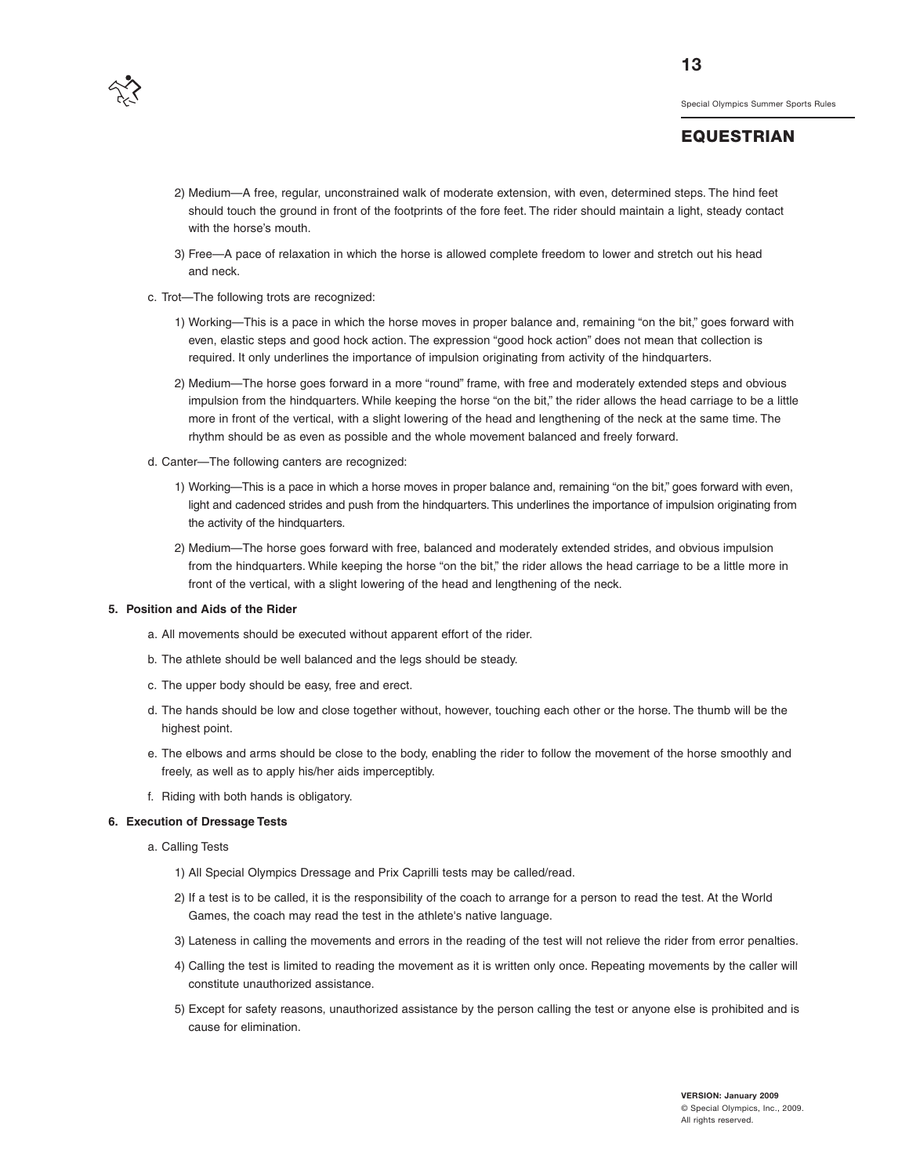

#### **EQUESTRIAN**

- 2) Medium—A free, regular, unconstrained walk of moderate extension, with even, determined steps. The hind feet should touch the ground in front of the footprints of the fore feet. The rider should maintain a light, steady contact with the horse's mouth.
- 3) Free—A pace of relaxation in which the horse is allowed complete freedom to lower and stretch out his head and neck.
- c. Trot—The following trots are recognized:
	- 1) Working—This is a pace in which the horse moves in proper balance and, remaining "on the bit," goes forward with even, elastic steps and good hock action. The expression "good hock action" does not mean that collection is required. It only underlines the importance of impulsion originating from activity of the hindquarters.
	- 2) Medium—The horse goes forward in a more "round" frame, with free and moderately extended steps and obvious impulsion from the hindquarters. While keeping the horse "on the bit," the rider allows the head carriage to be a little more in front of the vertical, with a slight lowering of the head and lengthening of the neck at the same time. The rhythm should be as even as possible and the whole movement balanced and freely forward.
- d. Canter—The following canters are recognized:
	- 1) Working—This is a pace in which a horse moves in proper balance and, remaining "on the bit," goes forward with even, light and cadenced strides and push from the hindquarters. This underlines the importance of impulsion originating from the activity of the hindquarters.
	- 2) Medium—The horse goes forward with free, balanced and moderately extended strides, and obvious impulsion from the hindquarters. While keeping the horse "on the bit," the rider allows the head carriage to be a little more in front of the vertical, with a slight lowering of the head and lengthening of the neck.

#### **5. Position and Aids of the Rider**

- a. All movements should be executed without apparent effort of the rider.
- b. The athlete should be well balanced and the legs should be steady.
- c. The upper body should be easy, free and erect.
- d. The hands should be low and close together without, however, touching each other or the horse. The thumb will be the highest point.
- e. The elbows and arms should be close to the body, enabling the rider to follow the movement of the horse smoothly and freely, as well as to apply his/her aids imperceptibly.
- f. Riding with both hands is obligatory.

#### **6. Execution of Dressage Tests**

a. Calling Tests

- 1) All Special Olympics Dressage and Prix Caprilli tests may be called/read.
- 2) If a test is to be called, it is the responsibility of the coach to arrange for a person to read the test. At the World Games, the coach may read the test in the athlete's native language.
- 3) Lateness in calling the movements and errors in the reading of the test will not relieve the rider from error penalties.
- 4) Calling the test is limited to reading the movement as it is written only once. Repeating movements by the caller will constitute unauthorized assistance.
- 5) Except for safety reasons, unauthorized assistance by the person calling the test or anyone else is prohibited and is cause for elimination.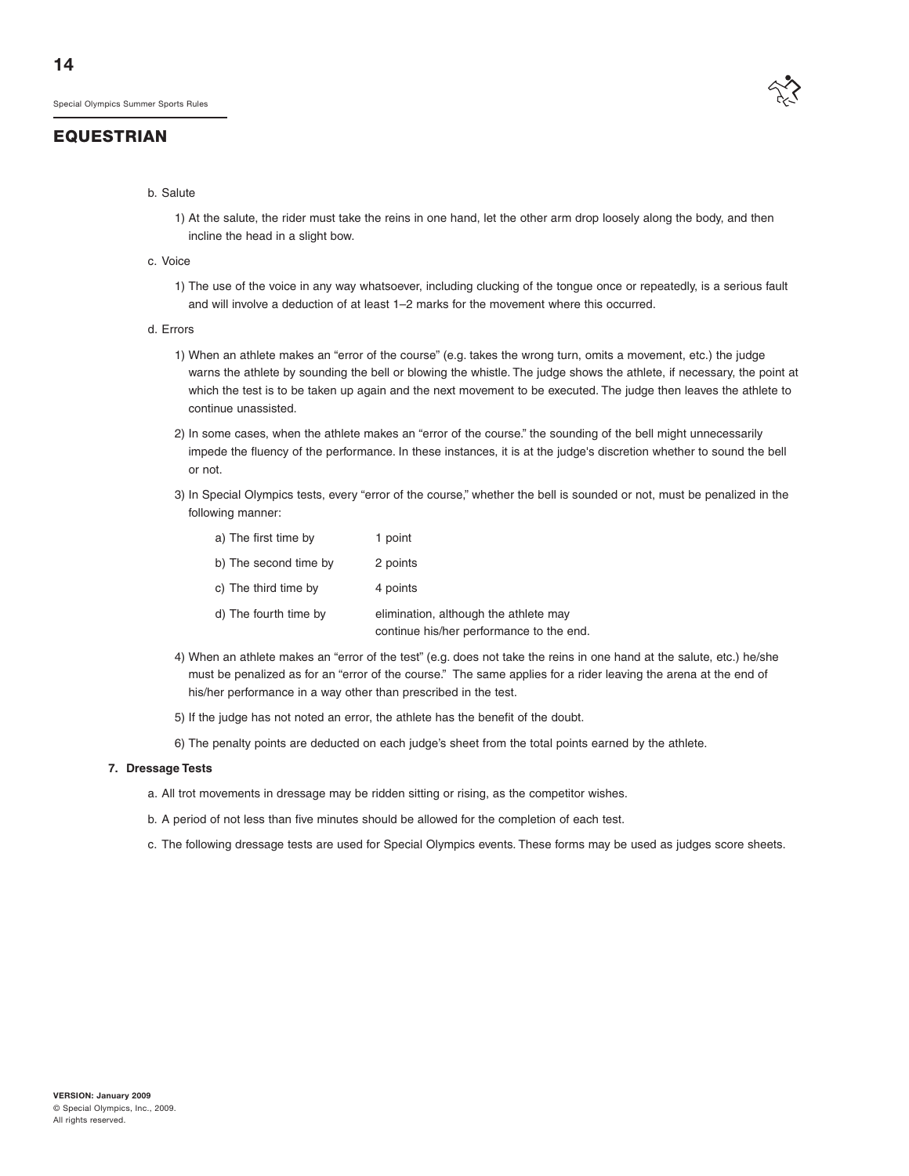

#### b. Salute

- 1) At the salute, the rider must take the reins in one hand, let the other arm drop loosely along the body, and then incline the head in a slight bow.
- c. Voice
	- 1) The use of the voice in any way whatsoever, including clucking of the tongue once or repeatedly, is a serious fault and will involve a deduction of at least 1–2 marks for the movement where this occurred.
- d. Errors
	- 1) When an athlete makes an "error of the course" (e.g. takes the wrong turn, omits a movement, etc.) the judge warns the athlete by sounding the bell or blowing the whistle. The judge shows the athlete, if necessary, the point at which the test is to be taken up again and the next movement to be executed. The judge then leaves the athlete to continue unassisted.
	- 2) In some cases, when the athlete makes an "error of the course." the sounding of the bell might unnecessarily impede the fluency of the performance. In these instances, it is at the judge's discretion whether to sound the bell or not.
	- 3) In Special Olympics tests, every "error of the course," whether the bell is sounded or not, must be penalized in the following manner:

| a) The first time by  | 1 point                                                                           |
|-----------------------|-----------------------------------------------------------------------------------|
| b) The second time by | 2 points                                                                          |
| c) The third time by  | 4 points                                                                          |
| d) The fourth time by | elimination, although the athlete may<br>continue his/her performance to the end. |

- 4) When an athlete makes an "error of the test" (e.g. does not take the reins in one hand at the salute, etc.) he/she must be penalized as for an "error of the course." The same applies for a rider leaving the arena at the end of his/her performance in a way other than prescribed in the test.
- 5) If the judge has not noted an error, the athlete has the benefit of the doubt.
- 6) The penalty points are deducted on each judge's sheet from the total points earned by the athlete.

#### **7. Dressage Tests**

- a. All trot movements in dressage may be ridden sitting or rising, as the competitor wishes.
- b. A period of not less than five minutes should be allowed for the completion of each test.
- c. The following dressage tests are used for Special Olympics events. These forms may be used as judges score sheets.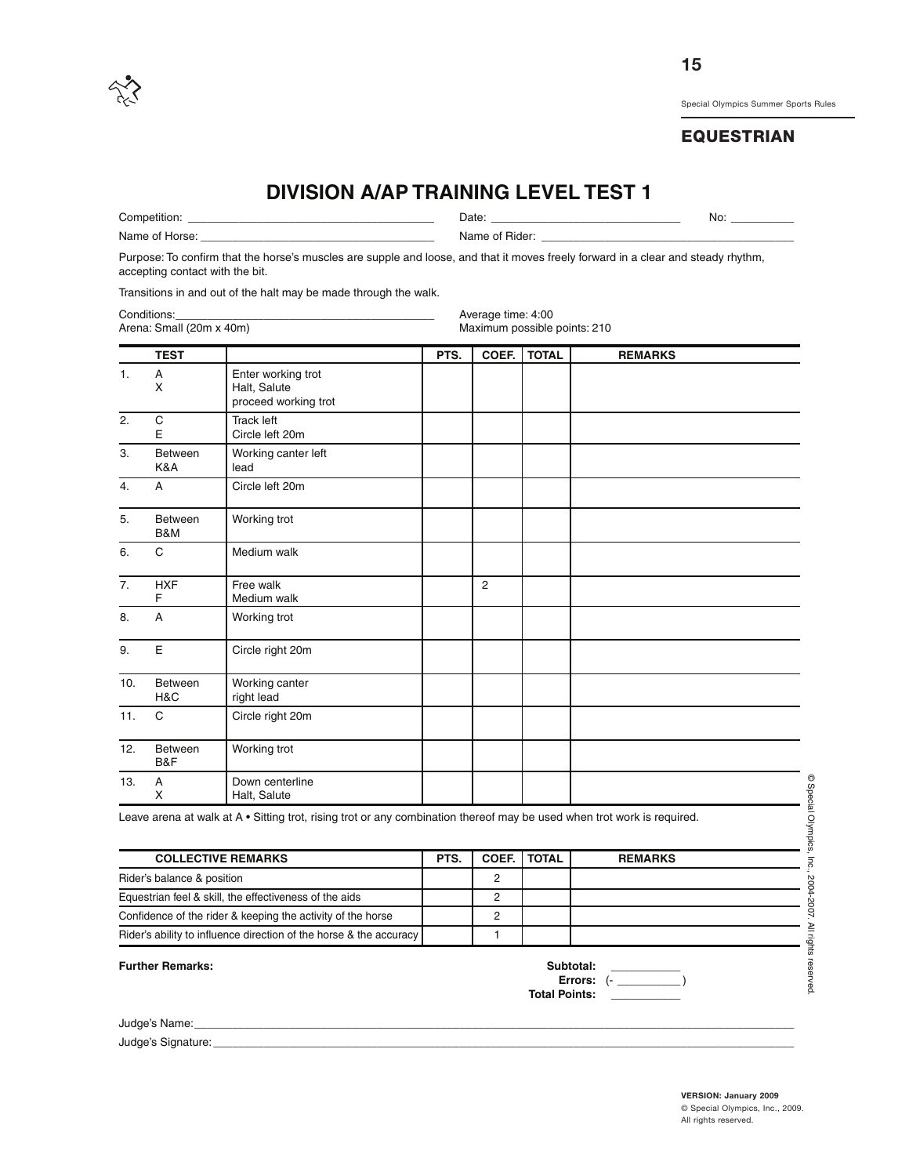

## **EQUESTRIAN**

# **DIVISION A/AP TRAINING LEVEL TEST 1**

Competition: \_\_\_\_\_\_\_\_\_\_\_\_\_\_\_\_\_\_\_\_\_\_\_\_\_\_\_\_\_\_\_\_\_\_\_\_\_\_\_ Date: \_\_\_\_\_\_\_\_\_\_\_\_\_\_\_\_\_\_\_\_\_\_\_\_\_\_\_\_\_\_ No: \_\_\_\_\_\_\_\_\_\_

Name of Horse: \_\_\_\_\_\_\_\_\_\_\_\_\_\_\_\_\_\_\_\_\_\_\_\_\_\_\_\_\_\_\_\_\_\_\_\_\_ Name of Rider: \_\_\_\_\_\_\_\_\_\_\_\_\_\_\_\_\_\_\_\_\_\_\_\_\_\_\_\_\_\_\_\_\_\_\_\_\_\_\_\_

Purpose: To confirm that the horse's muscles are supple and loose, and that it moves freely forward in a clear and steady rhythm, accepting contact with the bit.

Transitions in and out of the halt may be made through the walk.

| Conditions:              | Average time: 4:00           |
|--------------------------|------------------------------|
| Arena: Small (20m x 40m) | Maximum possible points: 210 |

|     | <b>TEST</b>     |                                                            | PTS. | COEF.       | <b>TOTAL</b> | <b>REMARKS</b> |
|-----|-----------------|------------------------------------------------------------|------|-------------|--------------|----------------|
| 1.  | A<br>X          | Enter working trot<br>Halt, Salute<br>proceed working trot |      |             |              |                |
| 2.  | C<br>E          | <b>Track left</b><br>Circle left 20m                       |      |             |              |                |
| 3.  | Between<br>K&A  | Working canter left<br>lead                                |      |             |              |                |
| 4.  | A               | Circle left 20m                                            |      |             |              |                |
| 5.  | Between<br>B&M  | Working trot                                               |      |             |              |                |
| 6.  | C               | Medium walk                                                |      |             |              |                |
| 7.  | <b>HXF</b><br>F | Free walk<br>Medium walk                                   |      | $\mathbf 2$ |              |                |
| 8.  | A               | Working trot                                               |      |             |              |                |
| 9.  | E               | Circle right 20m                                           |      |             |              |                |
| 10. | Between<br>H&C  | Working canter<br>right lead                               |      |             |              |                |
| 11. | $\mathbf C$     | Circle right 20m                                           |      |             |              |                |
| 12. | Between<br>B&F  | Working trot                                               |      |             |              |                |
| 13. | А<br>X          | Down centerline<br>Halt, Salute                            |      |             |              |                |

Leave arena at walk at A • Sitting trot, rising trot or any combination thereof may be used when trot work is required.

| <b>COLLECTIVE REMARKS</b>                                          | PTS. | <b>COEF.   TOTAL</b> | <b>REMARKS</b> |
|--------------------------------------------------------------------|------|----------------------|----------------|
| Rider's balance & position                                         |      |                      |                |
| Equestrian feel & skill, the effectiveness of the aids             |      |                      |                |
| Confidence of the rider & keeping the activity of the horse        |      |                      |                |
| Rider's ability to influence direction of the horse & the accuracy |      |                      |                |

**Further Remarks:** 

| Subtotal:     |  |  |
|---------------|--|--|
| Errors: (-    |  |  |
| Total Points: |  |  |

Judge's Name:

Judge's Signature:

**VERSION: January 2009** © Special Olympics, Inc., 2009. All rights reserved.

© Special

Olympics,

Inc.,

2004-2007. ≧ rights

reserved.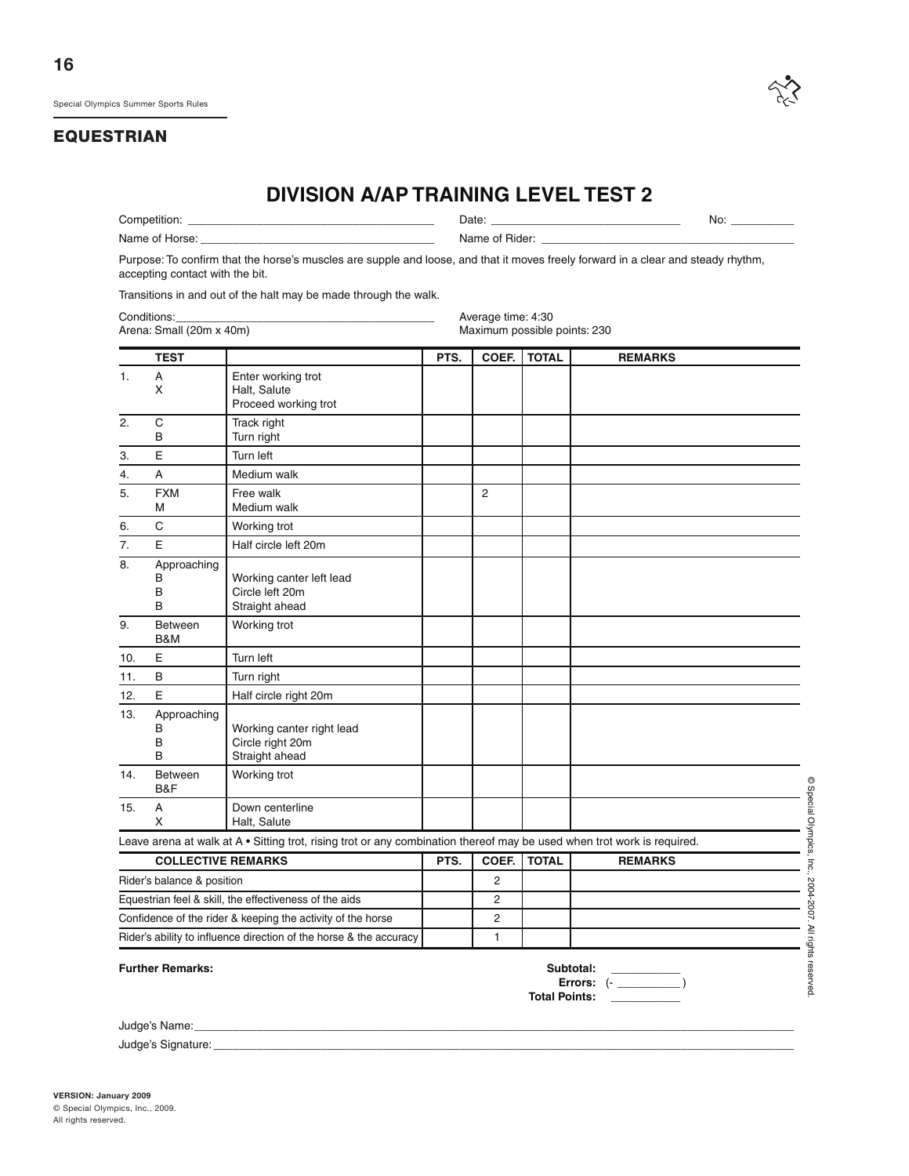

|                               |                                 | <b>DIVISION A/AP TRAINING LEVEL TEST 2</b>                                                                                        |      |                    |                              |                                                             |  |
|-------------------------------|---------------------------------|-----------------------------------------------------------------------------------------------------------------------------------|------|--------------------|------------------------------|-------------------------------------------------------------|--|
|                               |                                 |                                                                                                                                   |      |                    | No: $\overline{\phantom{a}}$ |                                                             |  |
| Name of Horse: Name of Horse: |                                 |                                                                                                                                   |      |                    |                              |                                                             |  |
|                               | accepting contact with the bit. | Purpose: To confirm that the horse's muscles are supple and loose, and that it moves freely forward in a clear and steady rhythm, |      |                    |                              |                                                             |  |
|                               |                                 | Transitions in and out of the halt may be made through the walk.                                                                  |      |                    |                              |                                                             |  |
|                               | Conditions:                     |                                                                                                                                   |      | Average time: 4:30 |                              |                                                             |  |
|                               | Arena: Small (20m x 40m)        |                                                                                                                                   |      |                    | Maximum possible points: 230 |                                                             |  |
|                               | <b>TEST</b>                     |                                                                                                                                   | PTS. |                    | COEF.   TOTAL                | <b>REMARKS</b>                                              |  |
| 1.                            | Α<br>Χ                          | Enter working trot<br>Halt, Salute<br>Proceed working trot                                                                        |      |                    |                              |                                                             |  |
| 2.                            | C<br>В                          | Track right<br>Turn right                                                                                                         |      |                    |                              |                                                             |  |
| 3.                            | E                               | Turn left                                                                                                                         |      |                    |                              |                                                             |  |
| 4.                            | Α                               | Medium walk                                                                                                                       |      |                    |                              |                                                             |  |
| 5.                            | <b>FXM</b><br>М                 | Free walk<br>Medium walk                                                                                                          |      | $\overline{2}$     |                              |                                                             |  |
| 6.                            | C                               | Working trot                                                                                                                      |      |                    |                              |                                                             |  |
| 7.                            | E                               | Half circle left 20m                                                                                                              |      |                    |                              |                                                             |  |
| 8.                            | Approaching<br>в<br>B<br>B      | Working canter left lead<br>Circle left 20m<br>Straight ahead                                                                     |      |                    |                              |                                                             |  |
| 9.                            | <b>Between</b><br>B&M           | Working trot                                                                                                                      |      |                    |                              |                                                             |  |
| 10.                           | E                               | Turn left                                                                                                                         |      |                    |                              |                                                             |  |
| 11.                           | В                               | Turn right                                                                                                                        |      |                    |                              |                                                             |  |
| 12.                           | E                               | Half circle right 20m                                                                                                             |      |                    |                              |                                                             |  |
| 13.                           | Approaching<br>В<br>В<br>B      | Working canter right lead<br>Circle right 20m<br>Straight ahead                                                                   |      |                    |                              |                                                             |  |
| 14.                           | <b>Between</b><br>B&F           | Working trot                                                                                                                      |      |                    |                              | $\circledcirc$                                              |  |
| 15.                           | A<br>X.                         | Down centerline<br>Halt, Salute                                                                                                   |      |                    |                              | <b>Special</b>                                              |  |
|                               |                                 | Leave arena at walk at A • Sitting trot, rising trot or any combination thereof may be used when trot work is required.           |      |                    |                              | Olympics,                                                   |  |
|                               | <b>COLLECTIVE REMARKS</b>       |                                                                                                                                   | PTS. | COEF.              | <b>TOTAL</b>                 | <b>REMARKS</b><br>Inc.,                                     |  |
|                               | Rider's balance & position      |                                                                                                                                   |      | 2                  |                              |                                                             |  |
|                               |                                 | Equestrian feel & skill, the effectiveness of the aids                                                                            |      | 2                  |                              |                                                             |  |
|                               |                                 | Confidence of the rider & keeping the activity of the horse                                                                       |      | 2                  |                              |                                                             |  |
|                               |                                 | Rider's ability to influence direction of the horse & the accuracy                                                                |      | 1                  |                              |                                                             |  |
|                               | <b>Further Remarks:</b>         |                                                                                                                                   |      |                    | <b>Total Dointer</b>         | 2004-2007. All rights reserved<br>Subtotal:<br>Errors: $(-$ |  |

**Total Points: \_\_\_\_\_\_\_\_\_\_\_**

Judge's Name:

Judge's Signature: \_\_\_\_\_\_\_\_\_\_\_\_\_\_\_\_\_\_\_\_\_\_\_\_\_\_\_\_\_\_\_\_\_\_\_\_\_\_\_\_\_\_\_\_\_\_\_\_\_\_\_\_\_\_\_\_\_\_\_\_\_\_\_\_\_\_\_\_\_\_\_\_\_\_\_\_\_\_\_\_\_\_\_\_\_\_\_\_\_\_\_\_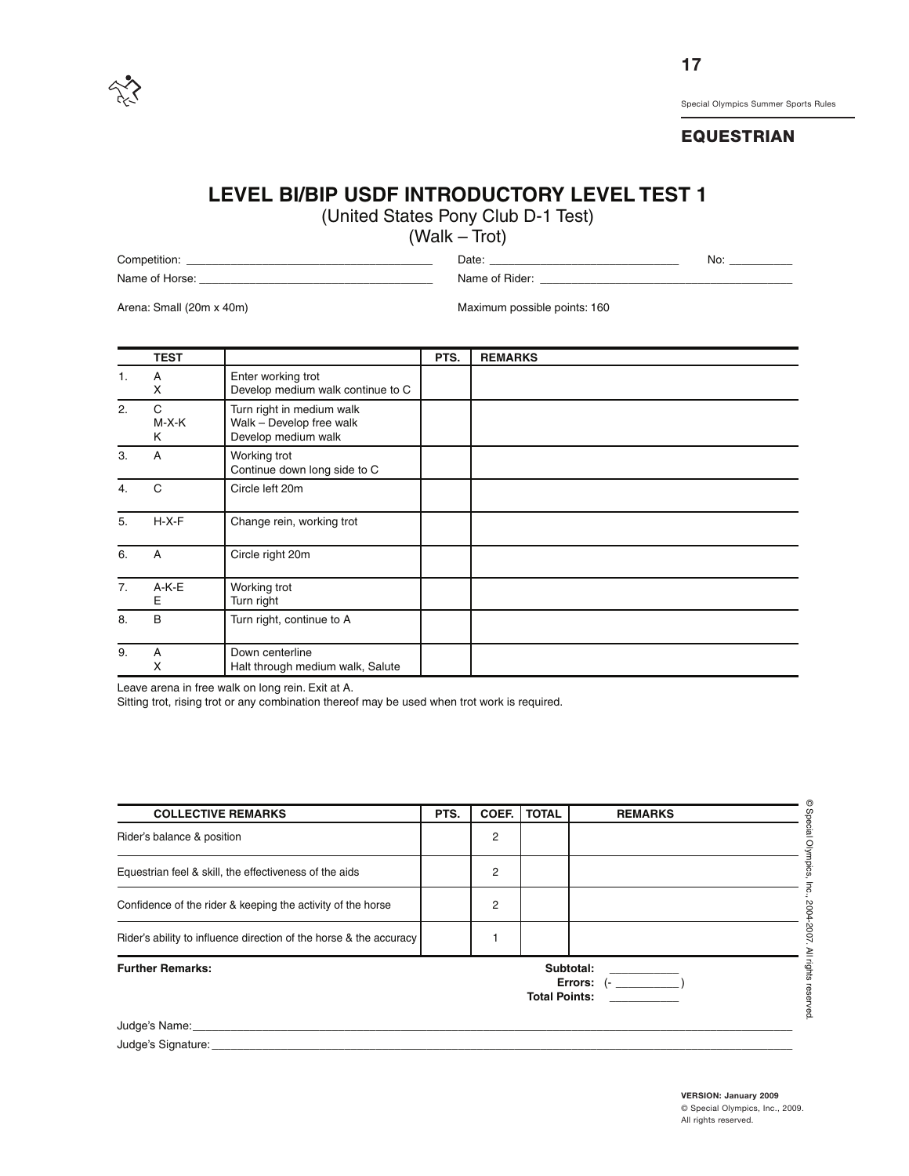

#### **EQUESTRIAN**

# **LEVEL BI/BIP USDF INTRODUCTORY LEVEL TEST 1**

(United States Pony Club D-1 Test)

(Walk – Trot)

Competition: \_\_\_\_\_\_\_\_\_\_\_\_\_\_\_\_\_\_\_\_\_\_\_\_\_\_\_\_\_\_\_\_\_\_\_\_\_\_\_ Date: \_\_\_\_\_\_\_\_\_\_\_\_\_\_\_\_\_\_\_\_\_\_\_\_\_\_\_\_\_\_ No: \_\_\_\_\_\_\_\_\_\_ Name of Horse: \_\_\_\_\_\_\_\_\_\_\_\_\_\_\_\_\_\_\_\_\_\_\_\_\_\_\_\_\_\_\_\_\_\_\_\_\_ Name of Rider: \_\_\_\_\_\_\_\_\_\_\_\_\_\_\_\_\_\_\_\_\_\_\_\_\_\_\_\_\_\_\_\_\_\_\_\_\_\_\_\_

Arena: Small (20m x 40m) Maximum possible points: 160

|    | <b>TEST</b>     |                                                                              | PTS. | <b>REMARKS</b> |
|----|-----------------|------------------------------------------------------------------------------|------|----------------|
| 1. | Α<br>X          | Enter working trot<br>Develop medium walk continue to C                      |      |                |
| 2. | C<br>M-X-K<br>Κ | Turn right in medium walk<br>Walk - Develop free walk<br>Develop medium walk |      |                |
| 3. | A               | Working trot<br>Continue down long side to C                                 |      |                |
| 4. | C               | Circle left 20m                                                              |      |                |
| 5. | $H-X-F$         | Change rein, working trot                                                    |      |                |
| 6. | Α               | Circle right 20m                                                             |      |                |
| 7. | $A-K-E$<br>Е    | Working trot<br>Turn right                                                   |      |                |
| 8. | В               | Turn right, continue to A                                                    |      |                |
| 9. | A<br>X          | Down centerline<br>Halt through medium walk, Salute                          |      |                |

Leave arena in free walk on long rein. Exit at A.

Sitting trot, rising trot or any combination thereof may be used when trot work is required.

| <b>COLLECTIVE REMARKS</b>                                                    | PTS. | COEF.          | <b>TOTAL</b> | <b>REMARKS</b> |
|------------------------------------------------------------------------------|------|----------------|--------------|----------------|
| Rider's balance & position                                                   |      | 2              |              |                |
| Equestrian feel & skill, the effectiveness of the aids                       |      | $\overline{2}$ |              |                |
| Confidence of the rider & keeping the activity of the horse                  |      | 2              |              |                |
| Rider's ability to influence direction of the horse & the accuracy           |      |                |              |                |
| <b>Further Remarks:</b><br>Subtotal:<br>Errors: $(-$<br><b>Total Points:</b> |      |                |              |                |
| Judge's Name: Name:                                                          |      |                |              |                |
| Judge's Signature:                                                           |      |                |              |                |

**VERSION: January 2009** © Special Olympics, Inc., 2009. All rights reserved.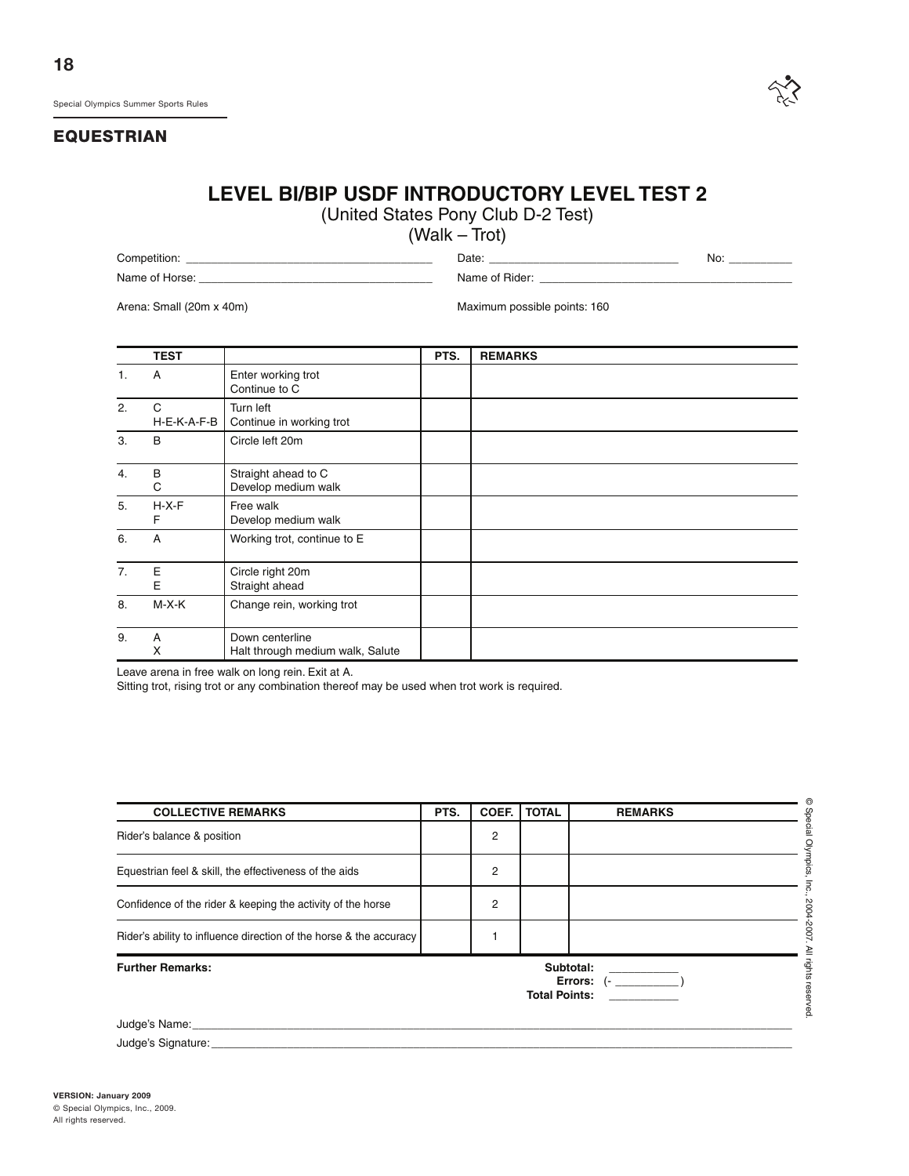

# **LEVEL BI/BIP USDF INTRODUCTORY LEVEL TEST 2**

(United States Pony Club D-2 Test)

(Walk – Trot)

Competition: \_\_\_\_\_\_\_\_\_\_\_\_\_\_\_\_\_\_\_\_\_\_\_\_\_\_\_\_\_\_\_\_\_\_\_\_\_\_\_ Date: \_\_\_\_\_\_\_\_\_\_\_\_\_\_\_\_\_\_\_\_\_\_\_\_\_\_\_\_\_\_ No: \_\_\_\_\_\_\_\_\_\_ Name of Horse: \_\_\_\_\_\_\_\_\_\_\_\_\_\_\_\_\_\_\_\_\_\_\_\_\_\_\_\_\_\_\_\_\_\_\_\_\_ Name of Rider: \_\_\_\_\_\_\_\_\_\_\_\_\_\_\_\_\_\_\_\_\_\_\_\_\_\_\_\_\_\_\_\_\_\_\_\_\_\_\_\_

Arena: Small (20m x 40m) Maximum possible points: 160

|                  | <b>TEST</b>      |                                                     | PTS. | <b>REMARKS</b> |
|------------------|------------------|-----------------------------------------------------|------|----------------|
| 1.               | A                | Enter working trot<br>Continue to C                 |      |                |
| 2.               | C<br>H-E-K-A-F-B | Turn left<br>Continue in working trot               |      |                |
| 3.               | B                | Circle left 20m                                     |      |                |
| $\overline{4}$ . | B<br>С           | Straight ahead to C<br>Develop medium walk          |      |                |
| 5.               | $H-X-F$<br>F     | Free walk<br>Develop medium walk                    |      |                |
| 6.               | Α                | Working trot, continue to E                         |      |                |
| 7.               | Е<br>E           | Circle right 20m<br>Straight ahead                  |      |                |
| 8.               | $M-X-K$          | Change rein, working trot                           |      |                |
| 9.               | A<br>х           | Down centerline<br>Halt through medium walk, Salute |      |                |

Leave arena in free walk on long rein. Exit at A.

Sitting trot, rising trot or any combination thereof may be used when trot work is required.

| <b>COLLECTIVE REMARKS</b>                                                    | PTS. | COEF.          | <b>TOTAL</b> | <b>REMARKS</b> |
|------------------------------------------------------------------------------|------|----------------|--------------|----------------|
| Rider's balance & position                                                   |      | 2              |              |                |
| Equestrian feel & skill, the effectiveness of the aids                       |      | $\overline{2}$ |              |                |
| Confidence of the rider & keeping the activity of the horse                  |      | 2              |              |                |
| Rider's ability to influence direction of the horse & the accuracy           |      |                |              |                |
| <b>Further Remarks:</b><br>Subtotal:<br>Errors: $(-$<br><b>Total Points:</b> |      |                |              |                |
| Judge's Name:                                                                |      |                |              |                |
| Judge's Signature:                                                           |      |                |              |                |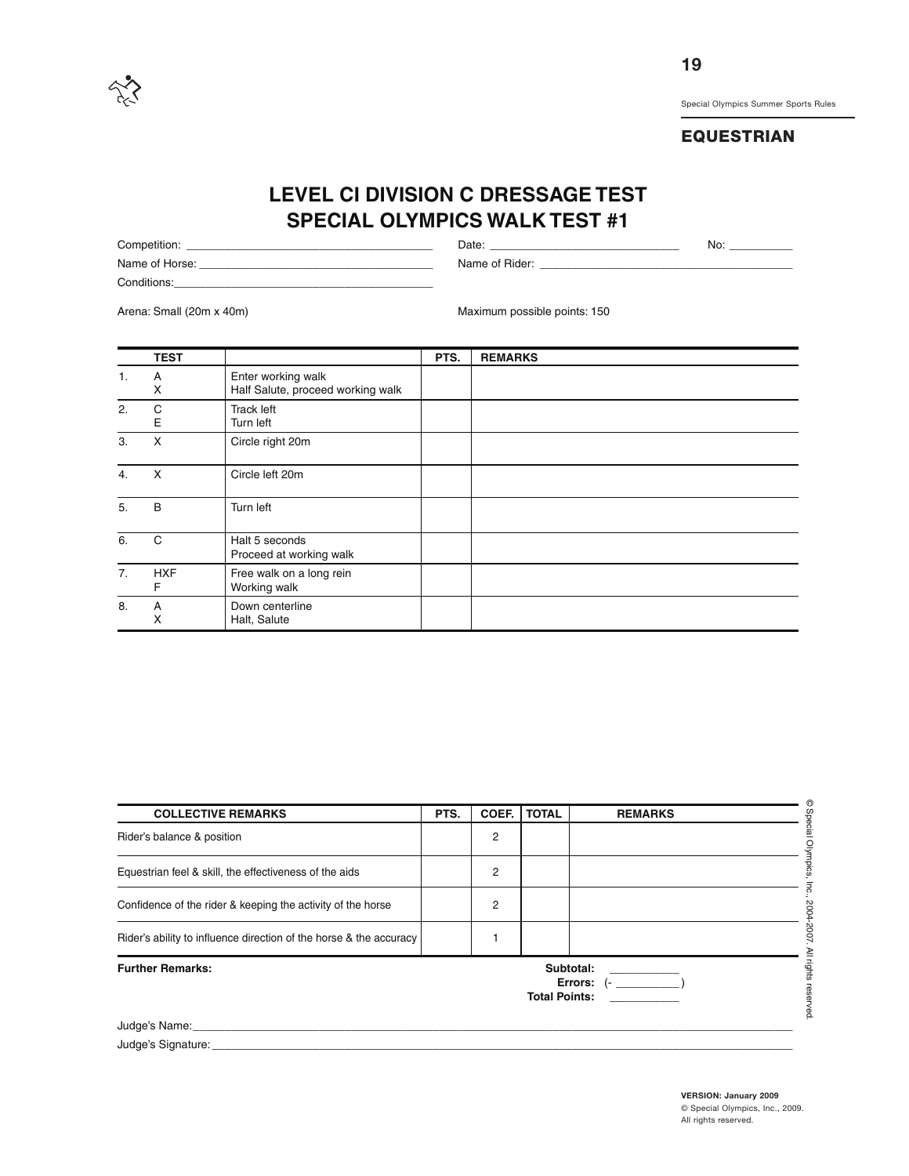

# **EQUESTRIAN**

# **LEVEL CI DIVISION C DRESSAGE TEST SPECIAL OLYMPICS WALK TEST #1**

Competition: \_\_\_\_\_\_\_\_\_\_\_\_\_\_\_\_\_\_\_\_\_\_\_\_\_\_\_\_\_\_\_\_\_\_\_\_\_\_\_ Date: \_\_\_\_\_\_\_\_\_\_\_\_\_\_\_\_\_\_\_\_\_\_\_\_\_\_\_\_\_\_ No: \_\_\_\_\_\_\_\_\_\_ Name of Horse: \_\_\_\_\_\_\_\_\_\_\_\_\_\_\_\_\_\_\_\_\_\_\_\_\_\_\_\_\_\_\_\_\_\_\_\_\_ Name of Rider: \_\_\_\_\_\_\_\_\_\_\_\_\_\_\_\_\_\_\_\_\_\_\_\_\_\_\_\_\_\_\_\_\_\_\_\_\_\_\_\_ Conditions:

Arena: Small (20m x 40m) Maximum possible points: 150

|    | <b>TEST</b>     |                                                         | PTS. | <b>REMARKS</b> |
|----|-----------------|---------------------------------------------------------|------|----------------|
| 1. | Α<br>X          | Enter working walk<br>Half Salute, proceed working walk |      |                |
| 2. | C<br>Е          | <b>Track left</b><br>Turn left                          |      |                |
| 3. | X               | Circle right 20m                                        |      |                |
| 4. | X               | Circle left 20m                                         |      |                |
| 5. | B               | Turn left                                               |      |                |
| 6. | C               | Halt 5 seconds<br>Proceed at working walk               |      |                |
| 7. | <b>HXF</b><br>F | Free walk on a long rein<br>Working walk                |      |                |
| 8. | Α<br>х          | Down centerline<br>Halt, Salute                         |      |                |

| <b>COLLECTIVE REMARKS</b>                                                                                                                                                                                                     | PTS. | COEF. | <b>TOTAL</b>         | <b>REMARKS</b>            |
|-------------------------------------------------------------------------------------------------------------------------------------------------------------------------------------------------------------------------------|------|-------|----------------------|---------------------------|
| Rider's balance & position                                                                                                                                                                                                    |      | 2     |                      |                           |
| Equestrian feel & skill, the effectiveness of the aids                                                                                                                                                                        |      | 2     |                      |                           |
| Confidence of the rider & keeping the activity of the horse                                                                                                                                                                   |      | 2     |                      |                           |
| Rider's ability to influence direction of the horse & the accuracy                                                                                                                                                            |      |       |                      |                           |
| <b>Further Remarks:</b>                                                                                                                                                                                                       |      |       | <b>Total Points:</b> | Subtotal:<br>Errors: $(-$ |
| Judge's Name: We have a strategies of the strategies of the strategies of the strategies of the strategies of the strategies of the strategies of the strategies of the strategies of the strategies of the strategies of the |      |       |                      |                           |
| Judge's Signature:                                                                                                                                                                                                            |      |       |                      |                           |

**VERSION: January 2009** © Special Olympics, Inc., 2009. All rights reserved.

**19**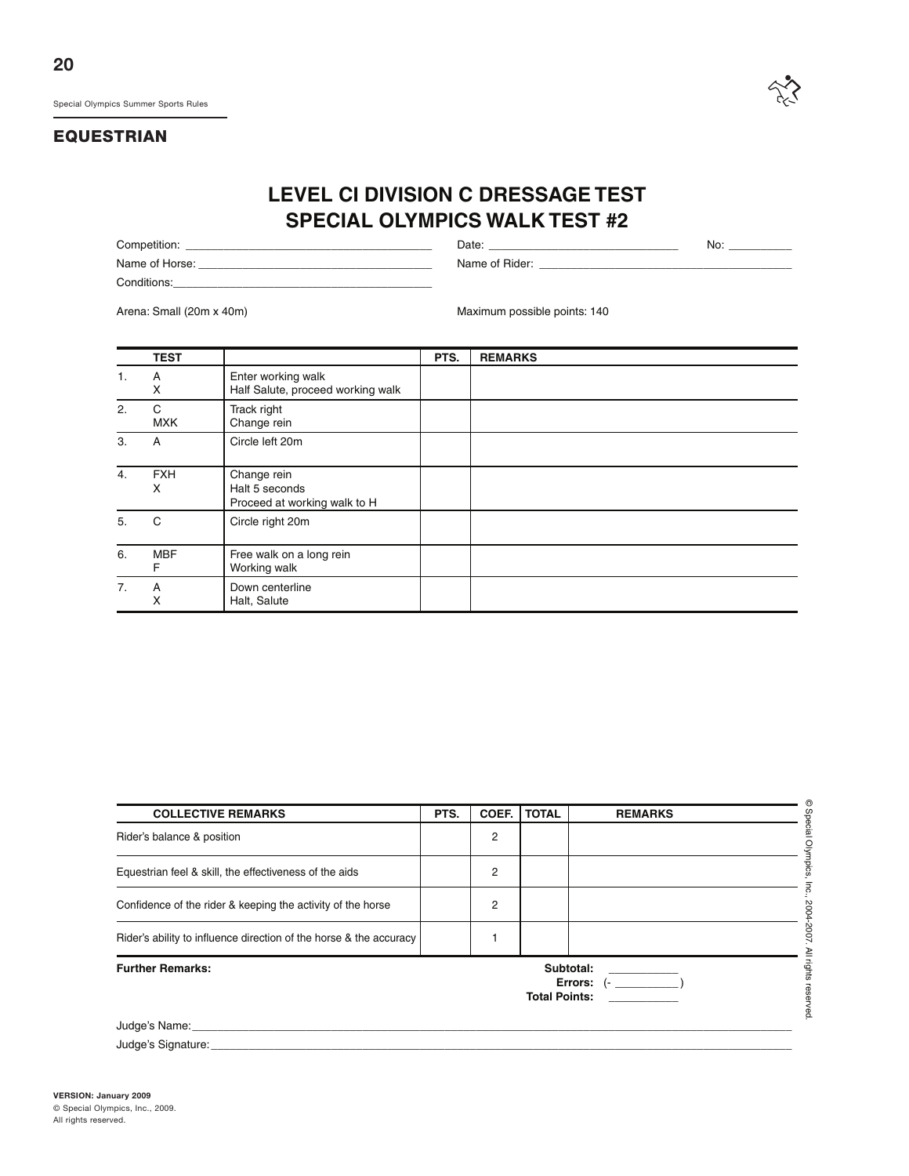

# **LEVEL CI DIVISION C DRESSAGE TEST SPECIAL OLYMPICS WALK TEST #2**

Competition: \_\_\_\_\_\_\_\_\_\_\_\_\_\_\_\_\_\_\_\_\_\_\_\_\_\_\_\_\_\_\_\_\_\_\_\_\_\_\_ Date: \_\_\_\_\_\_\_\_\_\_\_\_\_\_\_\_\_\_\_\_\_\_\_\_\_\_\_\_\_\_ No: \_\_\_\_\_\_\_\_\_\_ Name of Horse: \_\_\_\_\_\_\_\_\_\_\_\_\_\_\_\_\_\_\_\_\_\_\_\_\_\_\_\_\_\_\_\_\_\_\_\_\_ Name of Rider: \_\_\_\_\_\_\_\_\_\_\_\_\_\_\_\_\_\_\_\_\_\_\_\_\_\_\_\_\_\_\_\_\_\_\_\_\_\_\_\_ Conditions:

Arena: Small (20m x 40m) Maximum possible points: 140

|    | <b>TEST</b>     |                                                               | PTS. | <b>REMARKS</b> |
|----|-----------------|---------------------------------------------------------------|------|----------------|
| 1. | Α<br>X          | Enter working walk<br>Half Salute, proceed working walk       |      |                |
| 2. | C<br><b>MXK</b> | Track right<br>Change rein                                    |      |                |
| 3. | A               | Circle left 20m                                               |      |                |
| 4. | <b>FXH</b><br>X | Change rein<br>Halt 5 seconds<br>Proceed at working walk to H |      |                |
| 5. | С               | Circle right 20m                                              |      |                |
| 6. | <b>MBF</b><br>F | Free walk on a long rein<br>Working walk                      |      |                |
| 7. | A<br>Χ          | Down centerline<br>Halt, Salute                               |      |                |

| <b>COLLECTIVE REMARKS</b>                                                                                                                                                                                                      | PTS. | COEF. | <b>TOTAL</b>         | <b>REMARKS</b>            |
|--------------------------------------------------------------------------------------------------------------------------------------------------------------------------------------------------------------------------------|------|-------|----------------------|---------------------------|
| Rider's balance & position                                                                                                                                                                                                     |      | 2     |                      |                           |
| Equestrian feel & skill, the effectiveness of the aids                                                                                                                                                                         |      | 2     |                      |                           |
| Confidence of the rider & keeping the activity of the horse                                                                                                                                                                    |      | 2     |                      |                           |
| Rider's ability to influence direction of the horse & the accuracy                                                                                                                                                             |      |       |                      |                           |
| <b>Further Remarks:</b>                                                                                                                                                                                                        |      |       | <b>Total Points:</b> | Subtotal:<br>Errors: $(-$ |
| Judge's Name: Name: Name and Separate and Separate and Separate and Separate and Separate and Separate and Separate and Separate and Separate and Separate and Separate and Separate and Separate and Separate and Separate an |      |       |                      |                           |
| Judge's Signature:                                                                                                                                                                                                             |      |       |                      |                           |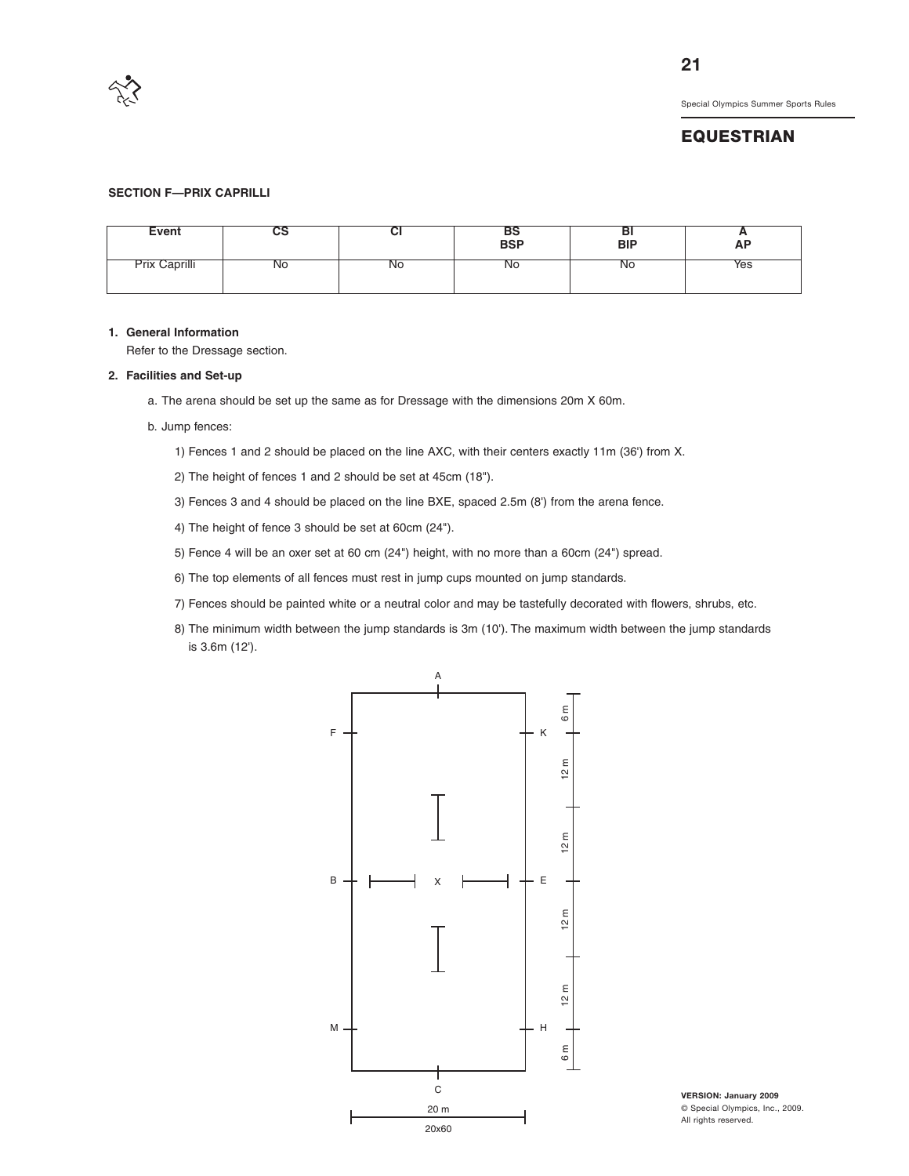

#### **EQUESTRIAN**

#### **SECTION F—PRIX CAPRILLI**

| Event         | vo             | vı        | כם<br>BSP | DI<br><b>BIP</b> | n<br>AP |
|---------------|----------------|-----------|-----------|------------------|---------|
| Prix Caprilli | N <sub>O</sub> | <b>NO</b> | <b>NO</b> | <b>No</b>        | Yes     |

#### **1. General Information**

Refer to the Dressage section.

#### **2. Facilities and Set-up**

- a. The arena should be set up the same as for Dressage with the dimensions 20m X 60m.
- b. Jump fences:
	- 1) Fences 1 and 2 should be placed on the line AXC, with their centers exactly 11m (36') from X.
	- 2) The height of fences 1 and 2 should be set at 45cm (18").
	- 3) Fences 3 and 4 should be placed on the line BXE, spaced 2.5m (8') from the arena fence.
	- 4) The height of fence 3 should be set at 60cm (24").
	- 5) Fence 4 will be an oxer set at 60 cm (24") height, with no more than a 60cm (24") spread.
	- 6) The top elements of all fences must rest in jump cups mounted on jump standards.
	- 7) Fences should be painted white or a neutral color and may be tastefully decorated with flowers, shrubs, etc.
	- 8) The minimum width between the jump standards is 3m (10'). The maximum width between the jump standards is 3.6m (12').



**VERSION: January 2009** © Special Olympics, Inc., 2009. All rights reserved.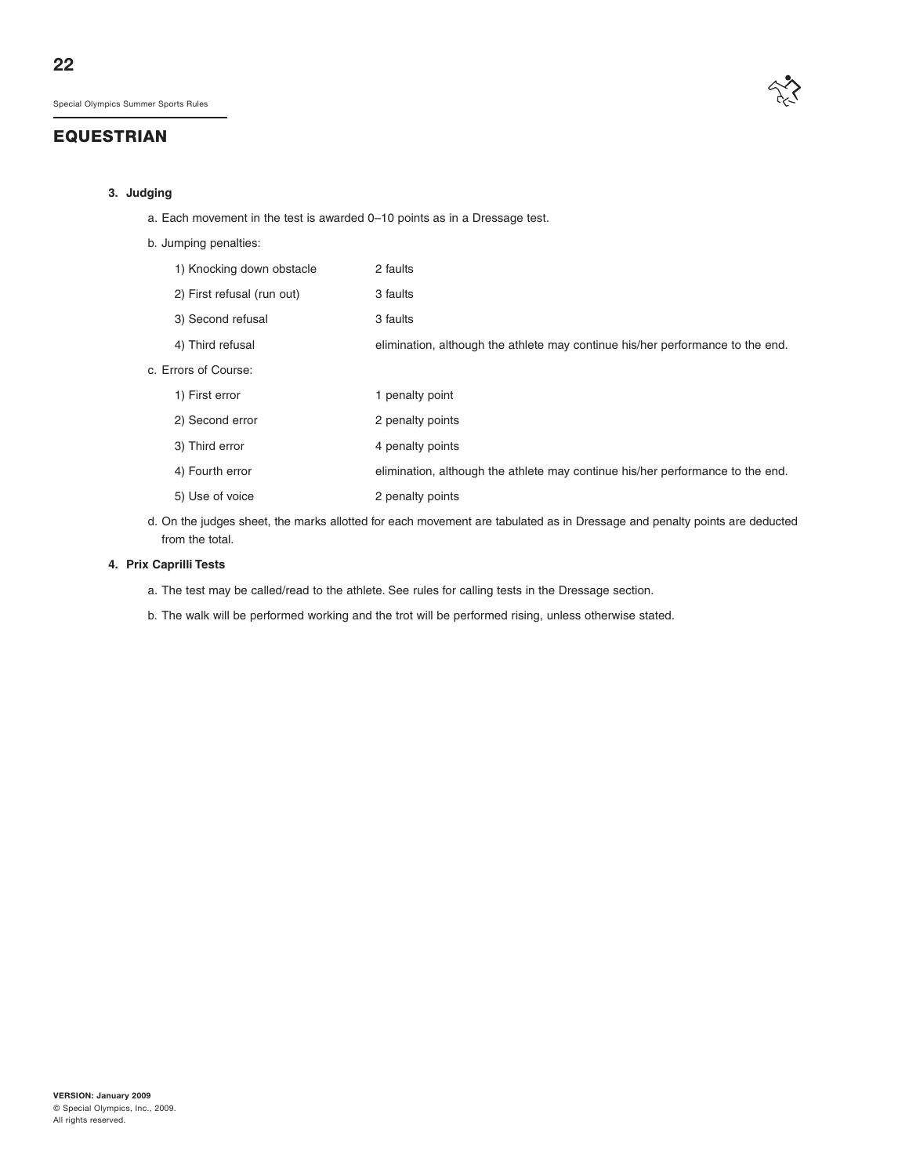

#### **3. Judging**

- a. Each movement in the test is awarded 0–10 points as in a Dressage test.
- b. Jumping penalties:

| 1) Knocking down obstacle  | 2 faults                                                                       |
|----------------------------|--------------------------------------------------------------------------------|
| 2) First refusal (run out) | 3 faults                                                                       |
| 3) Second refusal          | 3 faults                                                                       |
| 4) Third refusal           | elimination, although the athlete may continue his/her performance to the end. |
| c. Errors of Course:       |                                                                                |
| 1) First error             | 1 penalty point                                                                |
| 2) Second error            | 2 penalty points                                                               |
| 3) Third error             | 4 penalty points                                                               |
| 4) Fourth error            | elimination, although the athlete may continue his/her performance to the end. |
| 5) Use of voice            | 2 penalty points                                                               |

d. On the judges sheet, the marks allotted for each movement are tabulated as in Dressage and penalty points are deducted from the total.

#### **4. Prix Caprilli Tests**

- a. The test may be called/read to the athlete. See rules for calling tests in the Dressage section.
- b. The walk will be performed working and the trot will be performed rising, unless otherwise stated.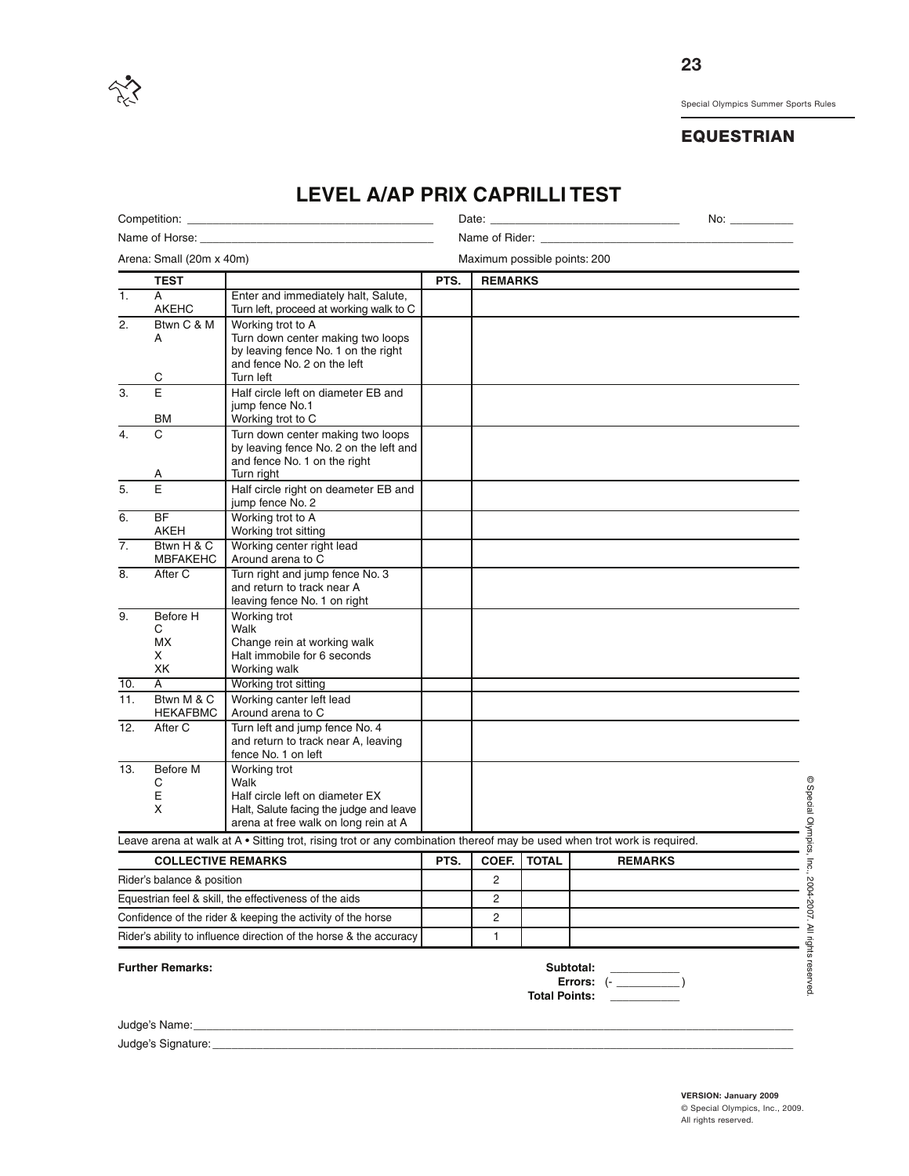

# **EQUESTRIAN**

|                            |                                | <b>LEVEL A/AP PRIX CAPRILLITEST</b>                                                                                                        |                               |                              |              |                |  |  |
|----------------------------|--------------------------------|--------------------------------------------------------------------------------------------------------------------------------------------|-------------------------------|------------------------------|--------------|----------------|--|--|
|                            |                                | Competition: explorer and the competition:                                                                                                 |                               | Date:                        |              |                |  |  |
|                            | Name of Horse: ________        |                                                                                                                                            | Name of Rider: Name of Rider: |                              |              |                |  |  |
|                            | Arena: Small (20m x 40m)       |                                                                                                                                            |                               | Maximum possible points: 200 |              |                |  |  |
|                            | <b>TEST</b>                    |                                                                                                                                            | PTS.                          | <b>REMARKS</b>               |              |                |  |  |
| $\overline{1}$ .           | A<br><b>AKEHC</b>              | Enter and immediately halt, Salute,<br>Turn left, proceed at working walk to C                                                             |                               |                              |              |                |  |  |
| $\overline{2}$ .           | Btwn C & M<br>A                | Working trot to A<br>Turn down center making two loops<br>by leaving fence No. 1 on the right<br>and fence No. 2 on the left               |                               |                              |              |                |  |  |
|                            | С                              | Turn left                                                                                                                                  |                               |                              |              |                |  |  |
| 3.                         | E<br>ВM                        | Half circle left on diameter EB and<br>jump fence No.1<br>Working trot to C                                                                |                               |                              |              |                |  |  |
| 4.                         | C<br>А                         | Turn down center making two loops<br>by leaving fence No. 2 on the left and<br>and fence No. 1 on the right<br>Turn right                  |                               |                              |              |                |  |  |
| 5.                         | E                              | Half circle right on deameter EB and<br>jump fence No. 2                                                                                   |                               |                              |              |                |  |  |
| 6.                         | <b>BF</b><br><b>AKEH</b>       | Working trot to A<br>Working trot sitting                                                                                                  |                               |                              |              |                |  |  |
| $\overline{7}$ .           | Btwn H & C<br><b>MBFAKEHC</b>  | Working center right lead<br>Around arena to C                                                                                             |                               |                              |              |                |  |  |
| 8.                         | After C                        | Turn right and jump fence No. 3<br>and return to track near A<br>leaving fence No. 1 on right                                              |                               |                              |              |                |  |  |
| 9.                         | Before H<br>С<br>МX<br>x<br>ХK | Working trot<br>Walk<br>Change rein at working walk<br>Halt immobile for 6 seconds<br>Working walk                                         |                               |                              |              |                |  |  |
| 10.                        | A                              | Working trot sitting                                                                                                                       |                               |                              |              |                |  |  |
| 11.                        | Btwn M & C<br><b>HEKAFBMC</b>  | Working canter left lead<br>Around arena to C                                                                                              |                               |                              |              |                |  |  |
| 12.                        | After C                        | Turn left and jump fence No. 4<br>and return to track near A, leaving<br>fence No. 1 on left                                               |                               |                              |              |                |  |  |
| 13.                        | Before M<br>C<br>E<br>X        | Working trot<br>Walk<br>Half circle left on diameter EX<br>Halt, Salute facing the judge and leave<br>arena at free walk on long rein at A |                               |                              |              |                |  |  |
|                            |                                | Leave arena at walk at A • Sitting trot, rising trot or any combination thereof may be used when trot work is required.                    |                               |                              |              |                |  |  |
|                            | <b>COLLECTIVE REMARKS</b>      |                                                                                                                                            | PTS.                          | COEF.                        | <b>TOTAL</b> | <b>REMARKS</b> |  |  |
| Rider's balance & position |                                |                                                                                                                                            |                               | 2                            |              |                |  |  |
|                            |                                | Equestrian feel & skill, the effectiveness of the aids                                                                                     |                               | 2                            |              |                |  |  |
|                            |                                | Confidence of the rider & keeping the activity of the horse                                                                                |                               | 2                            |              |                |  |  |
|                            |                                | Rider's ability to influence direction of the horse & the accuracy                                                                         |                               | $\mathbf{1}$                 |              |                |  |  |
|                            |                                |                                                                                                                                            |                               |                              |              |                |  |  |

# **LEVEL A/AP PRIX CAPRILLI TEST**

Further Remarks: **Subtotal:** Subtotal:

**Errors:**  $\left(-\right)$ **Total Points: \_\_\_\_\_\_\_\_\_\_\_**

Judge's Name:

Judge's Signature:

**VERSION: January 2009** © Special Olympics, Inc., 2009. All rights reserved.

© Special

Olympics,

Inc.,

2004-2007. ≧ rights

reserved.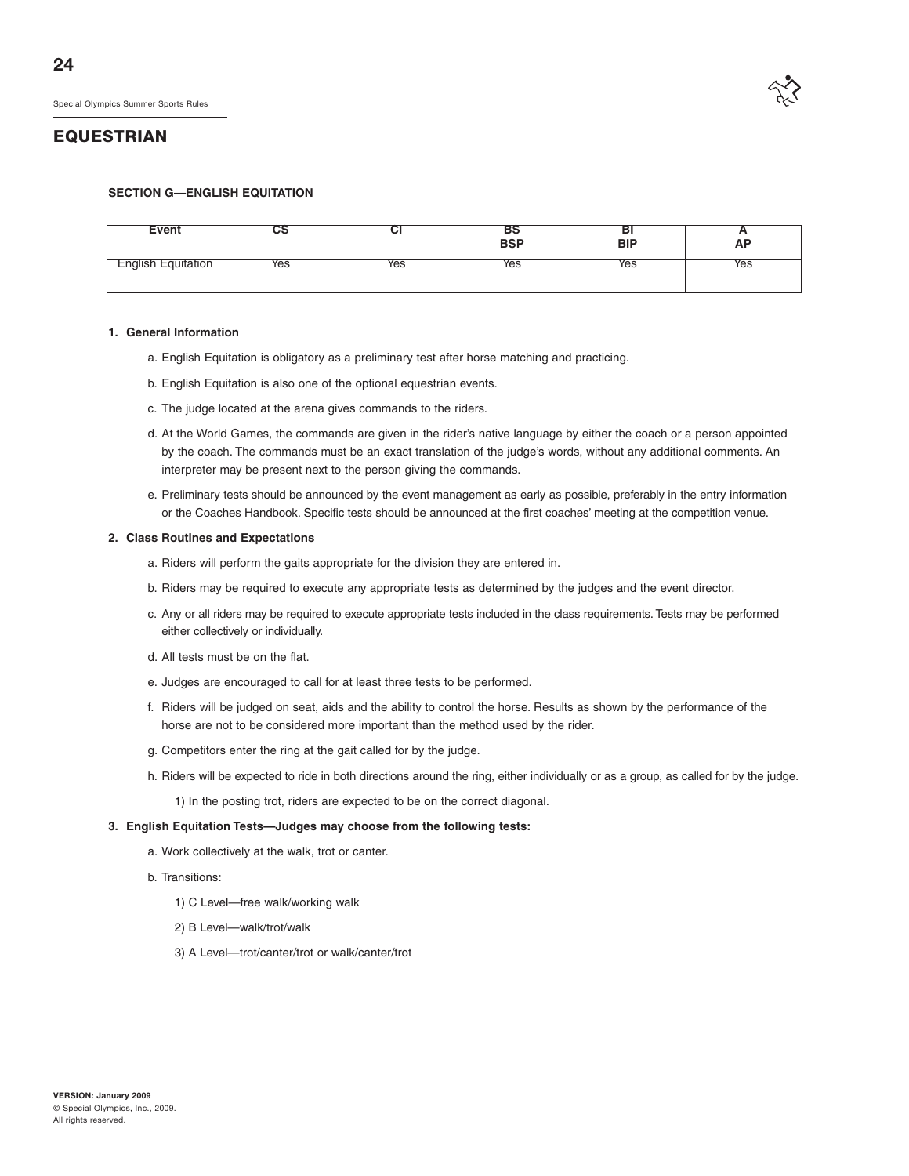

#### **SECTION G—ENGLISH EQUITATION**

| <b>Event</b>     | və  | ◡   | вэ<br>BSP | ום<br>BIP | <b>n</b><br><b>AP</b> |
|------------------|-----|-----|-----------|-----------|-----------------------|
| glish Equitation | Yes | Yes | Yes       | Yes       | Yes                   |

#### **1. General Information**

- a. English Equitation is obligatory as a preliminary test after horse matching and practicing.
- b. English Equitation is also one of the optional equestrian events.
- c. The judge located at the arena gives commands to the riders.
- d. At the World Games, the commands are given in the rider's native language by either the coach or a person appointed by the coach. The commands must be an exact translation of the judge's words, without any additional comments. An interpreter may be present next to the person giving the commands.
- e. Preliminary tests should be announced by the event management as early as possible, preferably in the entry information or the Coaches Handbook. Specific tests should be announced at the first coaches' meeting at the competition venue.

#### **2. Class Routines and Expectations**

- a. Riders will perform the gaits appropriate for the division they are entered in.
- b. Riders may be required to execute any appropriate tests as determined by the judges and the event director.
- c. Any or all riders may be required to execute appropriate tests included in the class requirements. Tests may be performed either collectively or individually.
- d. All tests must be on the flat.
- e. Judges are encouraged to call for at least three tests to be performed.
- f. Riders will be judged on seat, aids and the ability to control the horse. Results as shown by the performance of the horse are not to be considered more important than the method used by the rider.
- g. Competitors enter the ring at the gait called for by the judge.
- h. Riders will be expected to ride in both directions around the ring, either individually or as a group, as called for by the judge.
	- 1) In the posting trot, riders are expected to be on the correct diagonal.

#### **3. English Equitation Tests—Judges may choose from the following tests:**

- a. Work collectively at the walk, trot or canter.
- b. Transitions:
	- 1) C Level—free walk/working walk
	- 2) B Level—walk/trot/walk
	- 3) A Level—trot/canter/trot or walk/canter/trot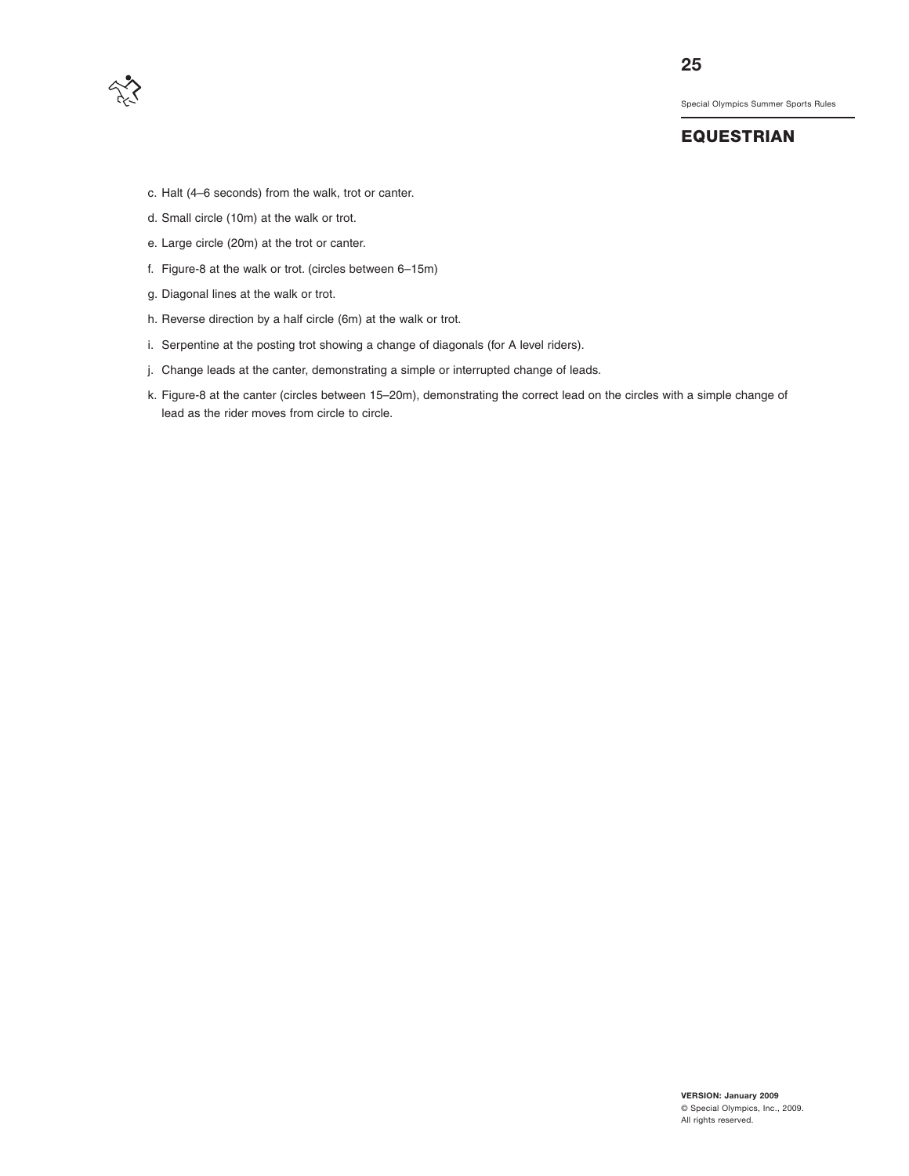

# **EQUESTRIAN**

- c. Halt (4–6 seconds) from the walk, trot or canter.
- d. Small circle (10m) at the walk or trot.
- e. Large circle (20m) at the trot or canter.
- f. Figure-8 at the walk or trot. (circles between 6–15m)
- g. Diagonal lines at the walk or trot.
- h. Reverse direction by a half circle (6m) at the walk or trot.
- i. Serpentine at the posting trot showing a change of diagonals (for A level riders).
- j. Change leads at the canter, demonstrating a simple or interrupted change of leads.
- k. Figure-8 at the canter (circles between 15–20m), demonstrating the correct lead on the circles with a simple change of lead as the rider moves from circle to circle.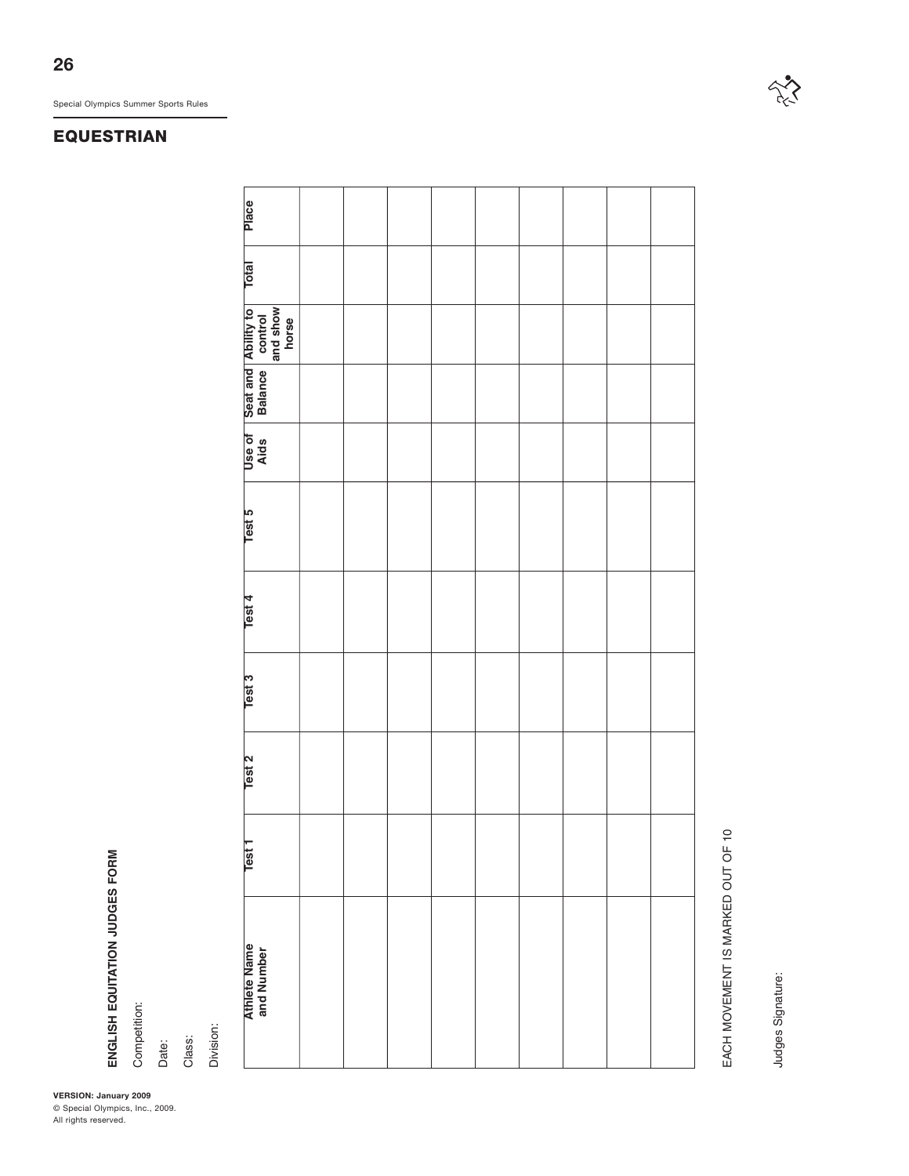# **EQUESTRIAN**

Place **Total Place**Total **and show Ability to control horse Seat and Balance Aids Test 1 Test 2 Test 3 Test 4 Test 5 Use of** Test 5 Test 4 Test 3 Test 2 Test<sub>1</sub> **Athlete Name**<br>and Number **Athlete Name and Number**

EACH MOVEMENT IS MARKED OUT OF 10 EACH MOVEMENT IS MARKED OUT OF 10

Judges Signature: Judges Signature:

**VERSION: January 2009** Special Olympics Summer Sports Rules<br> **EQUESTRIAN**<br> **EQUESTRIAN**<br>
<sup>OS</sup> Reserved.<br>
All rights reserved.<br>
All rights reserved.

**ENGLISH EQUITATION JUDGES FORM** Competition: Date:

Class: Division:

© Special Olympics, Inc., 2009.

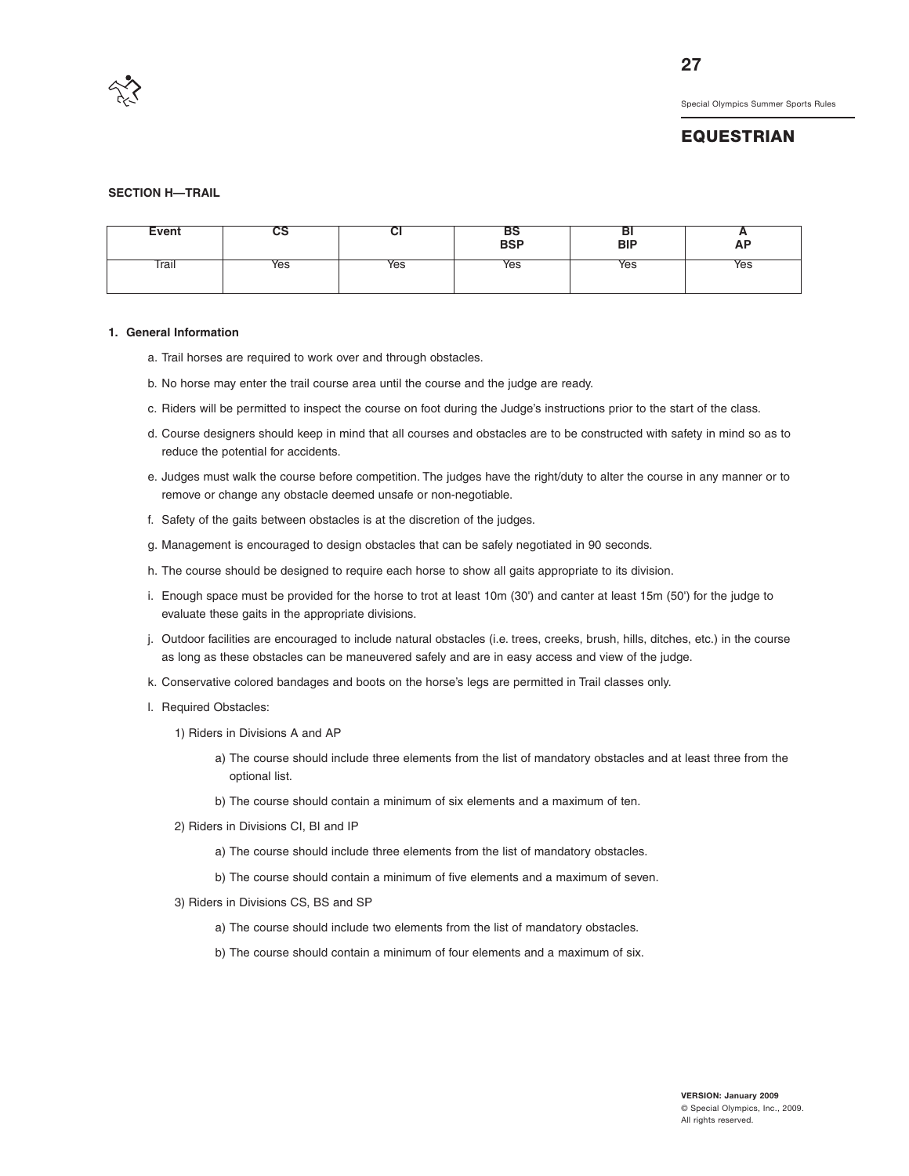

## **EQUESTRIAN**

#### **SECTION H—TRAIL**

| Event | co  | ◡   | вэ<br>BSP | ÞІ<br><b>BIP</b> | n<br><b>AP</b> |
|-------|-----|-----|-----------|------------------|----------------|
| Trail | Yes | Yes | Yes       | Yes              | Yes            |

#### **1. General Information**

- a. Trail horses are required to work over and through obstacles.
- b. No horse may enter the trail course area until the course and the judge are ready.
- c. Riders will be permitted to inspect the course on foot during the Judge's instructions prior to the start of the class.
- d. Course designers should keep in mind that all courses and obstacles are to be constructed with safety in mind so as to reduce the potential for accidents.
- e. Judges must walk the course before competition. The judges have the right/duty to alter the course in any manner or to remove or change any obstacle deemed unsafe or non-negotiable.
- f. Safety of the gaits between obstacles is at the discretion of the judges.
- g. Management is encouraged to design obstacles that can be safely negotiated in 90 seconds.
- h. The course should be designed to require each horse to show all gaits appropriate to its division.
- i. Enough space must be provided for the horse to trot at least 10m (30') and canter at least 15m (50') for the judge to evaluate these gaits in the appropriate divisions.
- j. Outdoor facilities are encouraged to include natural obstacles (i.e. trees, creeks, brush, hills, ditches, etc.) in the course as long as these obstacles can be maneuvered safely and are in easy access and view of the judge.
- k. Conservative colored bandages and boots on the horse's legs are permitted in Trail classes only.
- l. Required Obstacles:
	- 1) Riders in Divisions A and AP
		- a) The course should include three elements from the list of mandatory obstacles and at least three from the optional list.
		- b) The course should contain a minimum of six elements and a maximum of ten.
	- 2) Riders in Divisions CI, BI and IP
		- a) The course should include three elements from the list of mandatory obstacles.
		- b) The course should contain a minimum of five elements and a maximum of seven.
	- 3) Riders in Divisions CS, BS and SP
		- a) The course should include two elements from the list of mandatory obstacles.
		- b) The course should contain a minimum of four elements and a maximum of six.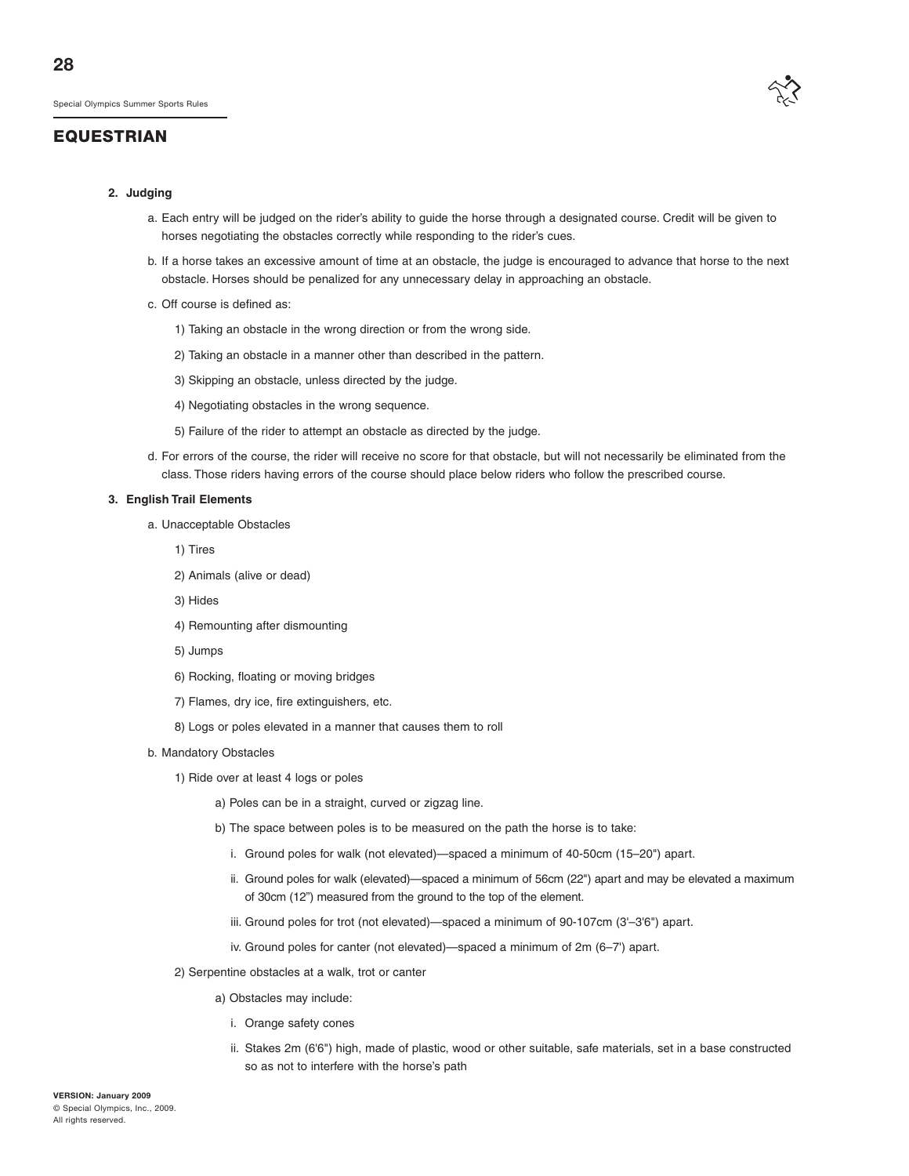#### **2. Judging**

- a. Each entry will be judged on the rider's ability to guide the horse through a designated course. Credit will be given to horses negotiating the obstacles correctly while responding to the rider's cues.
- b. If a horse takes an excessive amount of time at an obstacle, the judge is encouraged to advance that horse to the next obstacle. Horses should be penalized for any unnecessary delay in approaching an obstacle.
- c. Off course is defined as:
	- 1) Taking an obstacle in the wrong direction or from the wrong side.
	- 2) Taking an obstacle in a manner other than described in the pattern.
	- 3) Skipping an obstacle, unless directed by the judge.
	- 4) Negotiating obstacles in the wrong sequence.
	- 5) Failure of the rider to attempt an obstacle as directed by the judge.
- d. For errors of the course, the rider will receive no score for that obstacle, but will not necessarily be eliminated from the class. Those riders having errors of the course should place below riders who follow the prescribed course.

#### **3. English Trail Elements**

- a. Unacceptable Obstacles
	- 1) Tires
	- 2) Animals (alive or dead)
	- 3) Hides
	- 4) Remounting after dismounting
	- 5) Jumps
	- 6) Rocking, floating or moving bridges
	- 7) Flames, dry ice, fire extinguishers, etc.
	- 8) Logs or poles elevated in a manner that causes them to roll
- b. Mandatory Obstacles
	- 1) Ride over at least 4 logs or poles
		- a) Poles can be in a straight, curved or zigzag line.
		- b) The space between poles is to be measured on the path the horse is to take:
			- i. Ground poles for walk (not elevated)—spaced a minimum of 40-50cm (15–20") apart.
			- ii. Ground poles for walk (elevated)—spaced a minimum of 56cm (22") apart and may be elevated a maximum of 30cm (12") measured from the ground to the top of the element.
			- iii. Ground poles for trot (not elevated)—spaced a minimum of 90-107cm (3'–3'6") apart.
			- iv. Ground poles for canter (not elevated)—spaced a minimum of 2m (6–7') apart.
	- 2) Serpentine obstacles at a walk, trot or canter
		- a) Obstacles may include:
			- i. Orange safety cones
			- ii. Stakes 2m (6'6") high, made of plastic, wood or other suitable, safe materials, set in a base constructed so as not to interfere with the horse's path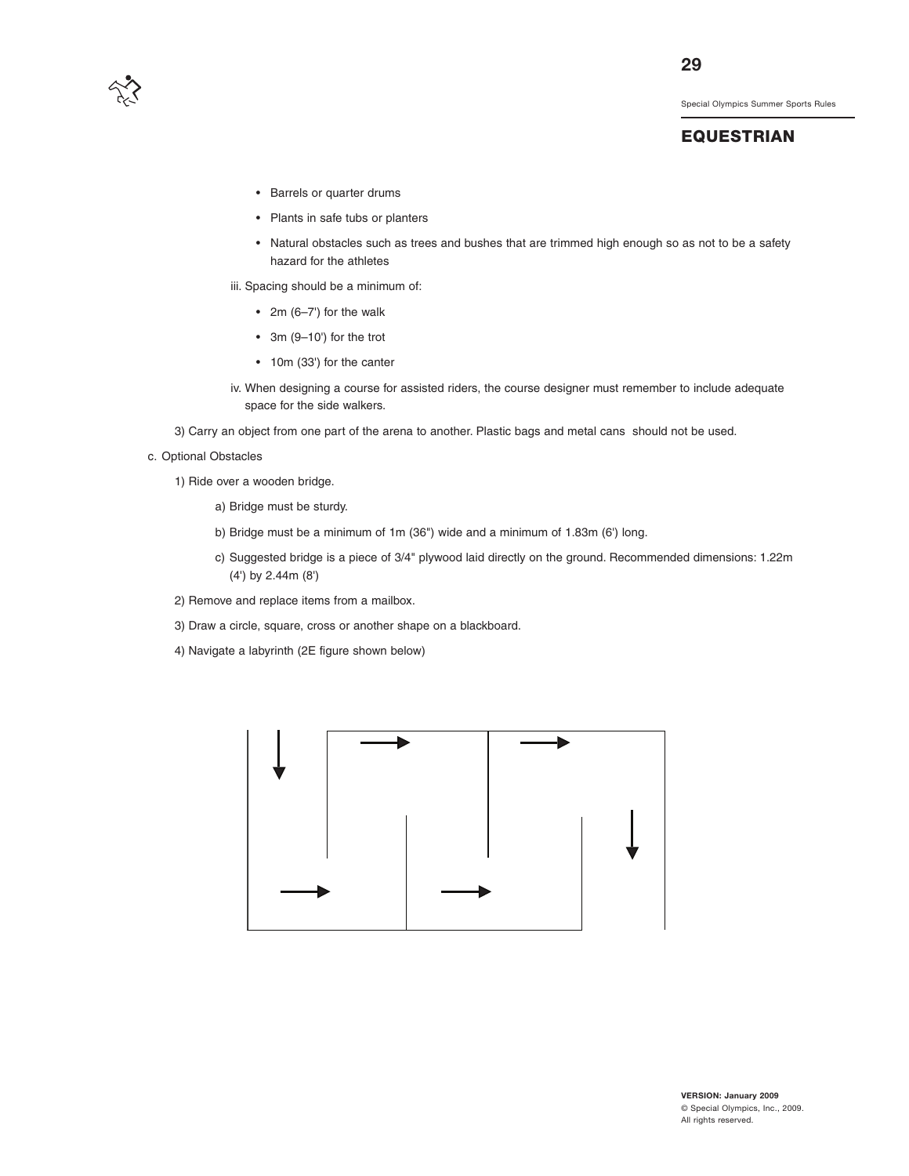

## **EQUESTRIAN**

- Barrels or quarter drums
- Plants in safe tubs or planters
- Natural obstacles such as trees and bushes that are trimmed high enough so as not to be a safety hazard for the athletes

iii. Spacing should be a minimum of:

- 2m  $(6-7')$  for the walk
- 3m (9–10') for the trot
- 10m (33') for the canter
- iv. When designing a course for assisted riders, the course designer must remember to include adequate space for the side walkers.
- 3) Carry an object from one part of the arena to another. Plastic bags and metal cans should not be used.
- c. Optional Obstacles
	- 1) Ride over a wooden bridge.
		- a) Bridge must be sturdy.
		- b) Bridge must be a minimum of 1m (36") wide and a minimum of 1.83m (6') long.
		- c) Suggested bridge is a piece of 3/4" plywood laid directly on the ground. Recommended dimensions: 1.22m (4') by 2.44m (8')
	- 2) Remove and replace items from a mailbox.
	- 3) Draw a circle, square, cross or another shape on a blackboard.
	- 4) Navigate a labyrinth (2E figure shown below)

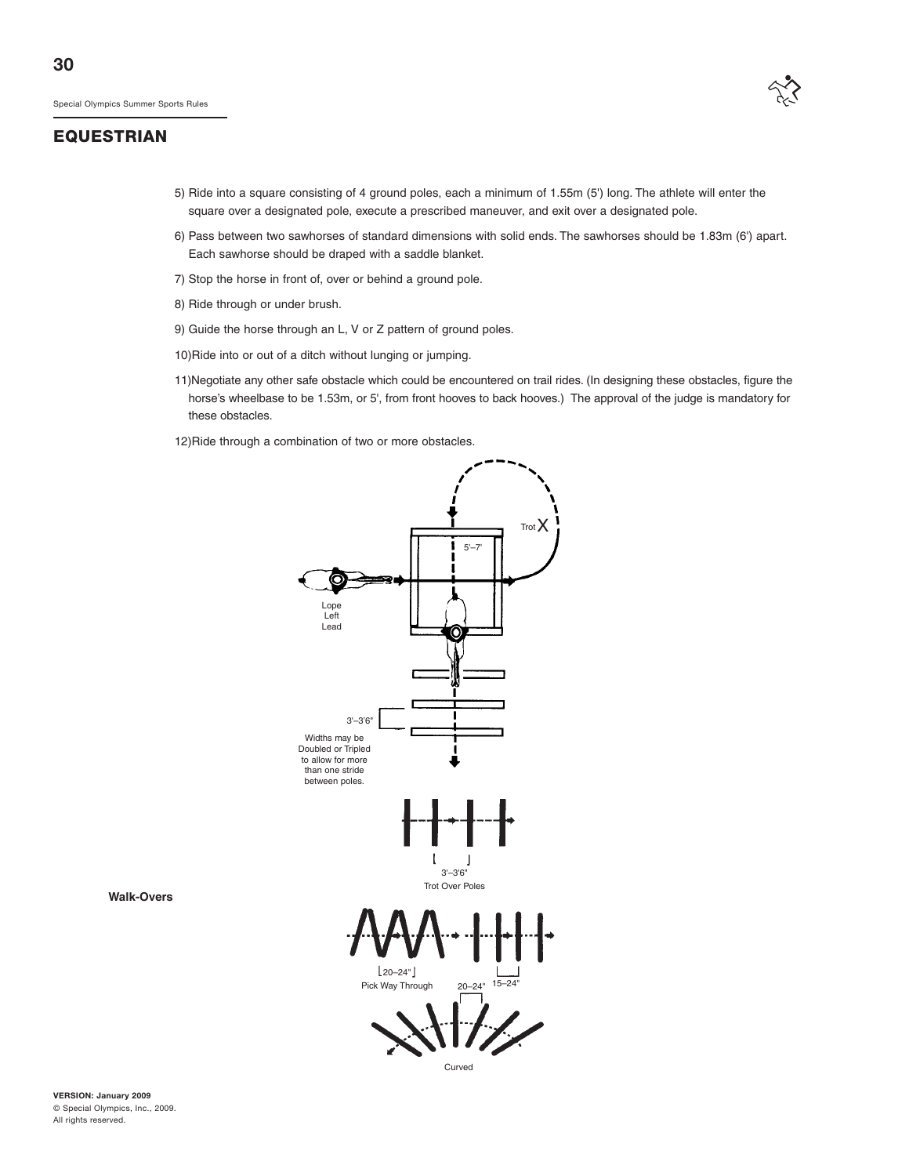

- 5) Ride into a square consisting of 4 ground poles, each a minimum of 1.55m (5') long. The athlete will enter the square over a designated pole, execute a prescribed maneuver, and exit over a designated pole.
- 6) Pass between two sawhorses of standard dimensions with solid ends. The sawhorses should be 1.83m (6') apart. Each sawhorse should be draped with a saddle blanket.
- 7) Stop the horse in front of, over or behind a ground pole.
- 8) Ride through or under brush.
- 9) Guide the horse through an L, V or Z pattern of ground poles.
- 10)Ride into or out of a ditch without lunging or jumping.
- 11)Negotiate any other safe obstacle which could be encountered on trail rides. (In designing these obstacles, figure the horse's wheelbase to be 1.53m, or 5', from front hooves to back hooves.) The approval of the judge is mandatory for these obstacles.

12)Ride through a combination of two or more obstacles.



**Walk-Overs**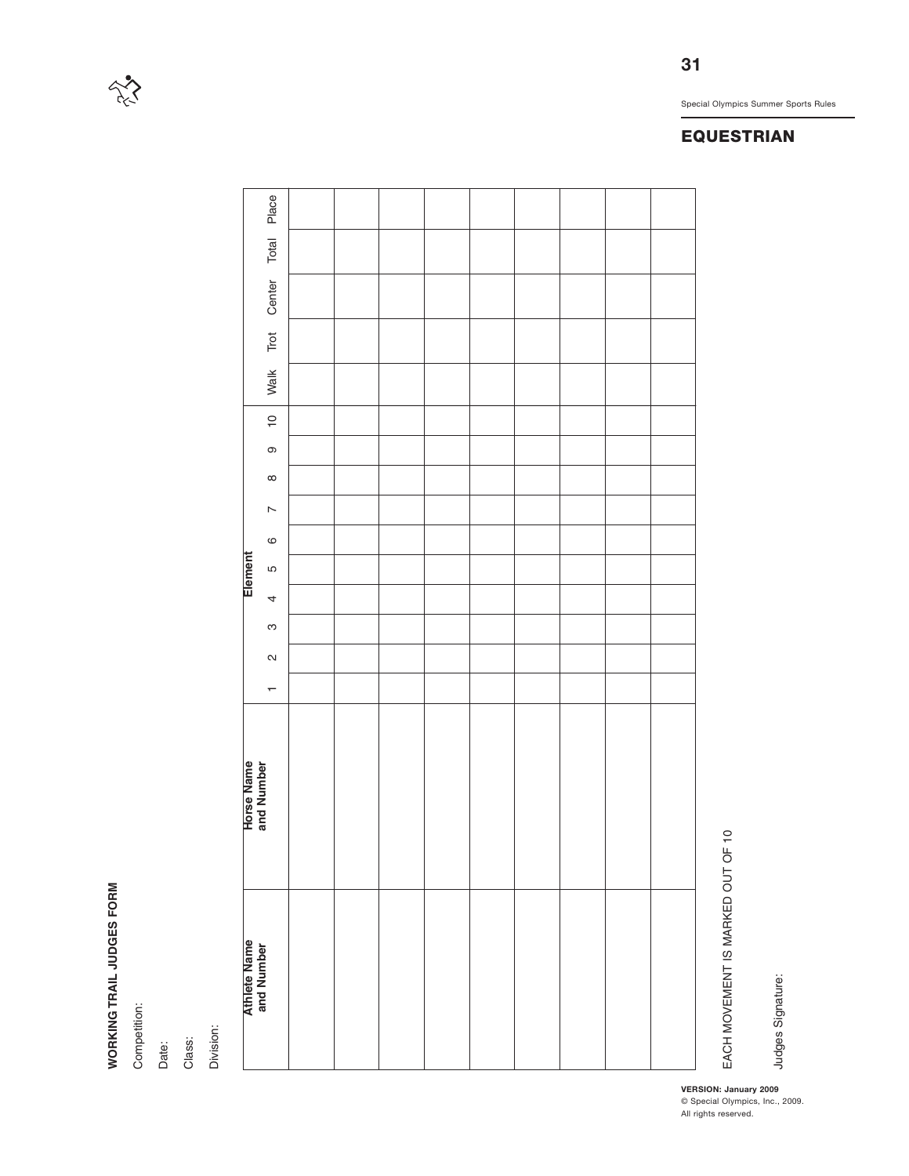# WORKING TRAIL JUDGES FORM **WORKING TRAIL JUDGES FORM**

 $\sum_{i=1}^{n}$ 

Competition: Competition:

Date:

Class: Division:

|                                   |                          |  |  |  |  | <b>EQUESTRIAN</b>                                      |
|-----------------------------------|--------------------------|--|--|--|--|--------------------------------------------------------|
|                                   |                          |  |  |  |  |                                                        |
|                                   |                          |  |  |  |  |                                                        |
|                                   | Place                    |  |  |  |  |                                                        |
|                                   | Total                    |  |  |  |  |                                                        |
|                                   | Center                   |  |  |  |  |                                                        |
|                                   | Trot                     |  |  |  |  |                                                        |
|                                   | Walk                     |  |  |  |  |                                                        |
|                                   | $\overline{C}$           |  |  |  |  |                                                        |
|                                   | $\mathbb O$              |  |  |  |  |                                                        |
|                                   | $\infty$                 |  |  |  |  |                                                        |
|                                   | $\overline{\phantom{a}}$ |  |  |  |  |                                                        |
|                                   | $\mathbf{\circ}$         |  |  |  |  |                                                        |
| Element                           | Ю                        |  |  |  |  |                                                        |
|                                   | 4                        |  |  |  |  |                                                        |
|                                   | S                        |  |  |  |  |                                                        |
|                                   | $\boldsymbol{\sim}$      |  |  |  |  |                                                        |
|                                   | $\overline{\phantom{0}}$ |  |  |  |  |                                                        |
| <b>Horse Name</b><br>and Number   |                          |  |  |  |  |                                                        |
| <b>Athlete Name</b><br>and Number |                          |  |  |  |  | EACH MOVEMENT IS MARKED OUT OF 10<br>Judges Signature: |

Special Olympics Summer Sports Rules

© Special Olympics, Inc., 2009.

**31**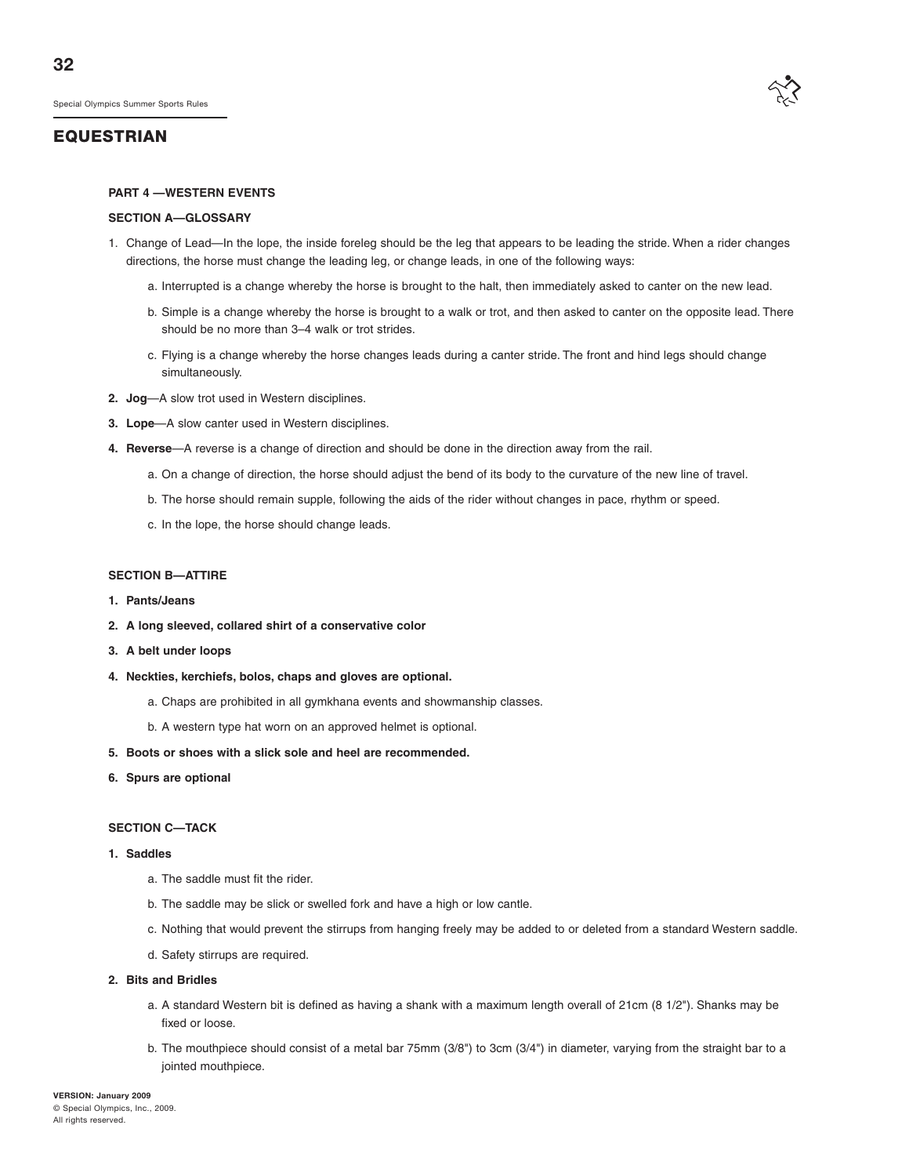#### **PART 4 —WESTERN EVENTS**

#### **SECTION A—GLOSSARY**

- 1. Change of Lead—In the lope, the inside foreleg should be the leg that appears to be leading the stride. When a rider changes directions, the horse must change the leading leg, or change leads, in one of the following ways:
	- a. Interrupted is a change whereby the horse is brought to the halt, then immediately asked to canter on the new lead.
	- b. Simple is a change whereby the horse is brought to a walk or trot, and then asked to canter on the opposite lead. There should be no more than 3–4 walk or trot strides.
	- c. Flying is a change whereby the horse changes leads during a canter stride. The front and hind legs should change simultaneously.
- **2. Jog**—A slow trot used in Western disciplines.
- **3. Lope**—A slow canter used in Western disciplines.
- **4. Reverse**—A reverse is a change of direction and should be done in the direction away from the rail.
	- a. On a change of direction, the horse should adjust the bend of its body to the curvature of the new line of travel.
	- b. The horse should remain supple, following the aids of the rider without changes in pace, rhythm or speed.
	- c. In the lope, the horse should change leads.

#### **SECTION B—ATTIRE**

- **1. Pants/Jeans**
- **2. A long sleeved, collared shirt of a conservative color**
- **3. A belt under loops**
- **4. Neckties, kerchiefs, bolos, chaps and gloves are optional.**
	- a. Chaps are prohibited in all gymkhana events and showmanship classes.
	- b. A western type hat worn on an approved helmet is optional.
- **5. Boots or shoes with a slick sole and heel are recommended.**
- **6. Spurs are optional**

#### **SECTION C—TACK**

#### **1. Saddles**

- a. The saddle must fit the rider.
- b. The saddle may be slick or swelled fork and have a high or low cantle.
- c. Nothing that would prevent the stirrups from hanging freely may be added to or deleted from a standard Western saddle.
- d. Safety stirrups are required.

#### **2. Bits and Bridles**

- a. A standard Western bit is defined as having a shank with a maximum length overall of 21cm (8 1/2"). Shanks may be fixed or loose.
- b. The mouthpiece should consist of a metal bar 75mm (3/8") to 3cm (3/4") in diameter, varying from the straight bar to a jointed mouthpiece.

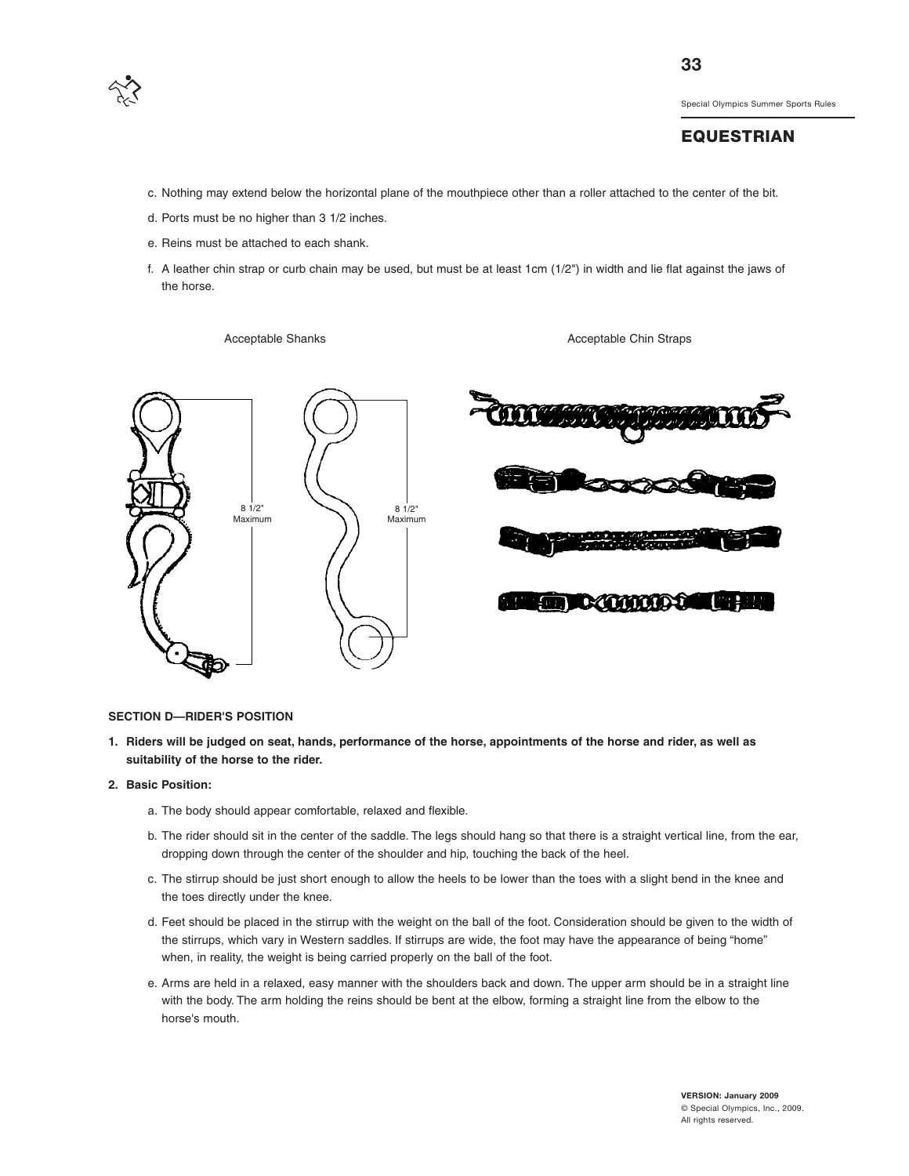

#### **EQUESTRIAN**

- c. Nothing may extend below the horizontal plane of the mouthpiece other than a roller attached to the center of the bit.
- d. Ports must be no higher than 3 1/2 inches.
- e. Reins must be attached to each shank.
- f. A leather chin strap or curb chain may be used, but must be at least 1cm (1/2") in width and lie flat against the jaws of the horse.

Acceptable Shanks **Acceptable Chin Straps** Acceptable Chin Straps



#### **SECTION D—RIDER'S POSITION**

- **1. Riders will be judged on seat, hands, performance of the horse, appointments of the horse and rider, as well as suitability of the horse to the rider.**
- **2. Basic Position:**
	- a. The body should appear comfortable, relaxed and flexible.
	- b. The rider should sit in the center of the saddle. The legs should hang so that there is a straight vertical line, from the ear, dropping down through the center of the shoulder and hip, touching the back of the heel.
	- c. The stirrup should be just short enough to allow the heels to be lower than the toes with a slight bend in the knee and the toes directly under the knee.
	- d. Feet should be placed in the stirrup with the weight on the ball of the foot. Consideration should be given to the width of the stirrups, which vary in Western saddles. If stirrups are wide, the foot may have the appearance of being "home" when, in reality, the weight is being carried properly on the ball of the foot.
	- e. Arms are held in a relaxed, easy manner with the shoulders back and down. The upper arm should be in a straight line with the body. The arm holding the reins should be bent at the elbow, forming a straight line from the elbow to the horse's mouth.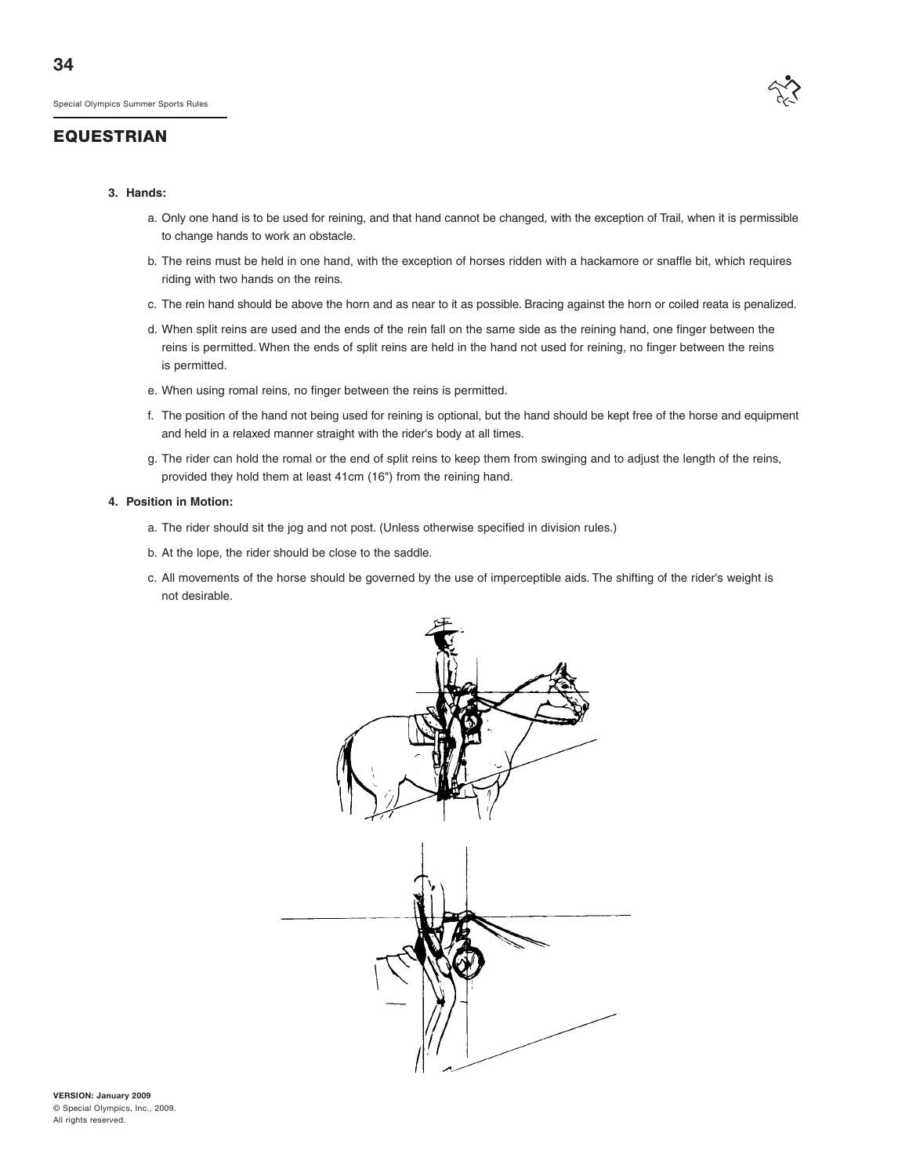#### **EQUESTRIAN**



#### **3. Hands:**

- a. Only one hand is to be used for reining, and that hand cannot be changed, with the exception of Trail, when it is permissible to change hands to work an obstacle.
- b. The reins must be held in one hand, with the exception of horses ridden with a hackamore or snaffle bit, which requires riding with two hands on the reins.
- c. The rein hand should be above the horn and as near to it as possible. Bracing against the horn or coiled reata is penalized.
- d. When split reins are used and the ends of the rein fall on the same side as the reining hand, one finger between the reins is permitted. When the ends of split reins are held in the hand not used for reining, no finger between the reins is permitted.
- e. When using romal reins, no finger between the reins is permitted.
- f. The position of the hand not being used for reining is optional, but the hand should be kept free of the horse and equipment and held in a relaxed manner straight with the rider's body at all times.
- g. The rider can hold the romal or the end of split reins to keep them from swinging and to adjust the length of the reins, provided they hold them at least 41cm (16") from the reining hand.

#### **4. Position in Motion:**

- a. The rider should sit the jog and not post. (Unless otherwise specified in division rules.)
- b. At the lope, the rider should be close to the saddle.
- c. All movements of the horse should be governed by the use of imperceptible aids. The shifting of the rider's weight is not desirable.

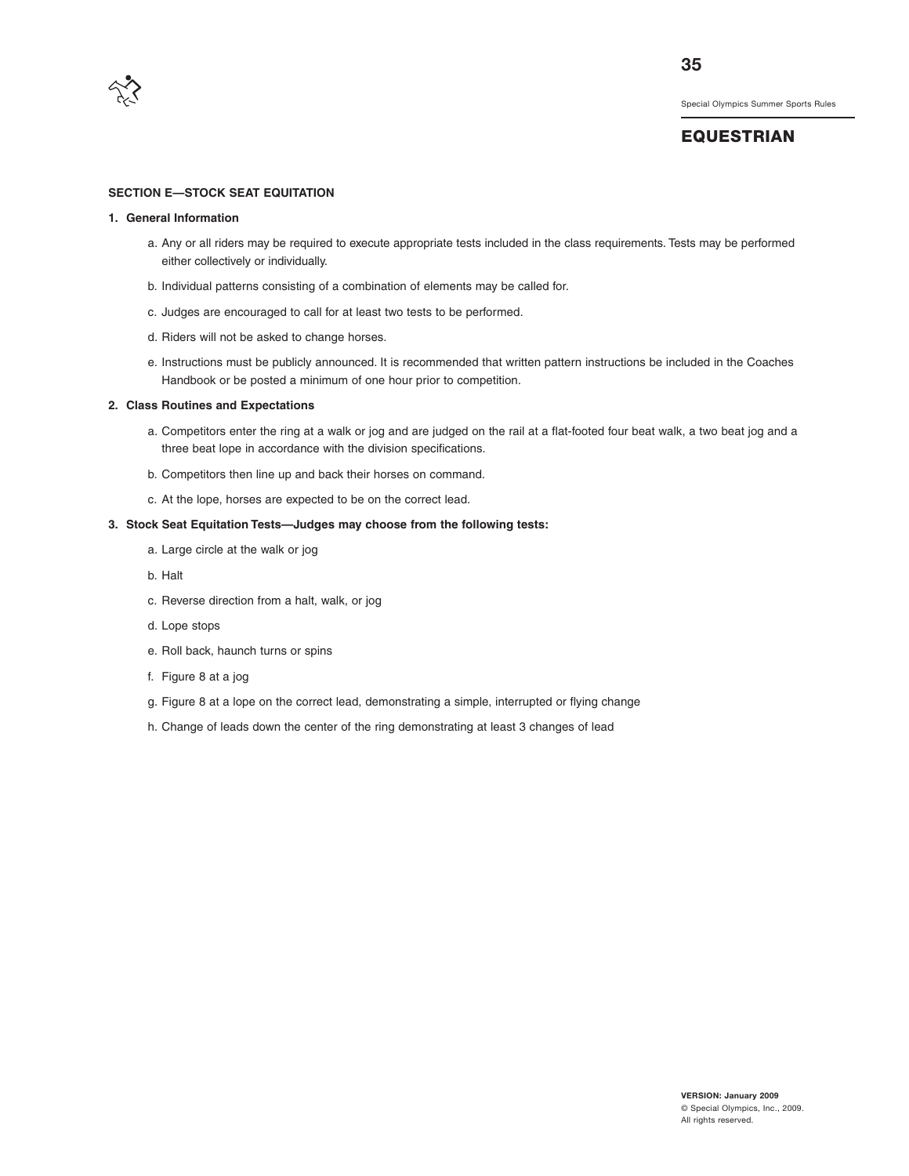

# **EQUESTRIAN**

#### **SECTION E—STOCK SEAT EQUITATION**

#### **1. General Information**

- a. Any or all riders may be required to execute appropriate tests included in the class requirements. Tests may be performed either collectively or individually.
- b. Individual patterns consisting of a combination of elements may be called for.
- c. Judges are encouraged to call for at least two tests to be performed.
- d. Riders will not be asked to change horses.
- e. Instructions must be publicly announced. It is recommended that written pattern instructions be included in the Coaches Handbook or be posted a minimum of one hour prior to competition.

#### **2. Class Routines and Expectations**

- a. Competitors enter the ring at a walk or jog and are judged on the rail at a flat-footed four beat walk, a two beat jog and a three beat lope in accordance with the division specifications.
- b. Competitors then line up and back their horses on command.
- c. At the lope, horses are expected to be on the correct lead.

#### **3. Stock Seat Equitation Tests—Judges may choose from the following tests:**

- a. Large circle at the walk or jog
- b. Halt
- c. Reverse direction from a halt, walk, or jog
- d. Lope stops
- e. Roll back, haunch turns or spins
- f. Figure 8 at a jog
- g. Figure 8 at a lope on the correct lead, demonstrating a simple, interrupted or flying change
- h. Change of leads down the center of the ring demonstrating at least 3 changes of lead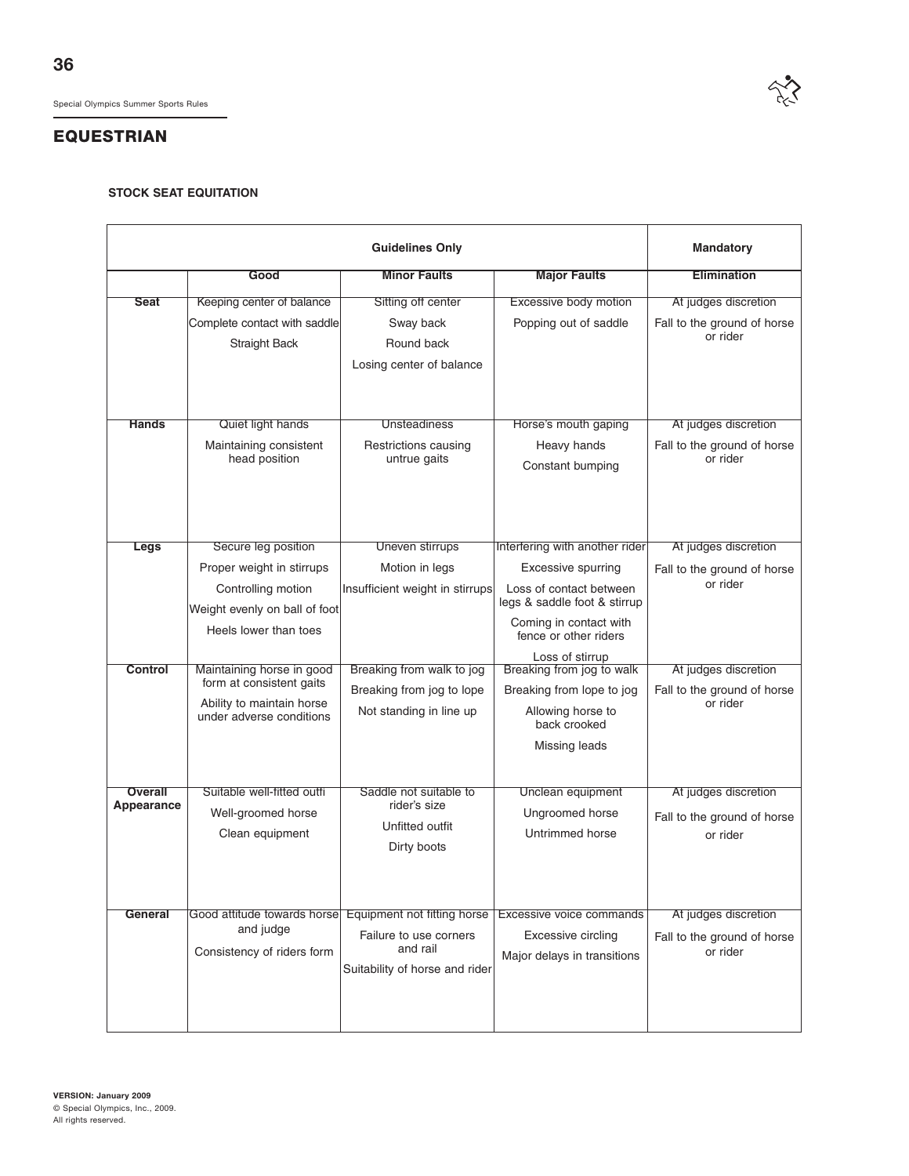#### **STOCK SEAT EQUITATION**

|                       |                                                       | <b>Guidelines Only</b>                     |                                                         | <b>Mandatory</b>                        |
|-----------------------|-------------------------------------------------------|--------------------------------------------|---------------------------------------------------------|-----------------------------------------|
|                       | Good                                                  | <b>Minor Faults</b>                        | <b>Major Faults</b>                                     | <b>Elimination</b>                      |
| <b>Seat</b>           | Keeping center of balance                             | Sitting off center                         | Excessive body motion                                   | At judges discretion                    |
|                       | Complete contact with saddle                          | Sway back                                  | Popping out of saddle                                   | Fall to the ground of horse<br>or rider |
|                       | <b>Straight Back</b>                                  | Round back                                 |                                                         |                                         |
|                       |                                                       | Losing center of balance                   |                                                         |                                         |
|                       |                                                       |                                            |                                                         |                                         |
| <b>Hands</b>          | Quiet light hands                                     | <b>Unsteadiness</b>                        | Horse's mouth gaping                                    | At judges discretion                    |
|                       | Maintaining consistent                                | Restrictions causing                       | Heavy hands                                             | Fall to the ground of horse             |
|                       | head position                                         | untrue gaits                               | Constant bumping                                        | or rider                                |
|                       |                                                       |                                            |                                                         |                                         |
|                       |                                                       |                                            |                                                         |                                         |
|                       |                                                       |                                            |                                                         |                                         |
| Legs                  | Secure leg position                                   | Uneven stirrups                            | Interfering with another rider                          | At judges discretion                    |
|                       | Proper weight in stirrups                             | Motion in legs                             | Excessive spurring                                      | Fall to the ground of horse<br>or rider |
|                       | Controlling motion                                    | Insufficient weight in stirrups            | Loss of contact between<br>legs & saddle foot & stirrup |                                         |
|                       | Weight evenly on ball of foot                         |                                            | Coming in contact with                                  |                                         |
|                       | Heels lower than toes                                 |                                            | fence or other riders                                   |                                         |
| <b>Control</b>        | Maintaining horse in good                             | Breaking from walk to jog                  | Loss of stirrup<br>Breaking from jog to walk            | At judges discretion                    |
|                       | form at consistent gaits                              | Breaking from jog to lope                  | Breaking from lope to jog                               | Fall to the ground of horse             |
|                       | Ability to maintain horse<br>under adverse conditions | Not standing in line up                    | Allowing horse to                                       | or rider                                |
|                       |                                                       |                                            | back crooked                                            |                                         |
|                       |                                                       |                                            | Missing leads                                           |                                         |
|                       |                                                       |                                            |                                                         |                                         |
| Overall<br>Appearance | Suitable well-fitted outfi                            | Saddle not suitable to<br>rider's size     | Unclean equipment                                       | At judges discretion                    |
|                       | Well-groomed horse<br>Clean equipment                 | Unfitted outfit                            | Ungroomed horse<br>Untrimmed horse                      | Fall to the ground of horse             |
|                       |                                                       | Dirty boots                                |                                                         | or rider                                |
|                       |                                                       |                                            |                                                         |                                         |
|                       |                                                       |                                            |                                                         |                                         |
| General               | Good attitude towards horse                           | Equipment not fitting horse                | Excessive voice commands                                | At judges discretion                    |
|                       | and judge                                             | Failure to use corners                     | Excessive circling                                      | Fall to the ground of horse             |
|                       | Consistency of riders form                            | and rail<br>Suitability of horse and rider | Major delays in transitions                             | or rider                                |
|                       |                                                       |                                            |                                                         |                                         |
|                       |                                                       |                                            |                                                         |                                         |
|                       |                                                       |                                            |                                                         |                                         |

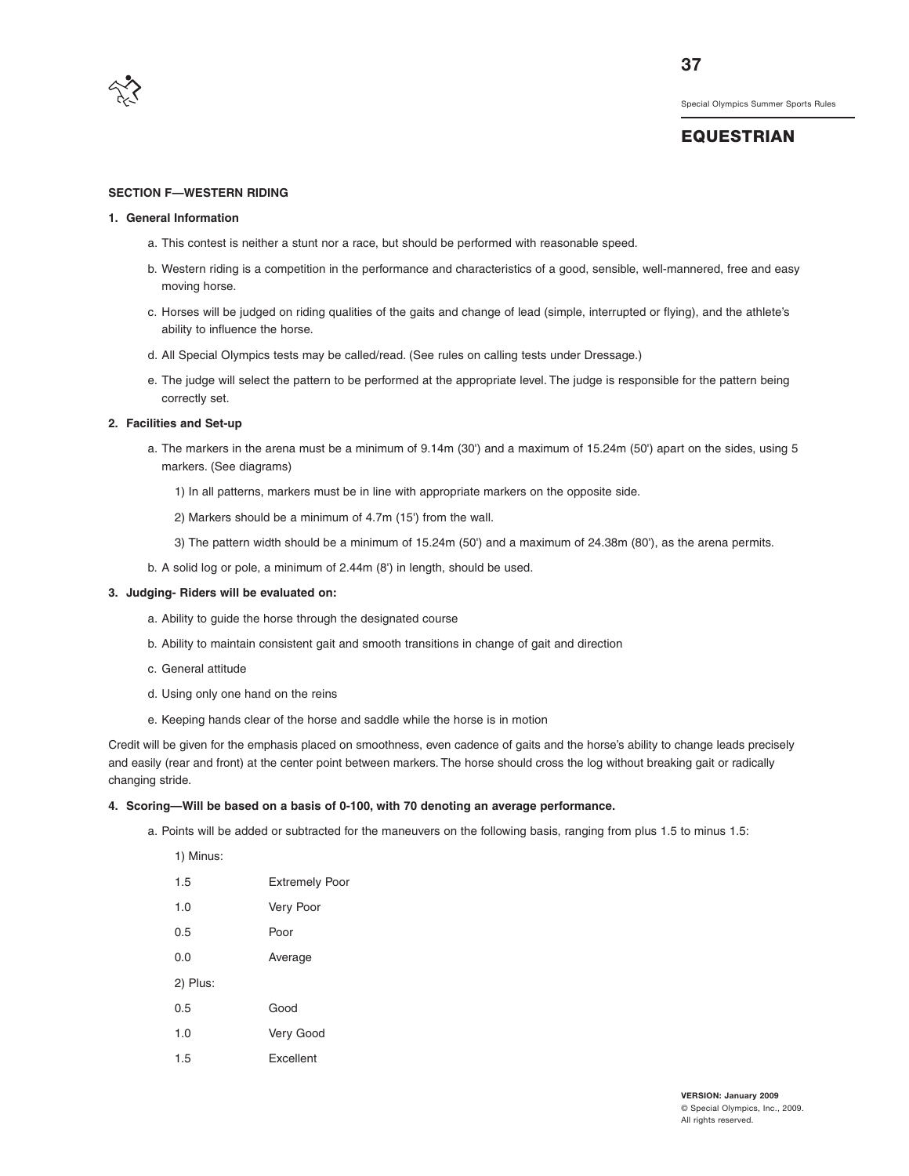

# **EQUESTRIAN**

#### **SECTION F—WESTERN RIDING**

#### **1. General Information**

- a. This contest is neither a stunt nor a race, but should be performed with reasonable speed.
- b. Western riding is a competition in the performance and characteristics of a good, sensible, well-mannered, free and easy moving horse.
- c. Horses will be judged on riding qualities of the gaits and change of lead (simple, interrupted or flying), and the athlete's ability to influence the horse.
- d. All Special Olympics tests may be called/read. (See rules on calling tests under Dressage.)
- e. The judge will select the pattern to be performed at the appropriate level. The judge is responsible for the pattern being correctly set.

#### **2. Facilities and Set-up**

- a. The markers in the arena must be a minimum of 9.14m (30') and a maximum of 15.24m (50') apart on the sides, using 5 markers. (See diagrams)
	- 1) In all patterns, markers must be in line with appropriate markers on the opposite side.
	- 2) Markers should be a minimum of 4.7m (15') from the wall.
	- 3) The pattern width should be a minimum of 15.24m (50') and a maximum of 24.38m (80'), as the arena permits.
- b. A solid log or pole, a minimum of 2.44m (8') in length, should be used.

#### **3. Judging- Riders will be evaluated on:**

- a. Ability to guide the horse through the designated course
- b. Ability to maintain consistent gait and smooth transitions in change of gait and direction
- c. General attitude
- d. Using only one hand on the reins
- e. Keeping hands clear of the horse and saddle while the horse is in motion

Credit will be given for the emphasis placed on smoothness, even cadence of gaits and the horse's ability to change leads precisely and easily (rear and front) at the center point between markers. The horse should cross the log without breaking gait or radically changing stride.

#### **4. Scoring—Will be based on a basis of 0-100, with 70 denoting an average performance.**

a. Points will be added or subtracted for the maneuvers on the following basis, ranging from plus 1.5 to minus 1.5:

| 1) Minus: |                       |
|-----------|-----------------------|
| 1.5       | <b>Extremely Poor</b> |
| 1.0       | Very Poor             |
| 0.5       | Poor                  |
| 0.0       | Average               |
| 2) Plus:  |                       |
| 0.5       | Good                  |
| 1.0       | Very Good             |
| 1.5       | <b>Fxcellent</b>      |
|           |                       |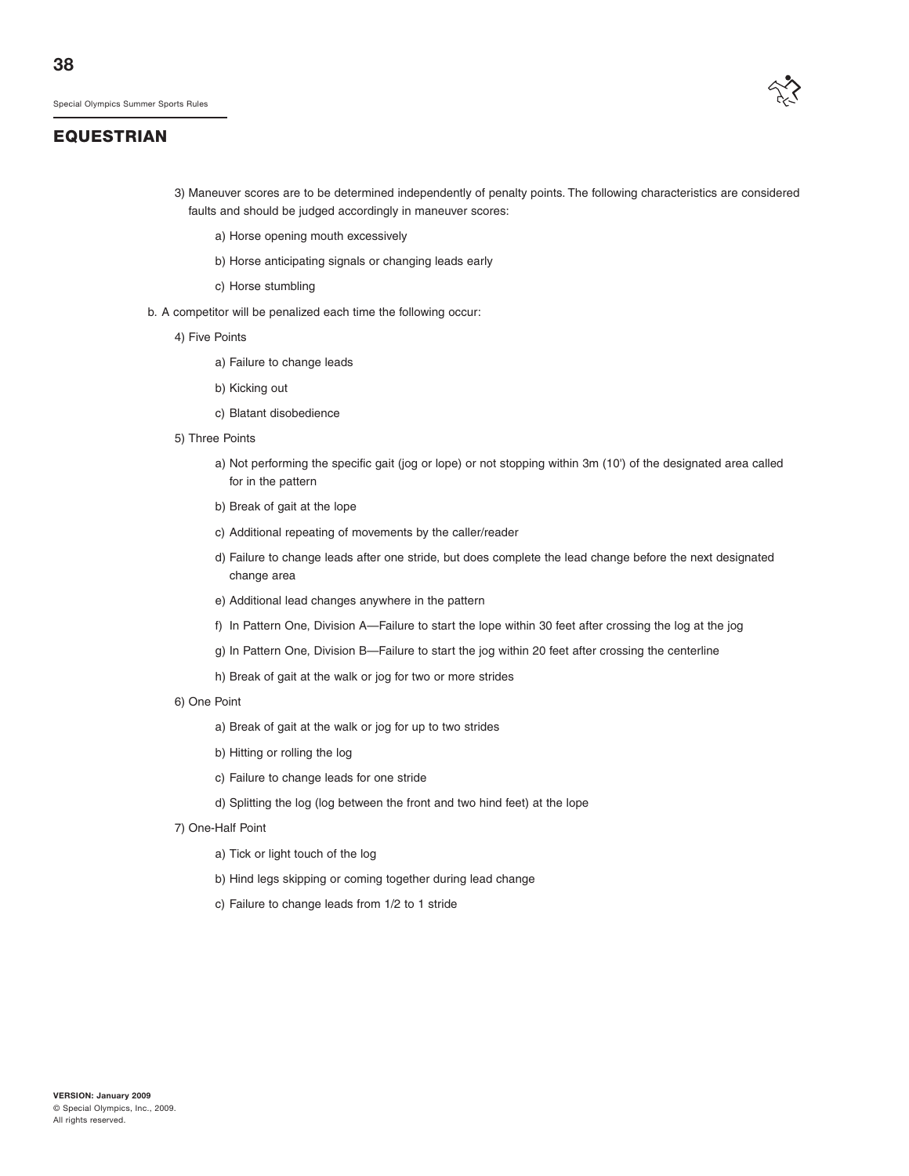# **EQUESTRIAN**



- 3) Maneuver scores are to be determined independently of penalty points. The following characteristics are considered faults and should be judged accordingly in maneuver scores:
	- a) Horse opening mouth excessively
	- b) Horse anticipating signals or changing leads early
	- c) Horse stumbling
- b. A competitor will be penalized each time the following occur:
	- 4) Five Points
		- a) Failure to change leads
		- b) Kicking out
		- c) Blatant disobedience
	- 5) Three Points
		- a) Not performing the specific gait (jog or lope) or not stopping within 3m (10') of the designated area called for in the pattern
		- b) Break of gait at the lope
		- c) Additional repeating of movements by the caller/reader
		- d) Failure to change leads after one stride, but does complete the lead change before the next designated change area
		- e) Additional lead changes anywhere in the pattern
		- f) In Pattern One, Division A—Failure to start the lope within 30 feet after crossing the log at the jog
		- g) In Pattern One, Division B—Failure to start the jog within 20 feet after crossing the centerline
		- h) Break of gait at the walk or jog for two or more strides
	- 6) One Point
		- a) Break of gait at the walk or jog for up to two strides
		- b) Hitting or rolling the log
		- c) Failure to change leads for one stride
		- d) Splitting the log (log between the front and two hind feet) at the lope
	- 7) One-Half Point
		- a) Tick or light touch of the log
		- b) Hind legs skipping or coming together during lead change
		- c) Failure to change leads from 1/2 to 1 stride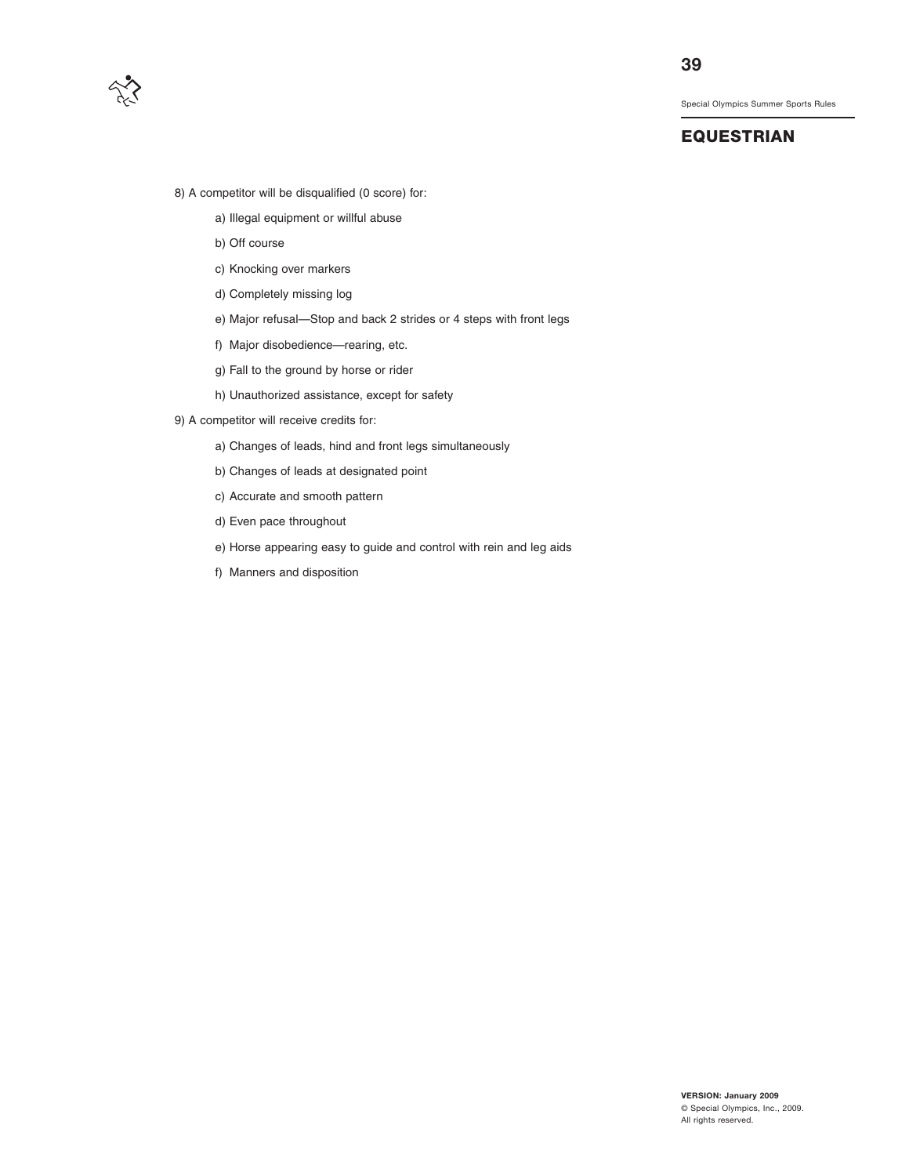

## **EQUESTRIAN**

- 8) A competitor will be disqualified (0 score) for:
	- a) Illegal equipment or willful abuse
	- b) Off course
	- c) Knocking over markers
	- d) Completely missing log
	- e) Major refusal—Stop and back 2 strides or 4 steps with front legs
	- f) Major disobedience—rearing, etc.
	- g) Fall to the ground by horse or rider
	- h) Unauthorized assistance, except for safety
- 9) A competitor will receive credits for:
	- a) Changes of leads, hind and front legs simultaneously
	- b) Changes of leads at designated point
	- c) Accurate and smooth pattern
	- d) Even pace throughout
	- e) Horse appearing easy to guide and control with rein and leg aids
	- f) Manners and disposition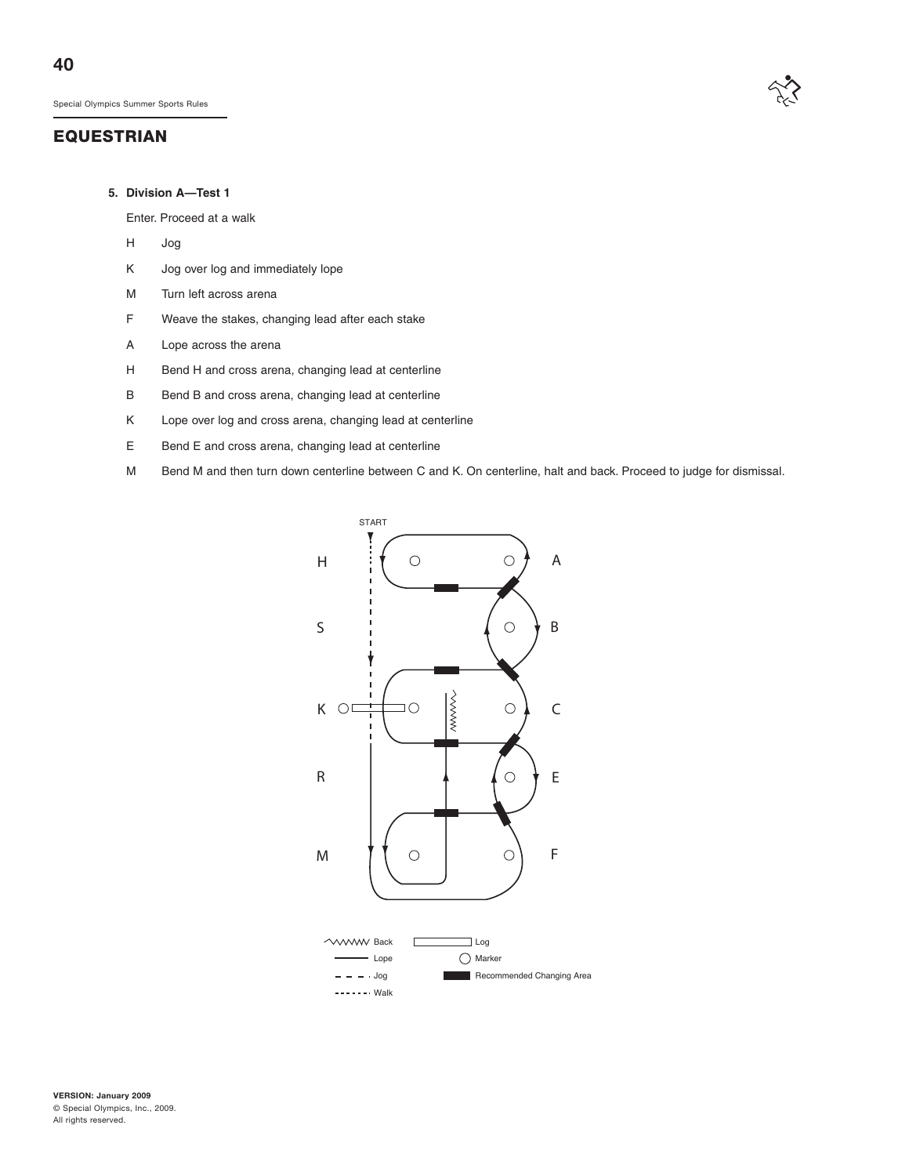## **EQUESTRIAN**



#### **5. Division A—Test 1**

Enter. Proceed at a walk

- H Jog
- K Jog over log and immediately lope
- M Turn left across arena
- F Weave the stakes, changing lead after each stake
- A Lope across the arena
- H Bend H and cross arena, changing lead at centerline
- B Bend B and cross arena, changing lead at centerline
- K Lope over log and cross arena, changing lead at centerline
- E Bend E and cross arena, changing lead at centerline
- M Bend M and then turn down centerline between C and K. On centerline, halt and back. Proceed to judge for dismissal.

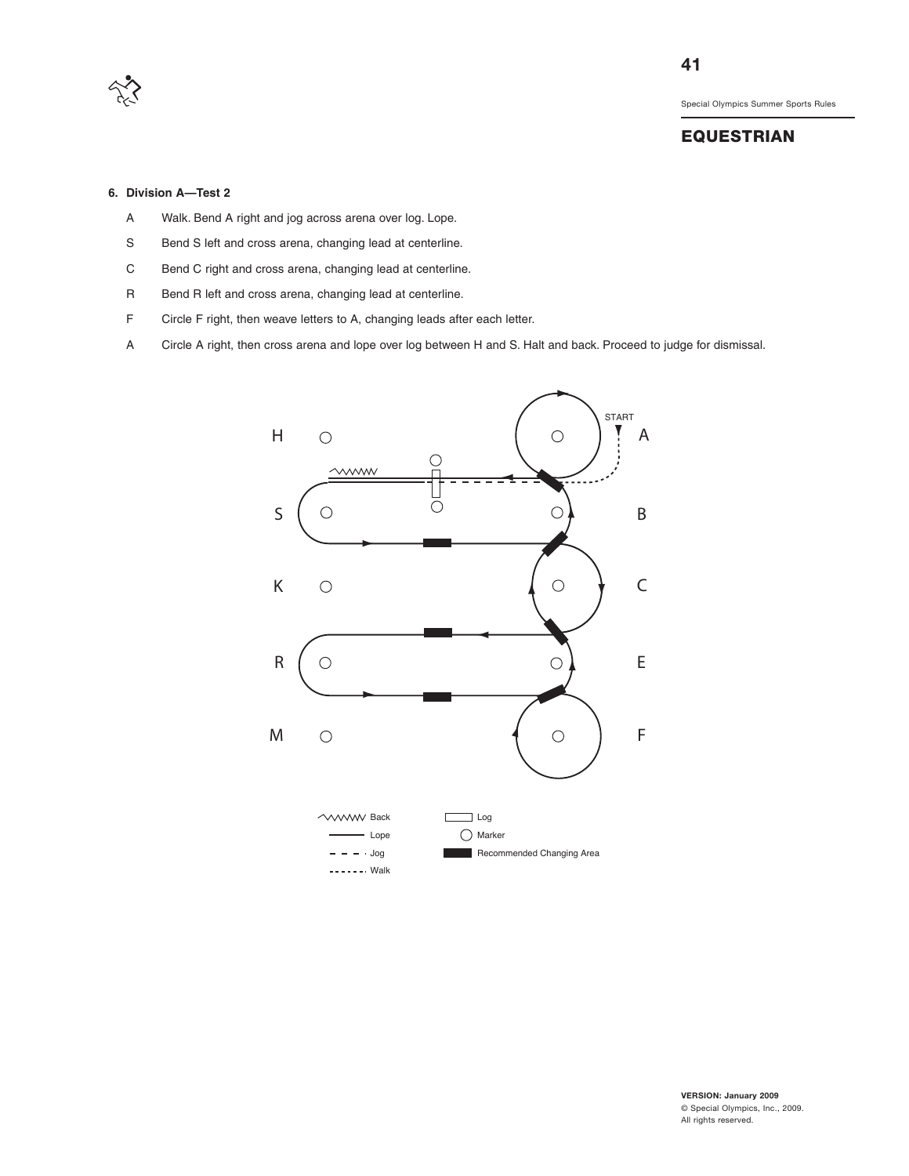

## **EQUESTRIAN**

#### **6. Division A—Test 2**

- A Walk. Bend A right and jog across arena over log. Lope.
- S Bend S left and cross arena, changing lead at centerline.
- C Bend C right and cross arena, changing lead at centerline.
- R Bend R left and cross arena, changing lead at centerline.
- F Circle F right, then weave letters to A, changing leads after each letter.
- A Circle A right, then cross arena and lope over log between H and S. Halt and back. Proceed to judge for dismissal.

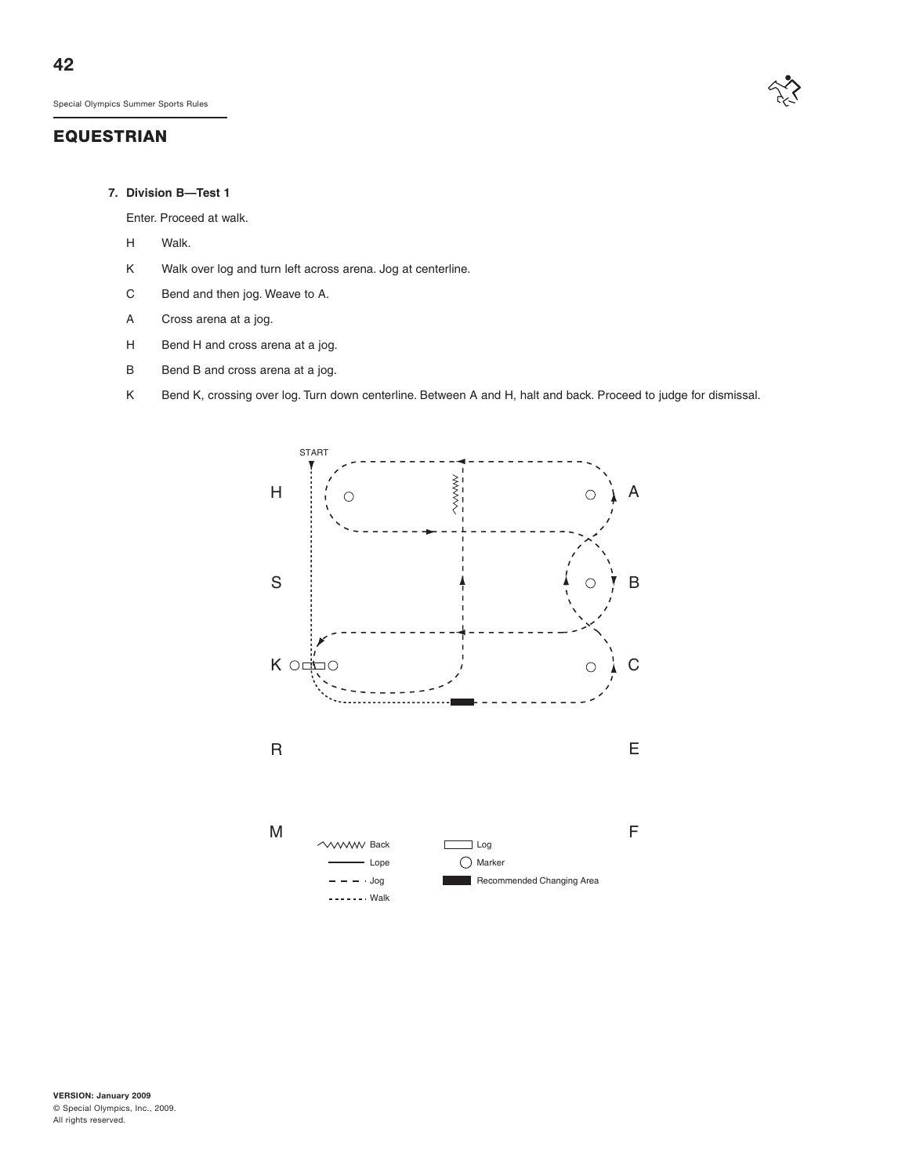# **EQUESTRIAN**



#### **7. Division B—Test 1**

Enter. Proceed at walk.

- H Walk.
- K Walk over log and turn left across arena. Jog at centerline.
- C Bend and then jog. Weave to A.
- A Cross arena at a jog.
- H Bend H and cross arena at a jog.
- B Bend B and cross arena at a jog.
- K Bend K, crossing over log. Turn down centerline. Between A and H, halt and back. Proceed to judge for dismissal.

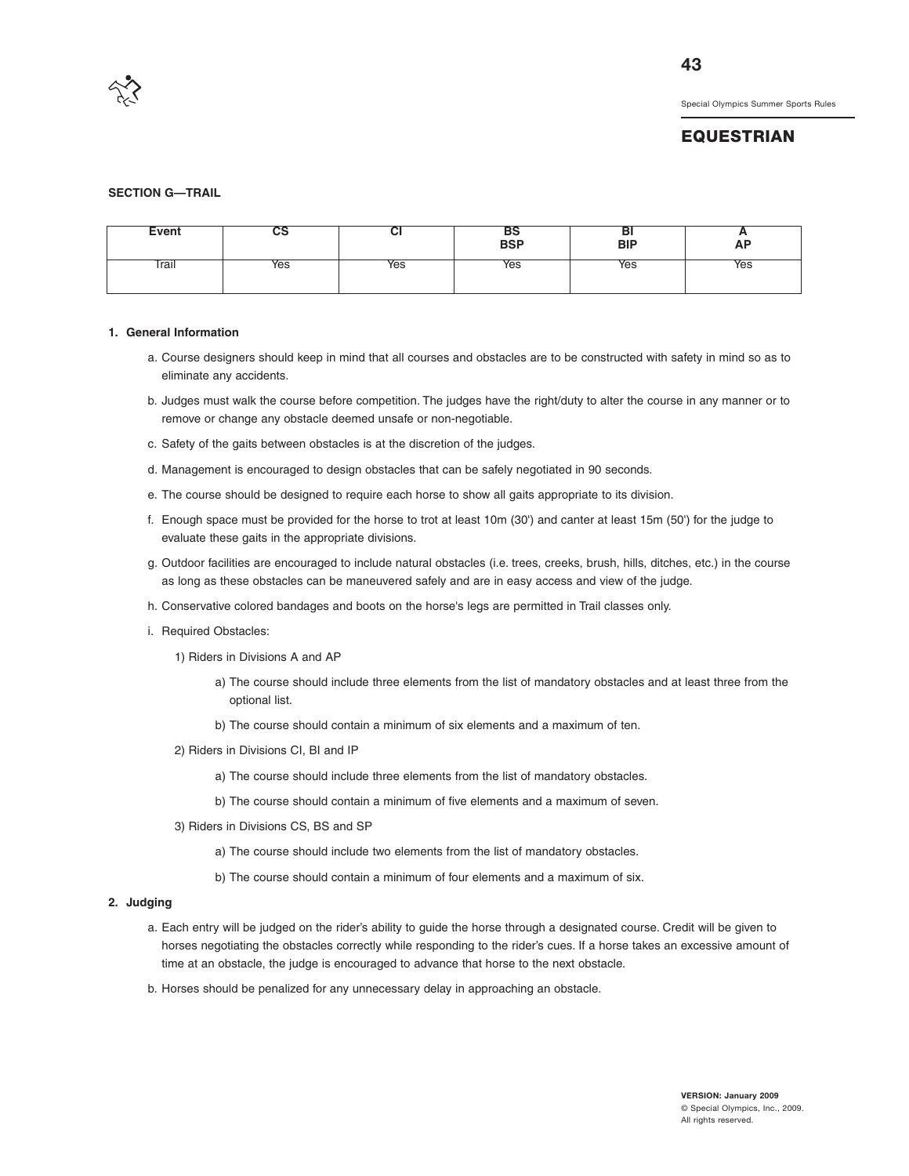

## **EQUESTRIAN**

#### **SECTION G—TRAIL**

| Event | və  | vı  | вэ<br>BSP | DI<br><b>BIP</b> | <u>r</u><br><b>AP</b> |
|-------|-----|-----|-----------|------------------|-----------------------|
| Trail | Yes | Yes | Yes       | Yes              | Yes                   |

#### **1. General Information**

- a. Course designers should keep in mind that all courses and obstacles are to be constructed with safety in mind so as to eliminate any accidents.
- b. Judges must walk the course before competition. The judges have the right/duty to alter the course in any manner or to remove or change any obstacle deemed unsafe or non-negotiable.
- c. Safety of the gaits between obstacles is at the discretion of the judges.
- d. Management is encouraged to design obstacles that can be safely negotiated in 90 seconds.
- e. The course should be designed to require each horse to show all gaits appropriate to its division.
- f. Enough space must be provided for the horse to trot at least 10m (30') and canter at least 15m (50') for the judge to evaluate these gaits in the appropriate divisions.
- g. Outdoor facilities are encouraged to include natural obstacles (i.e. trees, creeks, brush, hills, ditches, etc.) in the course as long as these obstacles can be maneuvered safely and are in easy access and view of the judge.
- h. Conservative colored bandages and boots on the horse's legs are permitted in Trail classes only.
- i. Required Obstacles:
	- 1) Riders in Divisions A and AP
		- a) The course should include three elements from the list of mandatory obstacles and at least three from the optional list.
		- b) The course should contain a minimum of six elements and a maximum of ten.
	- 2) Riders in Divisions CI, BI and IP
		- a) The course should include three elements from the list of mandatory obstacles.
		- b) The course should contain a minimum of five elements and a maximum of seven.
	- 3) Riders in Divisions CS, BS and SP
		- a) The course should include two elements from the list of mandatory obstacles.
		- b) The course should contain a minimum of four elements and a maximum of six.

#### **2. Judging**

- a. Each entry will be judged on the rider's ability to guide the horse through a designated course. Credit will be given to horses negotiating the obstacles correctly while responding to the rider's cues. If a horse takes an excessive amount of time at an obstacle, the judge is encouraged to advance that horse to the next obstacle.
- b. Horses should be penalized for any unnecessary delay in approaching an obstacle.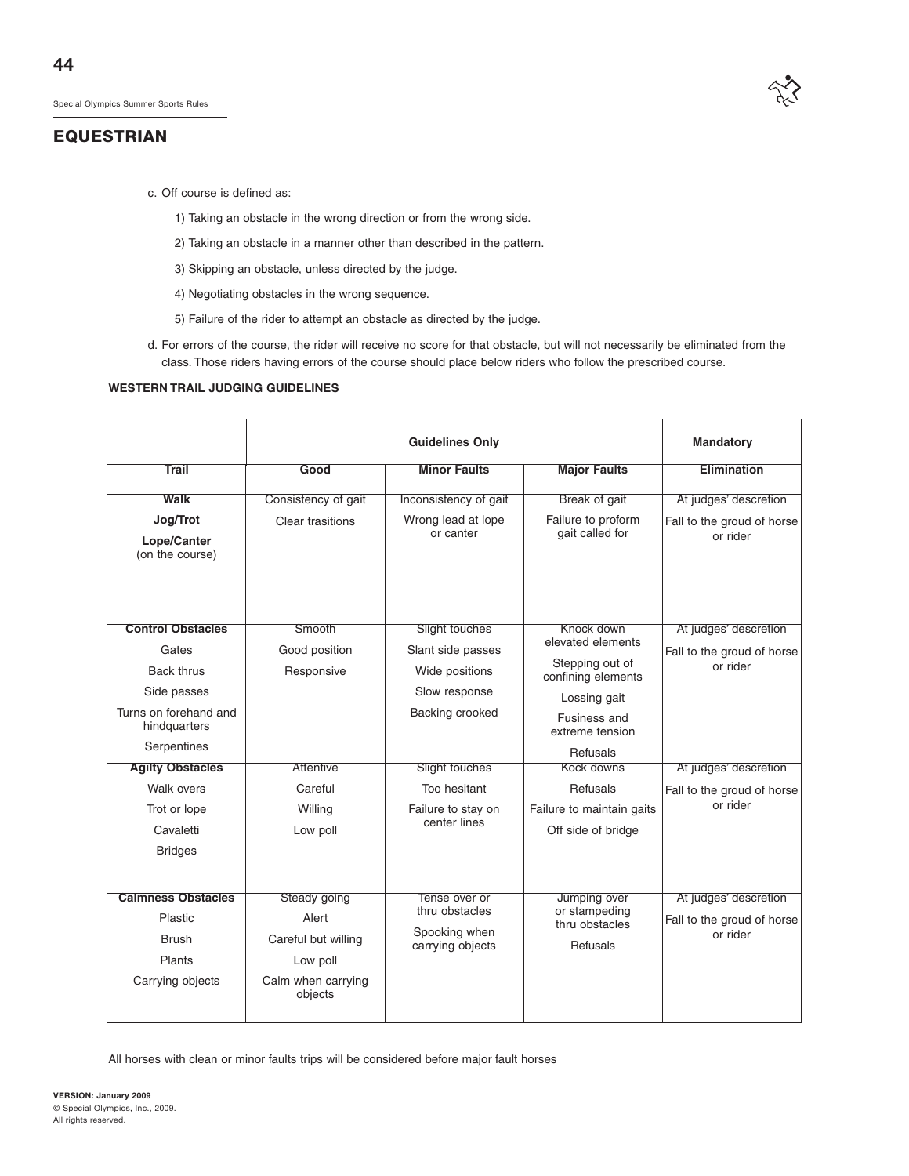

- c. Off course is defined as:
	- 1) Taking an obstacle in the wrong direction or from the wrong side.
	- 2) Taking an obstacle in a manner other than described in the pattern.
	- 3) Skipping an obstacle, unless directed by the judge.
	- 4) Negotiating obstacles in the wrong sequence.
	- 5) Failure of the rider to attempt an obstacle as directed by the judge.
- d. For errors of the course, the rider will receive no score for that obstacle, but will not necessarily be eliminated from the class. Those riders having errors of the course should place below riders who follow the prescribed course.

#### **WESTERN TRAIL JUDGING GUIDELINES**

|                                                                                                                                                                                                                       |                                                                                             | Mandatory                                                                                                                                                         |                                                                                                                                                                                                                      |                                                                                                                                    |
|-----------------------------------------------------------------------------------------------------------------------------------------------------------------------------------------------------------------------|---------------------------------------------------------------------------------------------|-------------------------------------------------------------------------------------------------------------------------------------------------------------------|----------------------------------------------------------------------------------------------------------------------------------------------------------------------------------------------------------------------|------------------------------------------------------------------------------------------------------------------------------------|
| <b>Trail</b>                                                                                                                                                                                                          | Good                                                                                        | <b>Minor Faults</b>                                                                                                                                               | <b>Major Faults</b>                                                                                                                                                                                                  | Elimination                                                                                                                        |
| Walk                                                                                                                                                                                                                  | Consistency of gait                                                                         | Inconsistency of gait                                                                                                                                             | Break of gait                                                                                                                                                                                                        | At judges' descretion                                                                                                              |
| Jog/Trot<br>Lope/Canter<br>(on the course)                                                                                                                                                                            | Clear trasitions                                                                            | Wrong lead at lope<br>or canter                                                                                                                                   | Failure to proform<br>gait called for                                                                                                                                                                                | Fall to the groud of horse<br>or rider                                                                                             |
| <b>Control Obstacles</b><br>Gates<br><b>Back thrus</b><br>Side passes<br>Turns on forehand and<br>hindquarters<br>Serpentines<br><b>Agilty Obstacles</b><br>Walk overs<br>Trot or lope<br>Cavaletti<br><b>Bridges</b> | Smooth<br>Good position<br>Responsive<br><b>Attentive</b><br>Careful<br>Willing<br>Low poll | Slight touches<br>Slant side passes<br>Wide positions<br>Slow response<br>Backing crooked<br>Slight touches<br>Too hesitant<br>Failure to stay on<br>center lines | Knock down<br>elevated elements<br>Stepping out of<br>confining elements<br>Lossing gait<br>Fusiness and<br>extreme tension<br>Refusals<br>Kock downs<br>Refusals<br>Failure to maintain gaits<br>Off side of bridge | At judges' descretion<br>Fall to the groud of horse<br>or rider<br>At judges' descretion<br>Fall to the groud of horse<br>or rider |
| <b>Calmness Obstacles</b><br><b>Plastic</b><br><b>Brush</b><br>Plants<br>Carrying objects                                                                                                                             | Steady going<br>Alert<br>Careful but willing<br>Low poll<br>Calm when carrying<br>objects   | Tense over or<br>thru obstacles<br>Spooking when<br>carrying objects                                                                                              | Jumping over<br>or stampeding<br>thru obstacles<br>Refusals                                                                                                                                                          | At judges' descretion<br>Fall to the groud of horse<br>or rider                                                                    |

All horses with clean or minor faults trips will be considered before major fault horses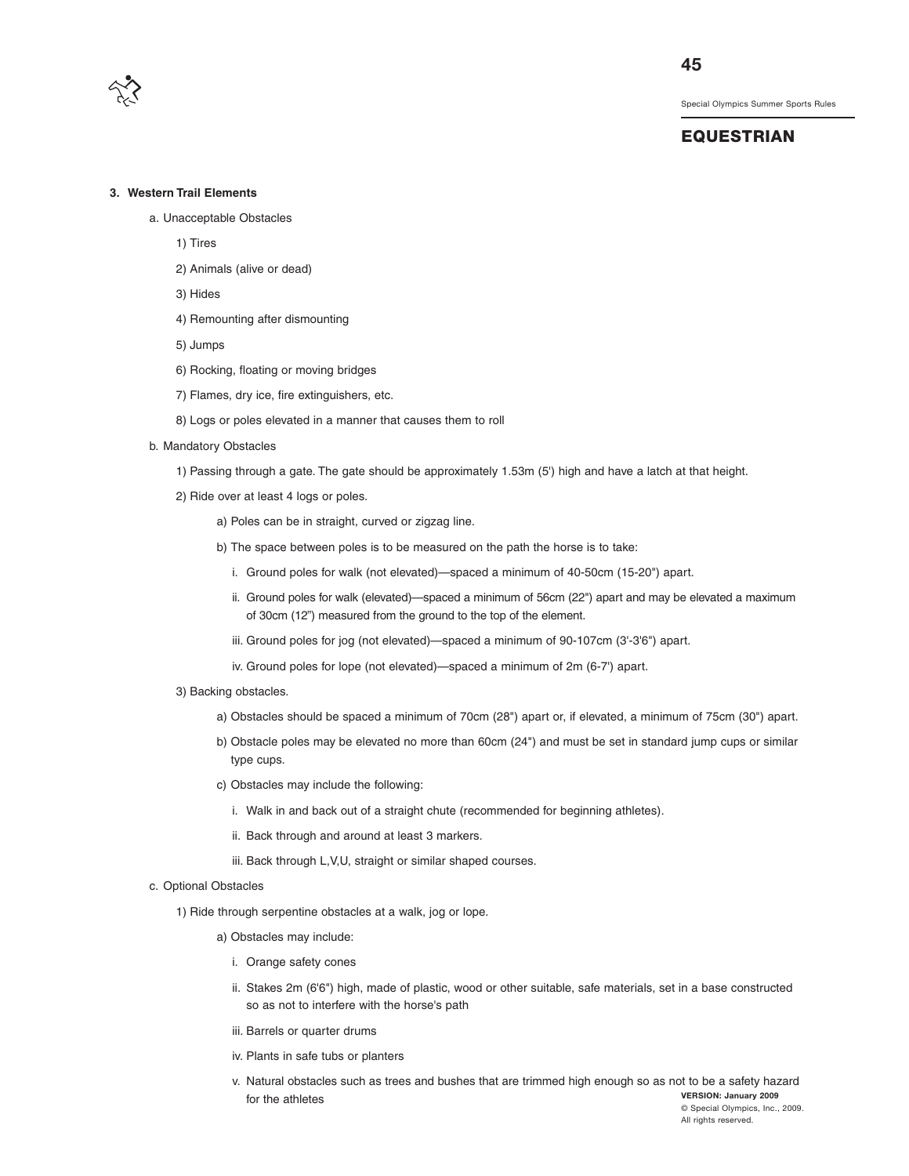

#### **EQUESTRIAN**

#### **3. Western Trail Elements**

- a. Unacceptable Obstacles
	- 1) Tires
	- 2) Animals (alive or dead)
	- 3) Hides
	- 4) Remounting after dismounting
	- 5) Jumps
	- 6) Rocking, floating or moving bridges
	- 7) Flames, dry ice, fire extinguishers, etc.
	- 8) Logs or poles elevated in a manner that causes them to roll
- b. Mandatory Obstacles
	- 1) Passing through a gate. The gate should be approximately 1.53m (5') high and have a latch at that height.
	- 2) Ride over at least 4 logs or poles.
		- a) Poles can be in straight, curved or zigzag line.
		- b) The space between poles is to be measured on the path the horse is to take:
			- i. Ground poles for walk (not elevated)—spaced a minimum of 40-50cm (15-20") apart.
			- ii. Ground poles for walk (elevated)—spaced a minimum of 56cm (22") apart and may be elevated a maximum of 30cm (12") measured from the ground to the top of the element.
			- iii. Ground poles for jog (not elevated)—spaced a minimum of 90-107cm (3'-3'6") apart.
			- iv. Ground poles for lope (not elevated)—spaced a minimum of 2m (6-7') apart.
	- 3) Backing obstacles.
		- a) Obstacles should be spaced a minimum of 70cm (28") apart or, if elevated, a minimum of 75cm (30") apart.
		- b) Obstacle poles may be elevated no more than 60cm (24") and must be set in standard jump cups or similar type cups.
		- c) Obstacles may include the following:
			- i. Walk in and back out of a straight chute (recommended for beginning athletes).
			- ii. Back through and around at least 3 markers.
			- iii. Back through L,V,U, straight or similar shaped courses.
- c. Optional Obstacles
	- 1) Ride through serpentine obstacles at a walk, jog or lope.
		- a) Obstacles may include:
			- i. Orange safety cones
			- ii. Stakes 2m (6'6") high, made of plastic, wood or other suitable, safe materials, set in a base constructed so as not to interfere with the horse's path
			- iii. Barrels or quarter drums
			- iv. Plants in safe tubs or planters
			- **VERSION: January 2009** © Special Olympics, Inc., 2009. v. Natural obstacles such as trees and bushes that are trimmed high enough so as not to be a safety hazard for the athletes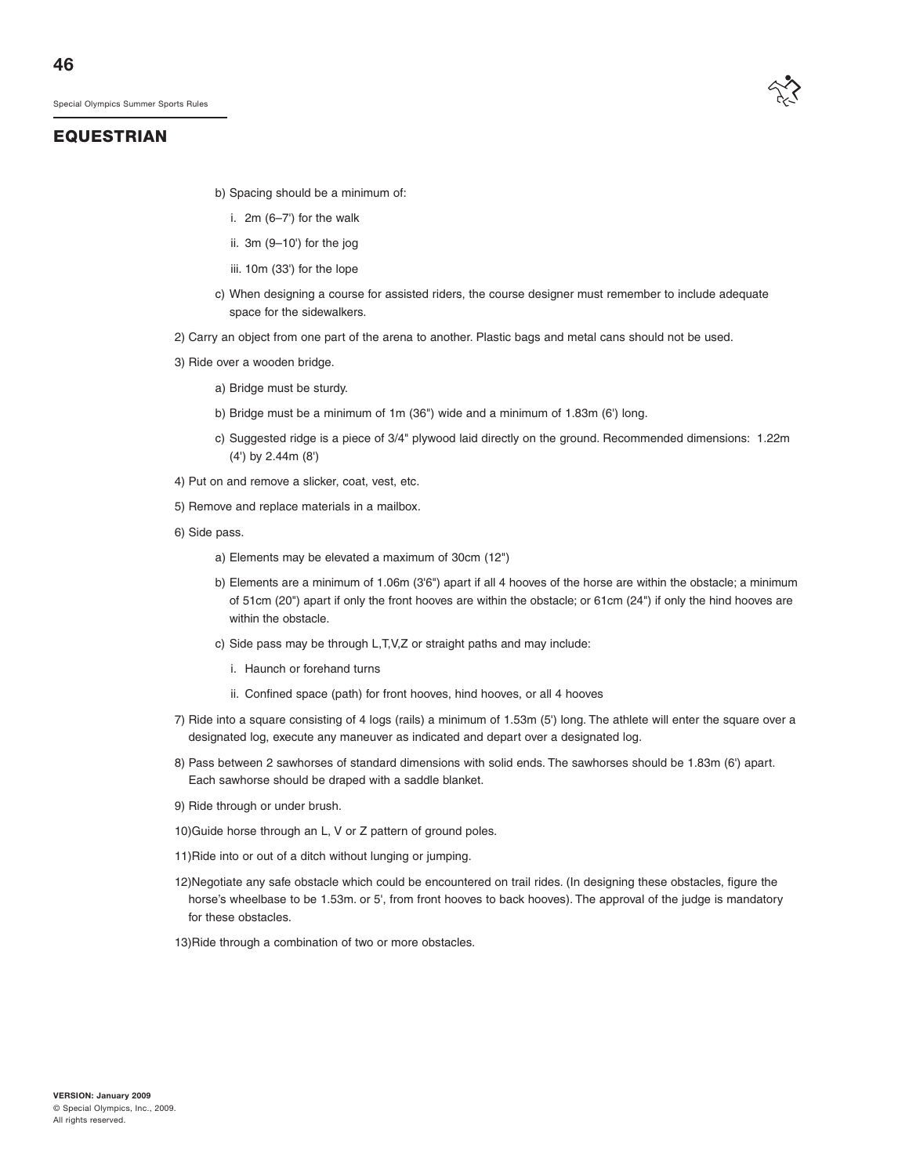

# **EQUESTRIAN**

- b) Spacing should be a minimum of:
	- i. 2m (6–7') for the walk
	- ii. 3m (9–10') for the jog
	- iii. 10m (33') for the lope
- c) When designing a course for assisted riders, the course designer must remember to include adequate space for the sidewalkers.
- 2) Carry an object from one part of the arena to another. Plastic bags and metal cans should not be used.
- 3) Ride over a wooden bridge.
	- a) Bridge must be sturdy.
	- b) Bridge must be a minimum of 1m (36") wide and a minimum of 1.83m (6') long.
	- c) Suggested ridge is a piece of 3/4" plywood laid directly on the ground. Recommended dimensions: 1.22m (4') by 2.44m (8')
- 4) Put on and remove a slicker, coat, vest, etc.
- 5) Remove and replace materials in a mailbox.
- 6) Side pass.
	- a) Elements may be elevated a maximum of 30cm (12")
	- b) Elements are a minimum of 1.06m (3'6") apart if all 4 hooves of the horse are within the obstacle; a minimum of 51cm (20") apart if only the front hooves are within the obstacle; or 61cm (24") if only the hind hooves are within the obstacle.
	- c) Side pass may be through L,T,V,Z or straight paths and may include:
		- i. Haunch or forehand turns
		- ii. Confined space (path) for front hooves, hind hooves, or all 4 hooves
- 7) Ride into a square consisting of 4 logs (rails) a minimum of 1.53m (5') long. The athlete will enter the square over a designated log, execute any maneuver as indicated and depart over a designated log.
- 8) Pass between 2 sawhorses of standard dimensions with solid ends. The sawhorses should be 1.83m (6') apart. Each sawhorse should be draped with a saddle blanket.
- 9) Ride through or under brush.
- 10)Guide horse through an L, V or Z pattern of ground poles.
- 11)Ride into or out of a ditch without lunging or jumping.
- 12)Negotiate any safe obstacle which could be encountered on trail rides. (In designing these obstacles, figure the horse's wheelbase to be 1.53m. or 5', from front hooves to back hooves). The approval of the judge is mandatory for these obstacles.
- 13)Ride through a combination of two or more obstacles.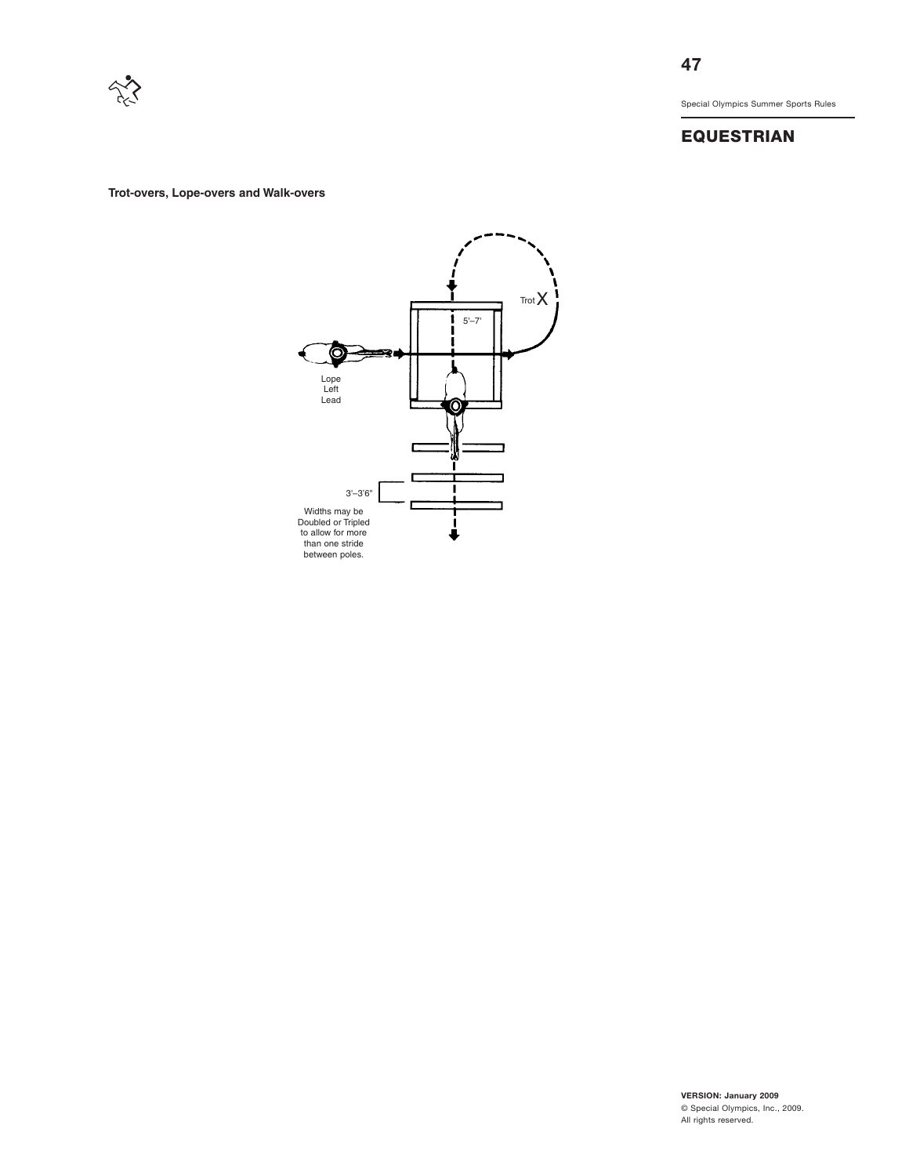

# **EQUESTRIAN**

**Trot-overs, Lope-overs and Walk-overs**

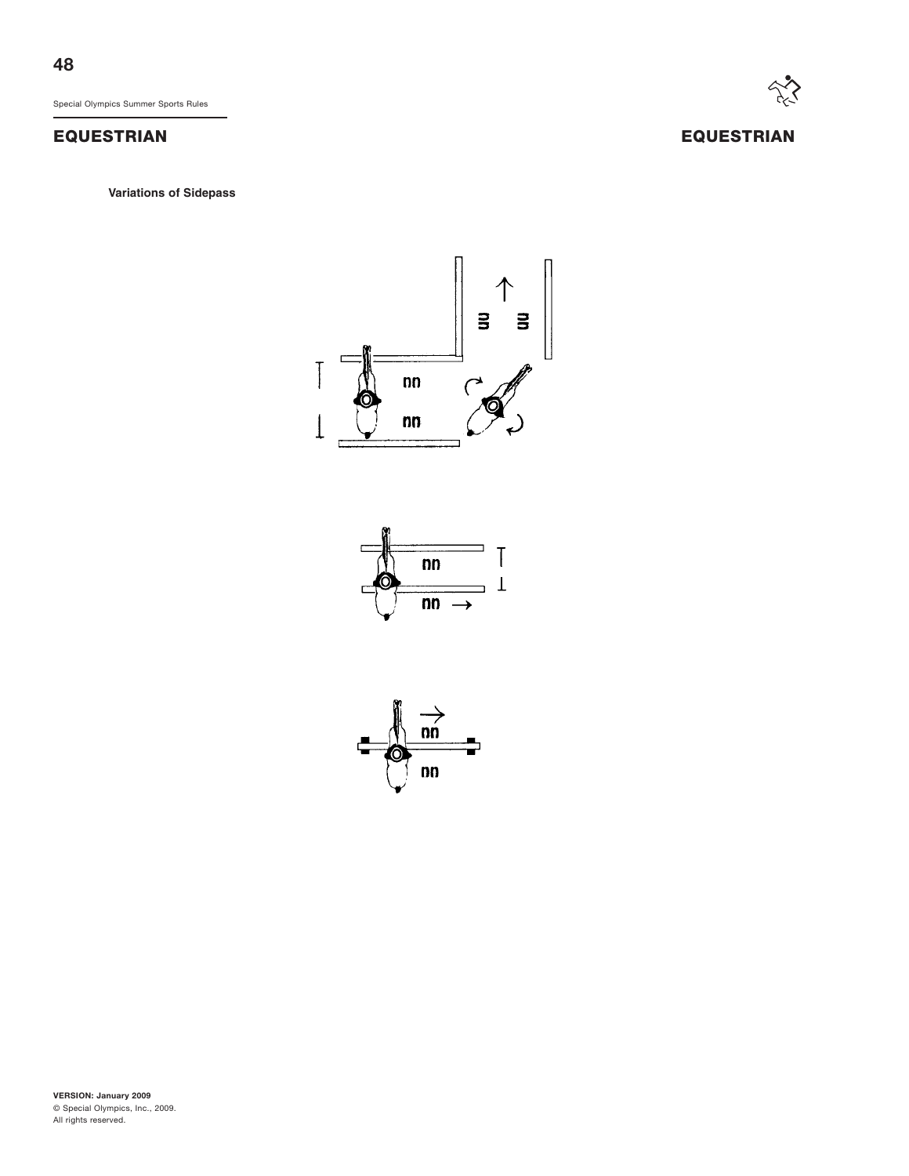# **EQUESTRIAN EQUESTRIAN**

**Variations of Sidepass**





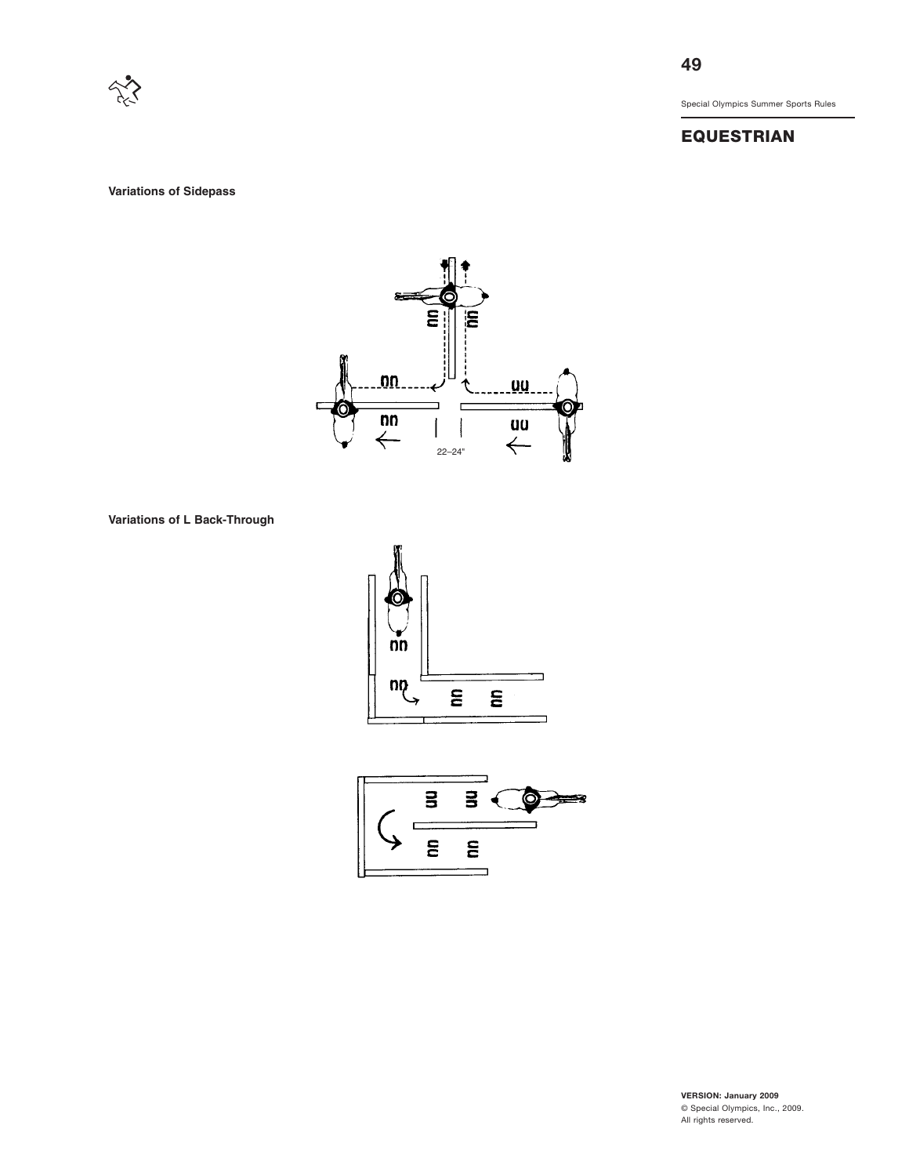

**49**

Special Olympics Summer Sports Rules

# **EQUESTRIAN**

**Variations of Sidepass**



**Variations of L Back-Through**



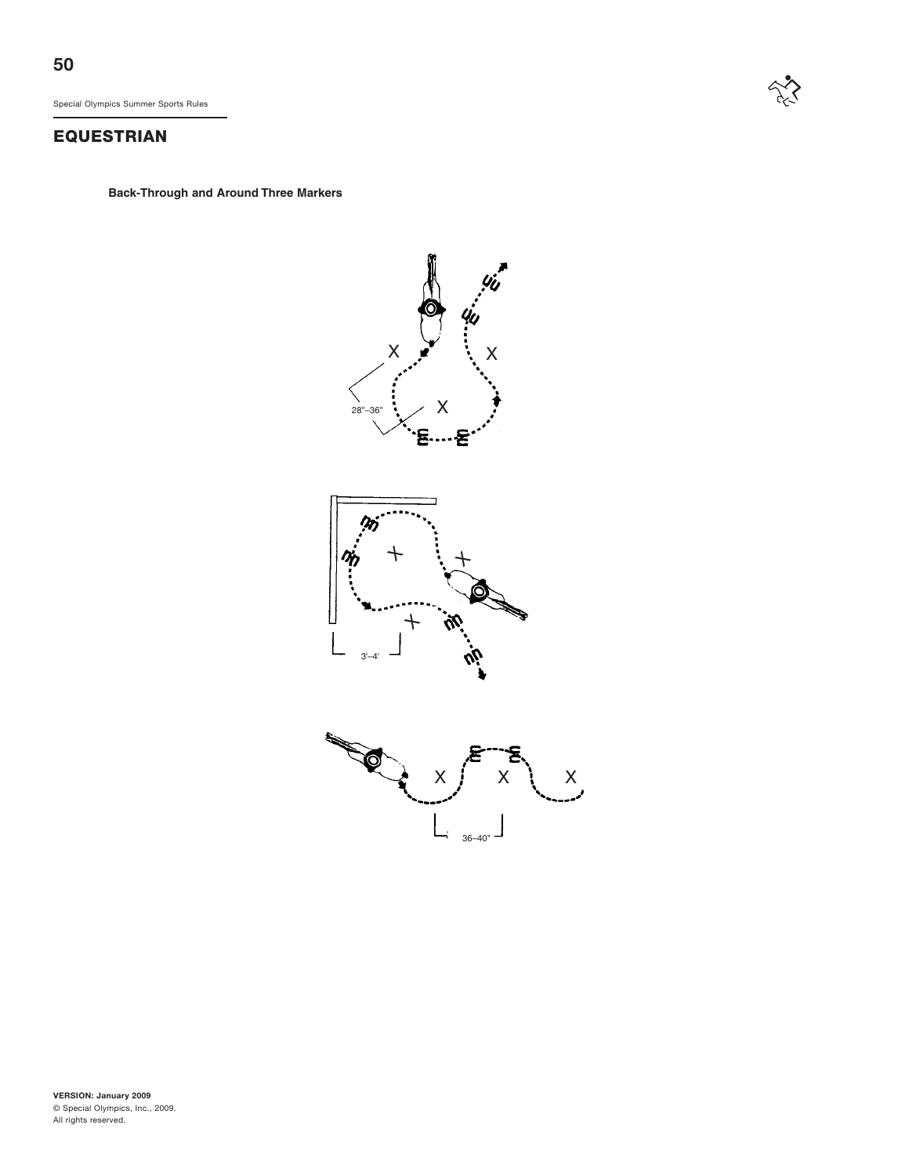# **EQUESTRIAN**

**Back-Through and Around Three Markers**



 $\sum_{i\geq 1}$ 



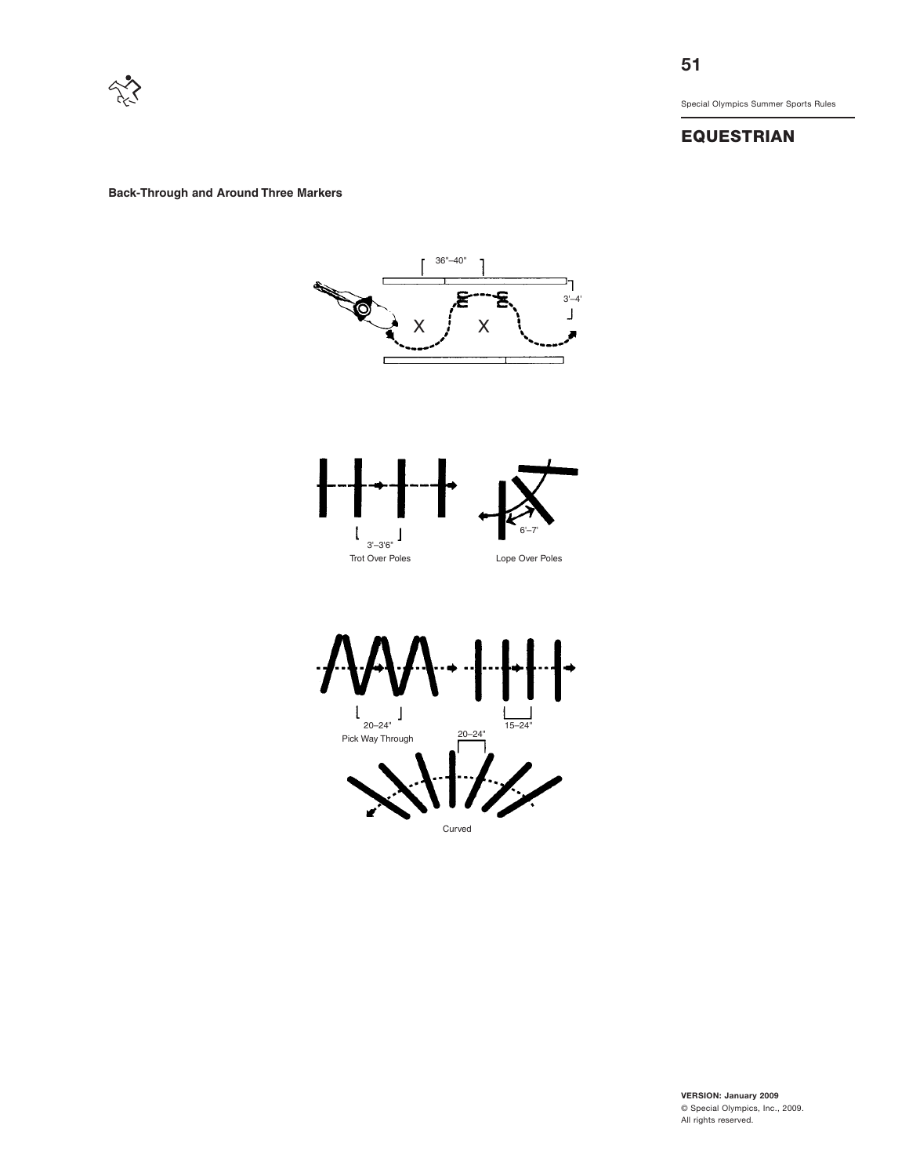

# **EQUESTRIAN**

**Back-Through and Around Three Markers**



**VERSION: January 2009** © Special Olympics, Inc., 2009. All rights reserved.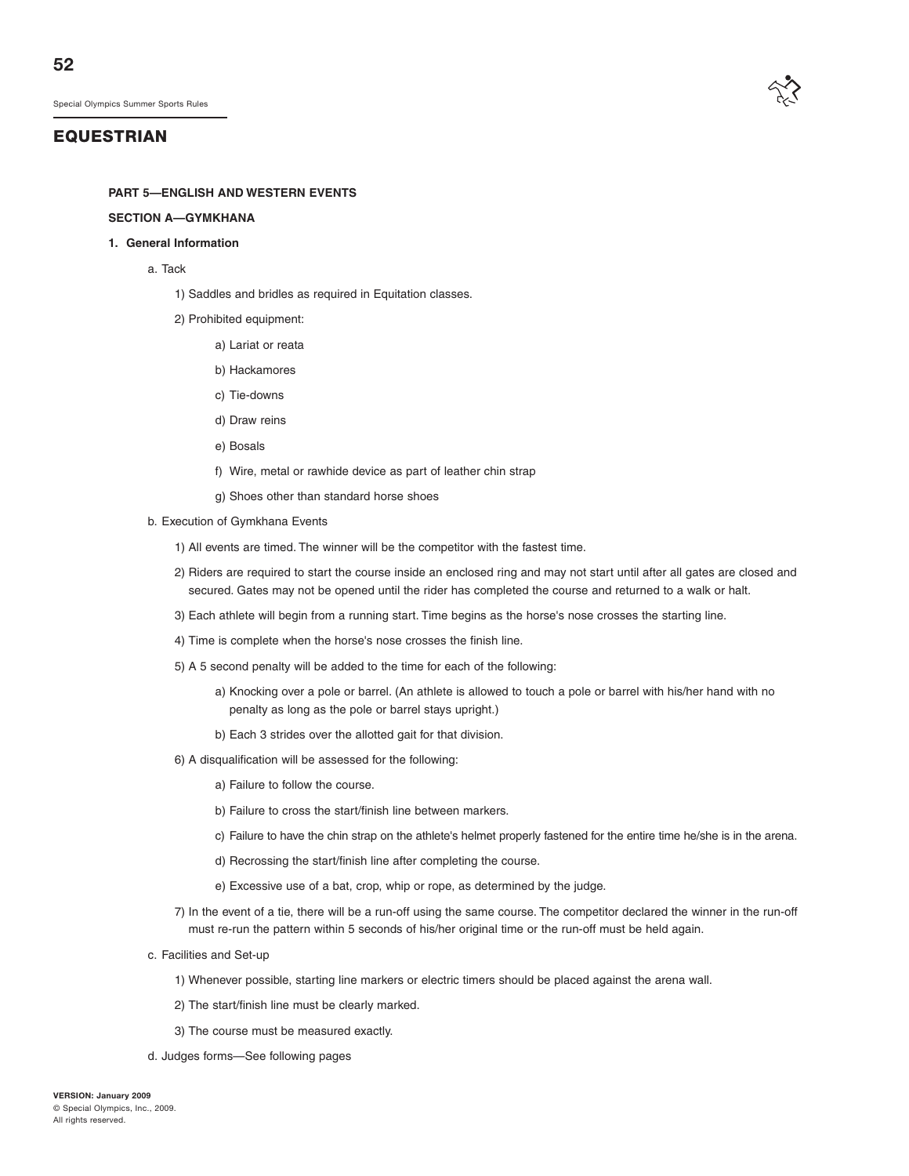## **EQUESTRIAN**

#### **PART 5—ENGLISH AND WESTERN EVENTS**

#### **SECTION A—GYMKHANA**

#### **1. General Information**

- a. Tack
	- 1) Saddles and bridles as required in Equitation classes.
	- 2) Prohibited equipment:
		- a) Lariat or reata
		- b) Hackamores
		- c) Tie-downs
		- d) Draw reins
		- e) Bosals
		- f) Wire, metal or rawhide device as part of leather chin strap
		- g) Shoes other than standard horse shoes
- b. Execution of Gymkhana Events
	- 1) All events are timed. The winner will be the competitor with the fastest time.
	- 2) Riders are required to start the course inside an enclosed ring and may not start until after all gates are closed and secured. Gates may not be opened until the rider has completed the course and returned to a walk or halt.
	- 3) Each athlete will begin from a running start. Time begins as the horse's nose crosses the starting line.
	- 4) Time is complete when the horse's nose crosses the finish line.
	- 5) A 5 second penalty will be added to the time for each of the following:
		- a) Knocking over a pole or barrel. (An athlete is allowed to touch a pole or barrel with his/her hand with no penalty as long as the pole or barrel stays upright.)
		- b) Each 3 strides over the allotted gait for that division.
	- 6) A disqualification will be assessed for the following:
		- a) Failure to follow the course.
		- b) Failure to cross the start/finish line between markers.
		- c) Failure to have the chin strap on the athlete's helmet properly fastened for the entire time he/she is in the arena.
		- d) Recrossing the start/finish line after completing the course.
		- e) Excessive use of a bat, crop, whip or rope, as determined by the judge.
	- 7) In the event of a tie, there will be a run-off using the same course. The competitor declared the winner in the run-off must re-run the pattern within 5 seconds of his/her original time or the run-off must be held again.
- c. Facilities and Set-up
	- 1) Whenever possible, starting line markers or electric timers should be placed against the arena wall.
	- 2) The start/finish line must be clearly marked.
	- 3) The course must be measured exactly.
- d. Judges forms—See following pages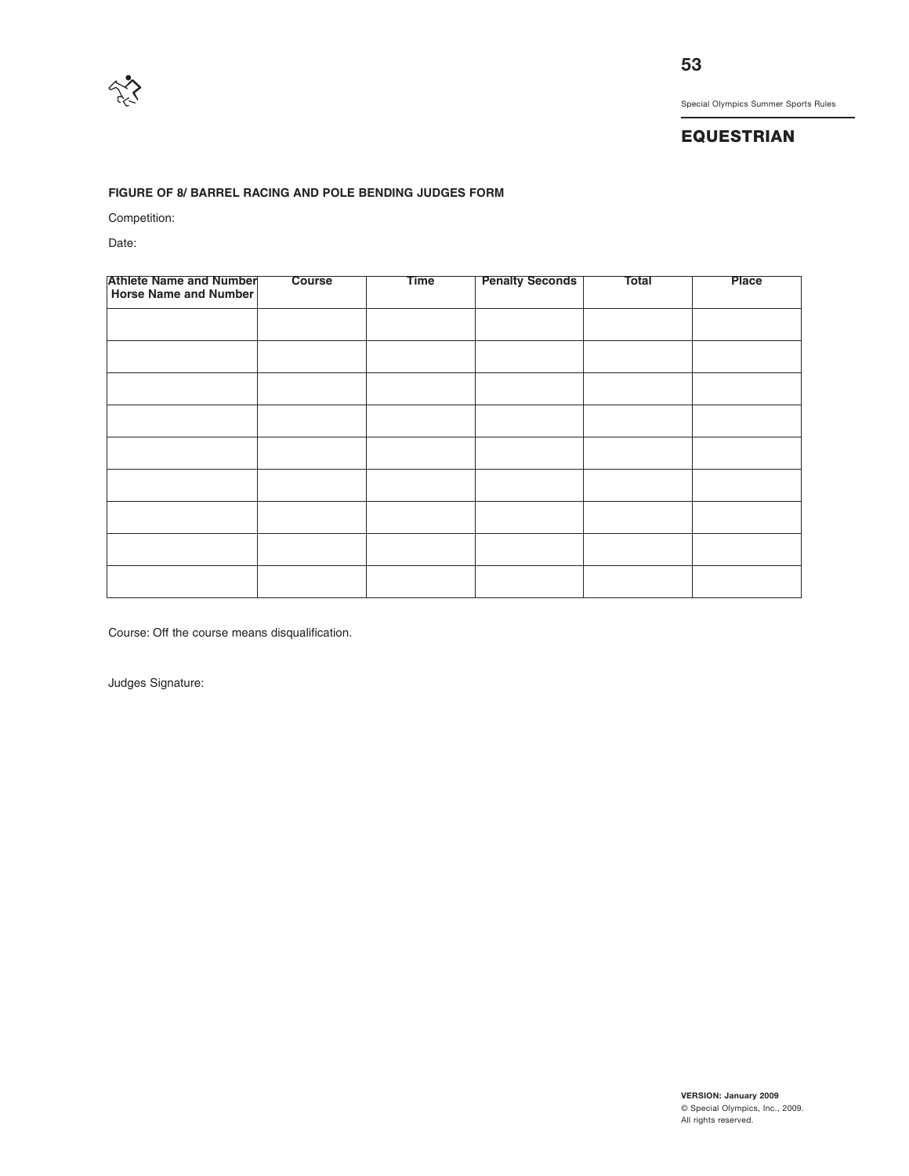

# **EQUESTRIAN**

#### **FIGURE OF 8/ BARREL RACING AND POLE BENDING JUDGES FORM**

Competition:

Date:

| <b>Athlete Name and Number</b><br><b>Horse Name and Number</b> | Course | <b>Time</b> | <b>Penalty Seconds</b> | <b>Total</b> | <b>Place</b> |
|----------------------------------------------------------------|--------|-------------|------------------------|--------------|--------------|
|                                                                |        |             |                        |              |              |
|                                                                |        |             |                        |              |              |
|                                                                |        |             |                        |              |              |
|                                                                |        |             |                        |              |              |
|                                                                |        |             |                        |              |              |
|                                                                |        |             |                        |              |              |
|                                                                |        |             |                        |              |              |
|                                                                |        |             |                        |              |              |
|                                                                |        |             |                        |              |              |

Course: Off the course means disqualification.

Judges Signature: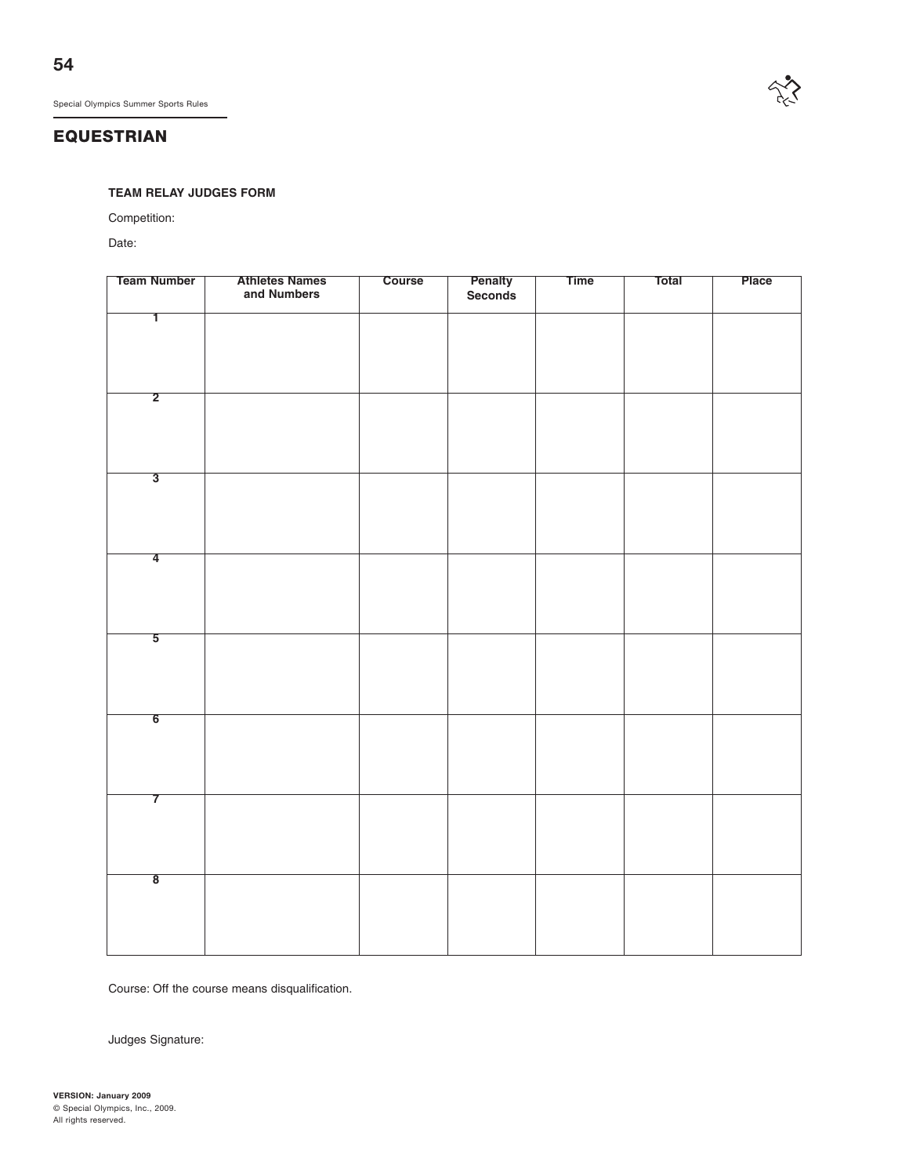# **EQUESTRIAN**

#### **TEAM RELAY JUDGES FORM**

Competition:

Date:

| <b>Team Number</b>      | <b>Athletes Names</b><br>and Numbers | Course | <b>Penalty</b><br>Seconds | <b>Time</b> | Total | Place |
|-------------------------|--------------------------------------|--------|---------------------------|-------------|-------|-------|
| T                       |                                      |        |                           |             |       |       |
|                         |                                      |        |                           |             |       |       |
|                         |                                      |        |                           |             |       |       |
| $\overline{2}$          |                                      |        |                           |             |       |       |
|                         |                                      |        |                           |             |       |       |
|                         |                                      |        |                           |             |       |       |
|                         |                                      |        |                           |             |       |       |
| $\overline{3}$          |                                      |        |                           |             |       |       |
|                         |                                      |        |                           |             |       |       |
|                         |                                      |        |                           |             |       |       |
| $\overline{4}$          |                                      |        |                           |             |       |       |
|                         |                                      |        |                           |             |       |       |
|                         |                                      |        |                           |             |       |       |
| $\overline{5}$          |                                      |        |                           |             |       |       |
|                         |                                      |        |                           |             |       |       |
|                         |                                      |        |                           |             |       |       |
| $6\overline{6}$         |                                      |        |                           |             |       |       |
|                         |                                      |        |                           |             |       |       |
|                         |                                      |        |                           |             |       |       |
|                         |                                      |        |                           |             |       |       |
| $\overline{7}$          |                                      |        |                           |             |       |       |
|                         |                                      |        |                           |             |       |       |
|                         |                                      |        |                           |             |       |       |
| $\overline{\mathbf{8}}$ |                                      |        |                           |             |       |       |
|                         |                                      |        |                           |             |       |       |
|                         |                                      |        |                           |             |       |       |
|                         |                                      |        |                           |             |       |       |

Course: Off the course means disqualification.

Judges Signature:

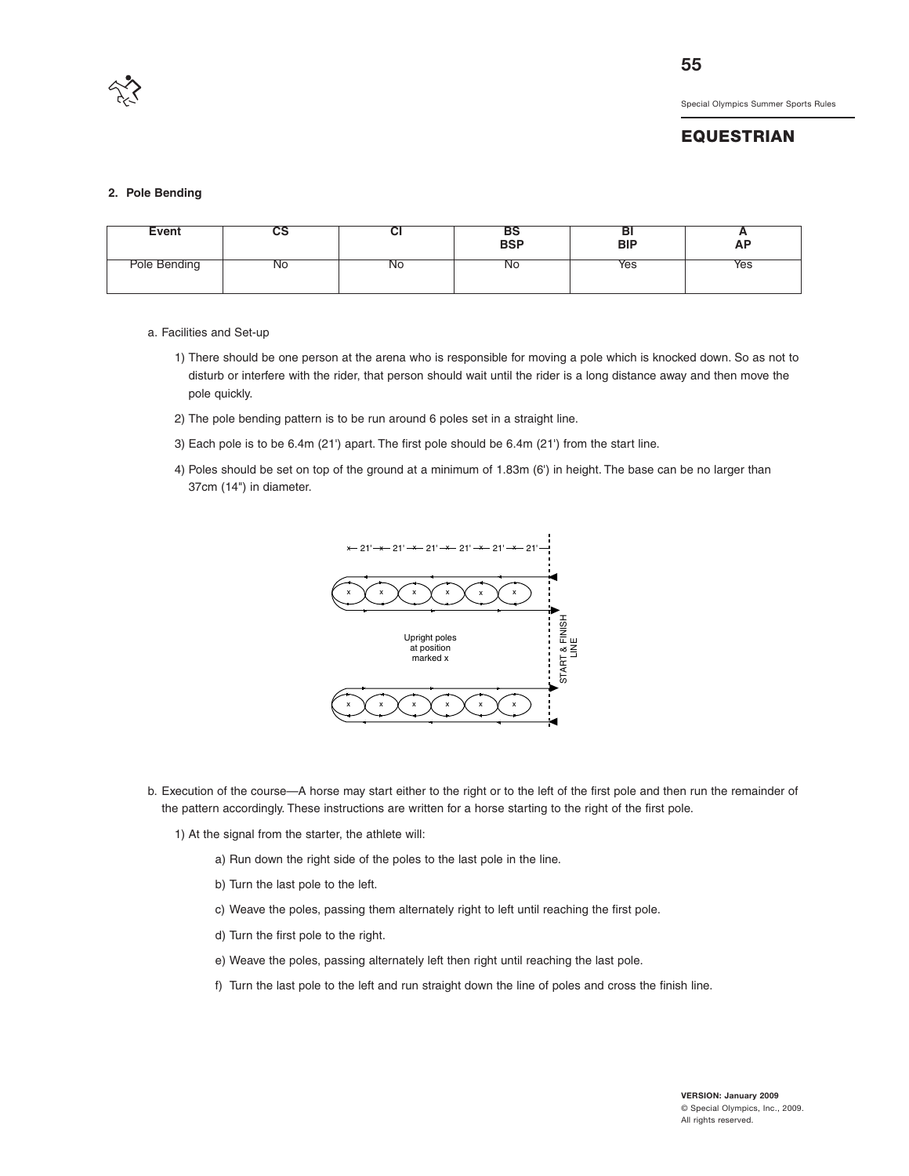

#### **EQUESTRIAN**

#### **2. Pole Bending**

| Event        | vo | ◡  | DЭ<br><b>BSP</b> | וס<br><b>BIP</b> | AP  |
|--------------|----|----|------------------|------------------|-----|
| Pole Bending | N0 | ΝO | <b>NO</b>        | Yes              | Yes |

- a. Facilities and Set-up
	- 1) There should be one person at the arena who is responsible for moving a pole which is knocked down. So as not to disturb or interfere with the rider, that person should wait until the rider is a long distance away and then move the pole quickly.
	- 2) The pole bending pattern is to be run around 6 poles set in a straight line.
	- 3) Each pole is to be 6.4m (21') apart. The first pole should be 6.4m (21') from the start line.
	- 4) Poles should be set on top of the ground at a minimum of 1.83m (6') in height. The base can be no larger than 37cm (14") in diameter.



- b. Execution of the course—A horse may start either to the right or to the left of the first pole and then run the remainder of the pattern accordingly. These instructions are written for a horse starting to the right of the first pole.
	- 1) At the signal from the starter, the athlete will:
		- a) Run down the right side of the poles to the last pole in the line.
		- b) Turn the last pole to the left.
		- c) Weave the poles, passing them alternately right to left until reaching the first pole.
		- d) Turn the first pole to the right.
		- e) Weave the poles, passing alternately left then right until reaching the last pole.
		- f) Turn the last pole to the left and run straight down the line of poles and cross the finish line.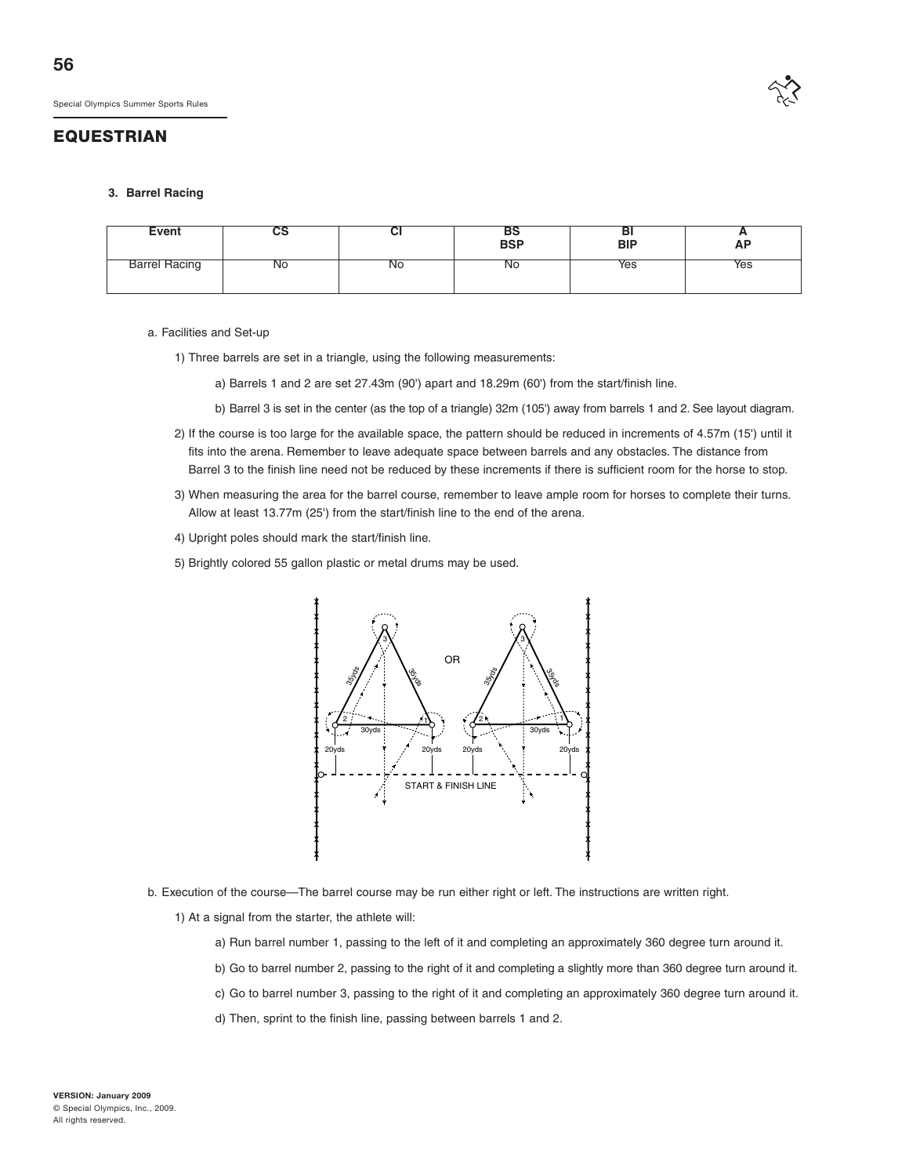

#### **3. Barrel Racing**

| <b>Event</b>         | uo | v  | כם<br><b>BSP</b> | DI<br><b>BIP</b> | <u>n</u><br><b>AP</b> |
|----------------------|----|----|------------------|------------------|-----------------------|
| <b>Barrel Racing</b> | No | No | <b>NO</b>        | Yes              | Yes                   |

#### a. Facilities and Set-up

- 1) Three barrels are set in a triangle, using the following measurements:
	- a) Barrels 1 and 2 are set 27.43m (90') apart and 18.29m (60') from the start/finish line.
	- b) Barrel 3 is set in the center (as the top of a triangle) 32m (105') away from barrels 1 and 2. See layout diagram.
- 2) If the course is too large for the available space, the pattern should be reduced in increments of 4.57m (15') until it fits into the arena. Remember to leave adequate space between barrels and any obstacles. The distance from Barrel 3 to the finish line need not be reduced by these increments if there is sufficient room for the horse to stop.
- 3) When measuring the area for the barrel course, remember to leave ample room for horses to complete their turns. Allow at least 13.77m (25') from the start/finish line to the end of the arena.
- 4) Upright poles should mark the start/finish line.
- 5) Brightly colored 55 gallon plastic or metal drums may be used.



- b. Execution of the course—The barrel course may be run either right or left. The instructions are written right.
	- 1) At a signal from the starter, the athlete will:
		- a) Run barrel number 1, passing to the left of it and completing an approximately 360 degree turn around it.
		- b) Go to barrel number 2, passing to the right of it and completing a slightly more than 360 degree turn around it.
		- c) Go to barrel number 3, passing to the right of it and completing an approximately 360 degree turn around it.
		- d) Then, sprint to the finish line, passing between barrels 1 and 2.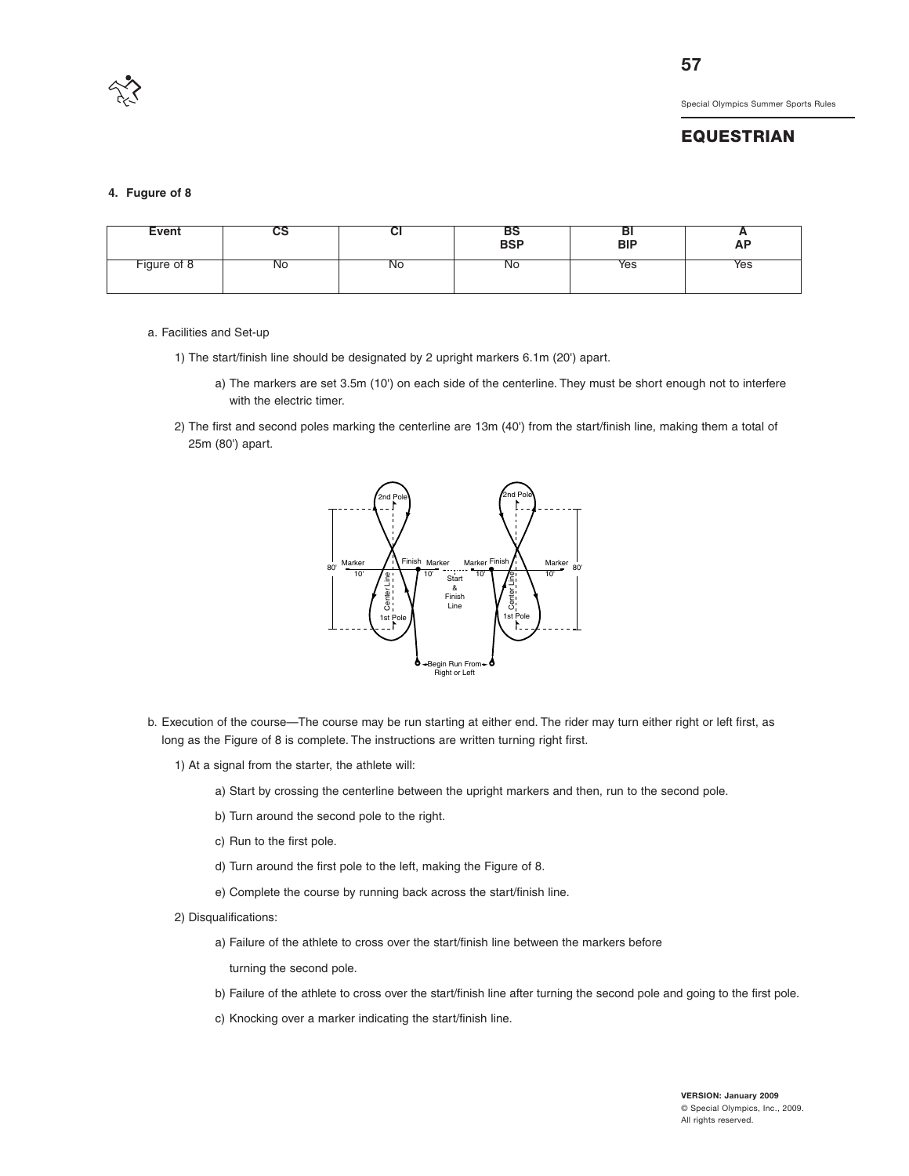

#### **EQUESTRIAN**

#### **4. Fugure of 8**

| Event       | və | ◡         | --<br>BS<br>BSP | ים<br><b>BIP</b> | <u>r</u><br><b>AP</b> |
|-------------|----|-----------|-----------------|------------------|-----------------------|
| Figure of 8 | N0 | <b>NO</b> | <b>NO</b>       | Yes              | Yes                   |

#### a. Facilities and Set-up

- 1) The start/finish line should be designated by 2 upright markers 6.1m (20') apart.
	- a) The markers are set 3.5m (10') on each side of the centerline. They must be short enough not to interfere with the electric timer.
- 2) The first and second poles marking the centerline are 13m (40') from the start/finish line, making them a total of 25m (80') apart.



- b. Execution of the course—The course may be run starting at either end. The rider may turn either right or left first, as long as the Figure of 8 is complete. The instructions are written turning right first.
	- 1) At a signal from the starter, the athlete will:
		- a) Start by crossing the centerline between the upright markers and then, run to the second pole.
		- b) Turn around the second pole to the right.
		- c) Run to the first pole.
		- d) Turn around the first pole to the left, making the Figure of 8.
		- e) Complete the course by running back across the start/finish line.
	- 2) Disqualifications:
		- a) Failure of the athlete to cross over the start/finish line between the markers before

turning the second pole.

- b) Failure of the athlete to cross over the start/finish line after turning the second pole and going to the first pole.
- c) Knocking over a marker indicating the start/finish line.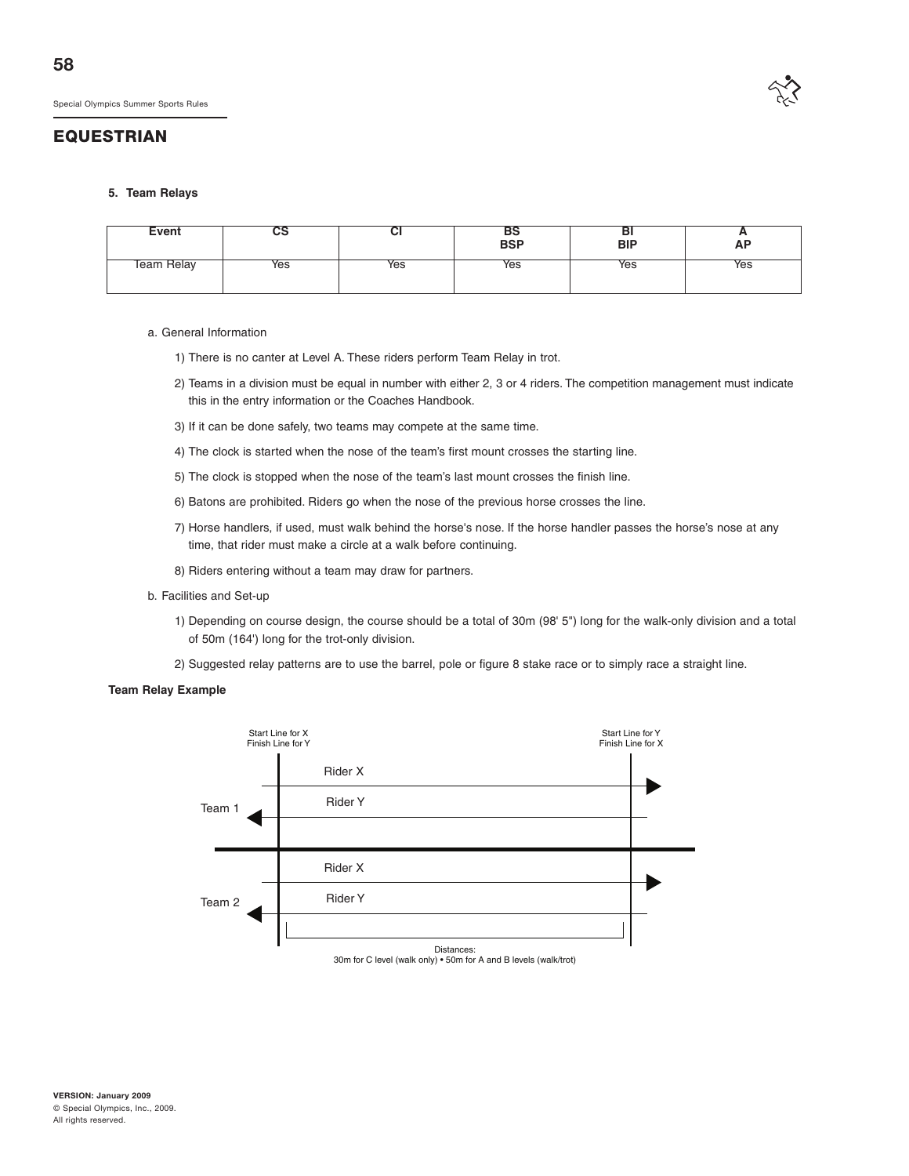

#### **5. Team Relays**

| Event             | uə  | u   | BSP | na<br>BIP | Ð<br><b>AP</b> |
|-------------------|-----|-----|-----|-----------|----------------|
| <b>Feam Relay</b> | Yes | Yes | Yes | Yes       | Yes            |

#### a. General Information

- 1) There is no canter at Level A. These riders perform Team Relay in trot.
- 2) Teams in a division must be equal in number with either 2, 3 or 4 riders. The competition management must indicate this in the entry information or the Coaches Handbook.
- 3) If it can be done safely, two teams may compete at the same time.
- 4) The clock is started when the nose of the team's first mount crosses the starting line.
- 5) The clock is stopped when the nose of the team's last mount crosses the finish line.
- 6) Batons are prohibited. Riders go when the nose of the previous horse crosses the line.
- 7) Horse handlers, if used, must walk behind the horse's nose. If the horse handler passes the horse's nose at any time, that rider must make a circle at a walk before continuing.
- 8) Riders entering without a team may draw for partners.
- b. Facilities and Set-up
	- 1) Depending on course design, the course should be a total of 30m (98' 5") long for the walk-only division and a total of 50m (164') long for the trot-only division.
	- 2) Suggested relay patterns are to use the barrel, pole or figure 8 stake race or to simply race a straight line.

#### **Team Relay Example**

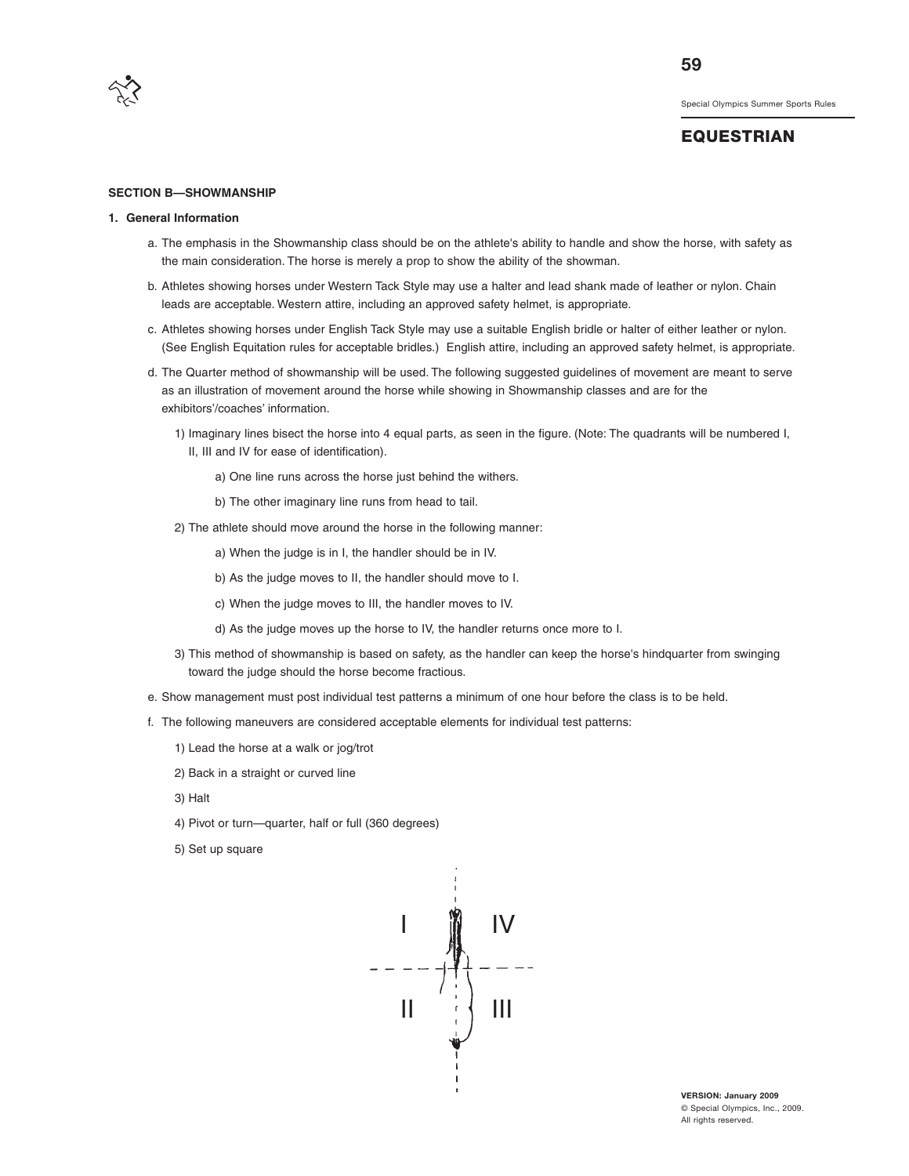

#### **EQUESTRIAN**

#### **SECTION B—SHOWMANSHIP**

#### **1. General Information**

- a. The emphasis in the Showmanship class should be on the athlete's ability to handle and show the horse, with safety as the main consideration. The horse is merely a prop to show the ability of the showman.
- b. Athletes showing horses under Western Tack Style may use a halter and lead shank made of leather or nylon. Chain leads are acceptable. Western attire, including an approved safety helmet, is appropriate.
- c. Athletes showing horses under English Tack Style may use a suitable English bridle or halter of either leather or nylon. (See English Equitation rules for acceptable bridles.) English attire, including an approved safety helmet, is appropriate.
- d. The Quarter method of showmanship will be used. The following suggested guidelines of movement are meant to serve as an illustration of movement around the horse while showing in Showmanship classes and are for the exhibitors'/coaches' information.
	- 1) Imaginary lines bisect the horse into 4 equal parts, as seen in the figure. (Note: The quadrants will be numbered I, II, III and IV for ease of identification).
		- a) One line runs across the horse just behind the withers.
		- b) The other imaginary line runs from head to tail.
	- 2) The athlete should move around the horse in the following manner:
		- a) When the judge is in I, the handler should be in IV.
		- b) As the judge moves to II, the handler should move to I.
		- c) When the judge moves to III, the handler moves to IV.
		- d) As the judge moves up the horse to IV, the handler returns once more to I.
	- 3) This method of showmanship is based on safety, as the handler can keep the horse's hindquarter from swinging toward the judge should the horse become fractious.
- e. Show management must post individual test patterns a minimum of one hour before the class is to be held.
- f. The following maneuvers are considered acceptable elements for individual test patterns:
	- 1) Lead the horse at a walk or jog/trot
	- 2) Back in a straight or curved line
	- 3) Halt
	- 4) Pivot or turn—quarter, half or full (360 degrees)
	- 5) Set up square



**VERSION: January 2009** © Special Olympics, Inc., 2009. All rights reserved.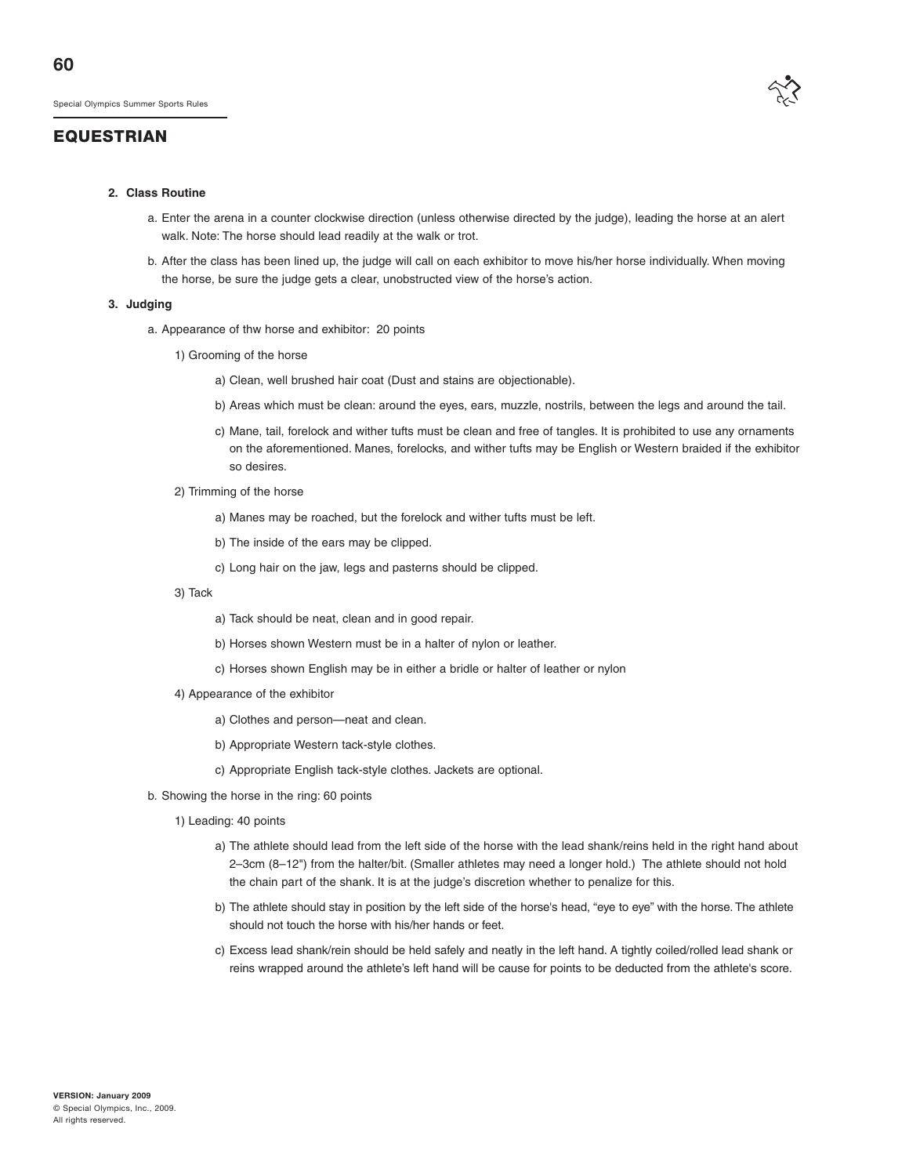#### **2. Class Routine**

- a. Enter the arena in a counter clockwise direction (unless otherwise directed by the judge), leading the horse at an alert walk. Note: The horse should lead readily at the walk or trot.
- b. After the class has been lined up, the judge will call on each exhibitor to move his/her horse individually. When moving the horse, be sure the judge gets a clear, unobstructed view of the horse's action.

#### **3. Judging**

- a. Appearance of thw horse and exhibitor: 20 points
	- 1) Grooming of the horse
		- a) Clean, well brushed hair coat (Dust and stains are objectionable).
		- b) Areas which must be clean: around the eyes, ears, muzzle, nostrils, between the legs and around the tail.
		- c) Mane, tail, forelock and wither tufts must be clean and free of tangles. It is prohibited to use any ornaments on the aforementioned. Manes, forelocks, and wither tufts may be English or Western braided if the exhibitor so desires.
	- 2) Trimming of the horse
		- a) Manes may be roached, but the forelock and wither tufts must be left.
		- b) The inside of the ears may be clipped.
		- c) Long hair on the jaw, legs and pasterns should be clipped.
	- 3) Tack
- a) Tack should be neat, clean and in good repair.
- b) Horses shown Western must be in a halter of nylon or leather.
- c) Horses shown English may be in either a bridle or halter of leather or nylon
- 4) Appearance of the exhibitor
	- a) Clothes and person—neat and clean.
	- b) Appropriate Western tack-style clothes.
	- c) Appropriate English tack-style clothes. Jackets are optional.
- b. Showing the horse in the ring: 60 points
	- 1) Leading: 40 points
		- a) The athlete should lead from the left side of the horse with the lead shank/reins held in the right hand about 2–3cm (8–12") from the halter/bit. (Smaller athletes may need a longer hold.) The athlete should not hold the chain part of the shank. It is at the judge's discretion whether to penalize for this.
		- b) The athlete should stay in position by the left side of the horse's head, "eye to eye" with the horse. The athlete should not touch the horse with his/her hands or feet.
		- c) Excess lead shank/rein should be held safely and neatly in the left hand. A tightly coiled/rolled lead shank or reins wrapped around the athlete's left hand will be cause for points to be deducted from the athlete's score.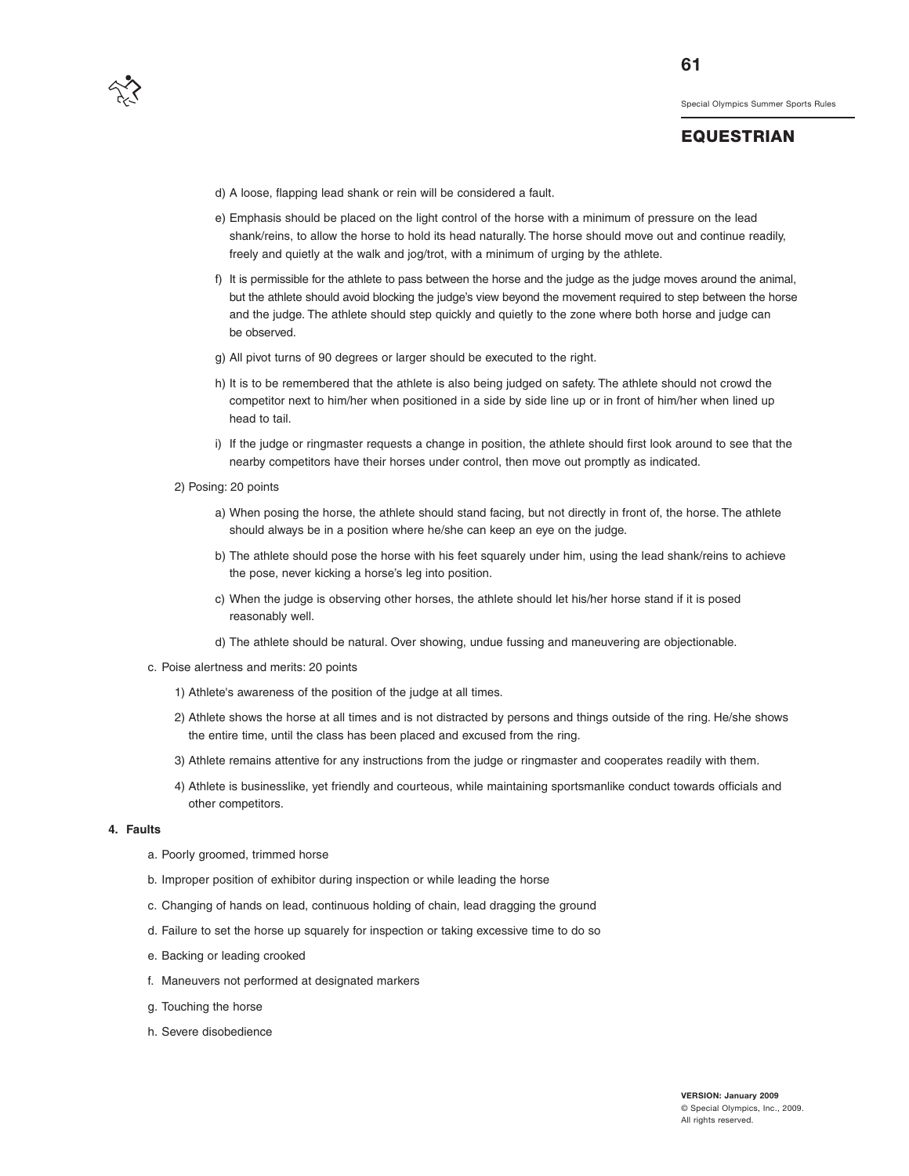

**61**

- d) A loose, flapping lead shank or rein will be considered a fault.
- e) Emphasis should be placed on the light control of the horse with a minimum of pressure on the lead shank/reins, to allow the horse to hold its head naturally. The horse should move out and continue readily, freely and quietly at the walk and jog/trot, with a minimum of urging by the athlete.
- f) It is permissible for the athlete to pass between the horse and the judge as the judge moves around the animal, but the athlete should avoid blocking the judge's view beyond the movement required to step between the horse and the judge. The athlete should step quickly and quietly to the zone where both horse and judge can be observed.
- g) All pivot turns of 90 degrees or larger should be executed to the right.
- h) It is to be remembered that the athlete is also being judged on safety. The athlete should not crowd the competitor next to him/her when positioned in a side by side line up or in front of him/her when lined up head to tail.
- i) If the judge or ringmaster requests a change in position, the athlete should first look around to see that the nearby competitors have their horses under control, then move out promptly as indicated.
- 2) Posing: 20 points
	- a) When posing the horse, the athlete should stand facing, but not directly in front of, the horse. The athlete should always be in a position where he/she can keep an eye on the judge.
	- b) The athlete should pose the horse with his feet squarely under him, using the lead shank/reins to achieve the pose, never kicking a horse's leg into position.
	- c) When the judge is observing other horses, the athlete should let his/her horse stand if it is posed reasonably well.
	- d) The athlete should be natural. Over showing, undue fussing and maneuvering are objectionable.
- c. Poise alertness and merits: 20 points
	- 1) Athlete's awareness of the position of the judge at all times.
	- 2) Athlete shows the horse at all times and is not distracted by persons and things outside of the ring. He/she shows the entire time, until the class has been placed and excused from the ring.
	- 3) Athlete remains attentive for any instructions from the judge or ringmaster and cooperates readily with them.
	- 4) Athlete is businesslike, yet friendly and courteous, while maintaining sportsmanlike conduct towards officials and other competitors.

#### **4. Faults**

- a. Poorly groomed, trimmed horse
- b. Improper position of exhibitor during inspection or while leading the horse
- c. Changing of hands on lead, continuous holding of chain, lead dragging the ground
- d. Failure to set the horse up squarely for inspection or taking excessive time to do so
- e. Backing or leading crooked
- f. Maneuvers not performed at designated markers
- g. Touching the horse
- h. Severe disobedience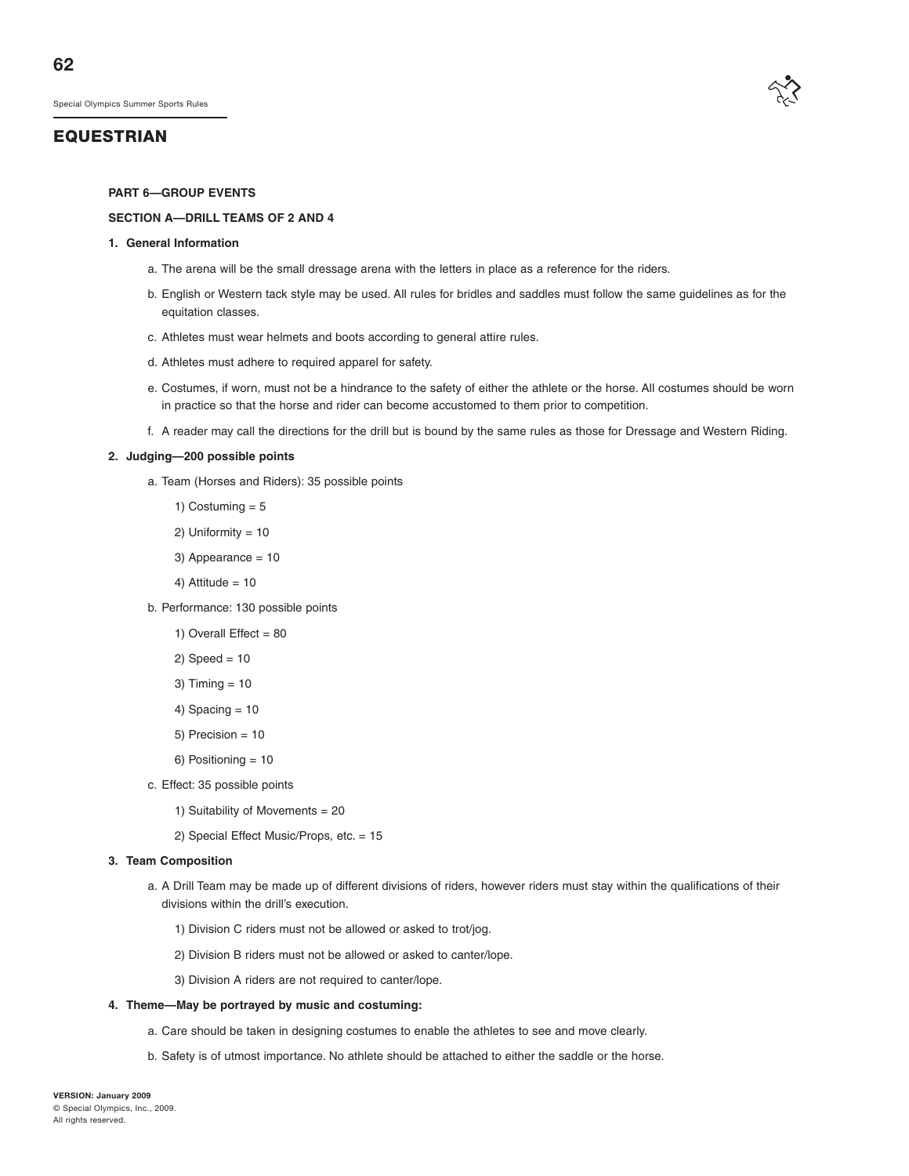#### **EQUESTRIAN**

#### **PART 6—GROUP EVENTS**

#### **SECTION A—DRILL TEAMS OF 2 AND 4**

#### **1. General Information**

- a. The arena will be the small dressage arena with the letters in place as a reference for the riders.
- b. English or Western tack style may be used. All rules for bridles and saddles must follow the same guidelines as for the equitation classes.
- c. Athletes must wear helmets and boots according to general attire rules.
- d. Athletes must adhere to required apparel for safety.
- e. Costumes, if worn, must not be a hindrance to the safety of either the athlete or the horse. All costumes should be worn in practice so that the horse and rider can become accustomed to them prior to competition.
- f. A reader may call the directions for the drill but is bound by the same rules as those for Dressage and Western Riding.

#### **2. Judging—200 possible points**

- a. Team (Horses and Riders): 35 possible points
	- 1) Costuming  $= 5$
	- 2) Uniformity = 10
	- 3) Appearance = 10
	- 4) Attitude =  $10$
- b. Performance: 130 possible points
	- 1) Overall Effect  $= 80$
	- $2)$  Speed = 10
	- 3) Timing = 10
	- 4) Spacing  $= 10$
	- 5) Precision = 10
	- 6) Positioning = 10
- c. Effect: 35 possible points
	- 1) Suitability of Movements = 20
	- 2) Special Effect Music/Props, etc. = 15

#### **3. Team Composition**

- a. A Drill Team may be made up of different divisions of riders, however riders must stay within the qualifications of their divisions within the drill's execution.
	- 1) Division C riders must not be allowed or asked to trot/jog.
	- 2) Division B riders must not be allowed or asked to canter/lope.
	- 3) Division A riders are not required to canter/lope.

#### **4. Theme—May be portrayed by music and costuming:**

- a. Care should be taken in designing costumes to enable the athletes to see and move clearly.
- b. Safety is of utmost importance. No athlete should be attached to either the saddle or the horse.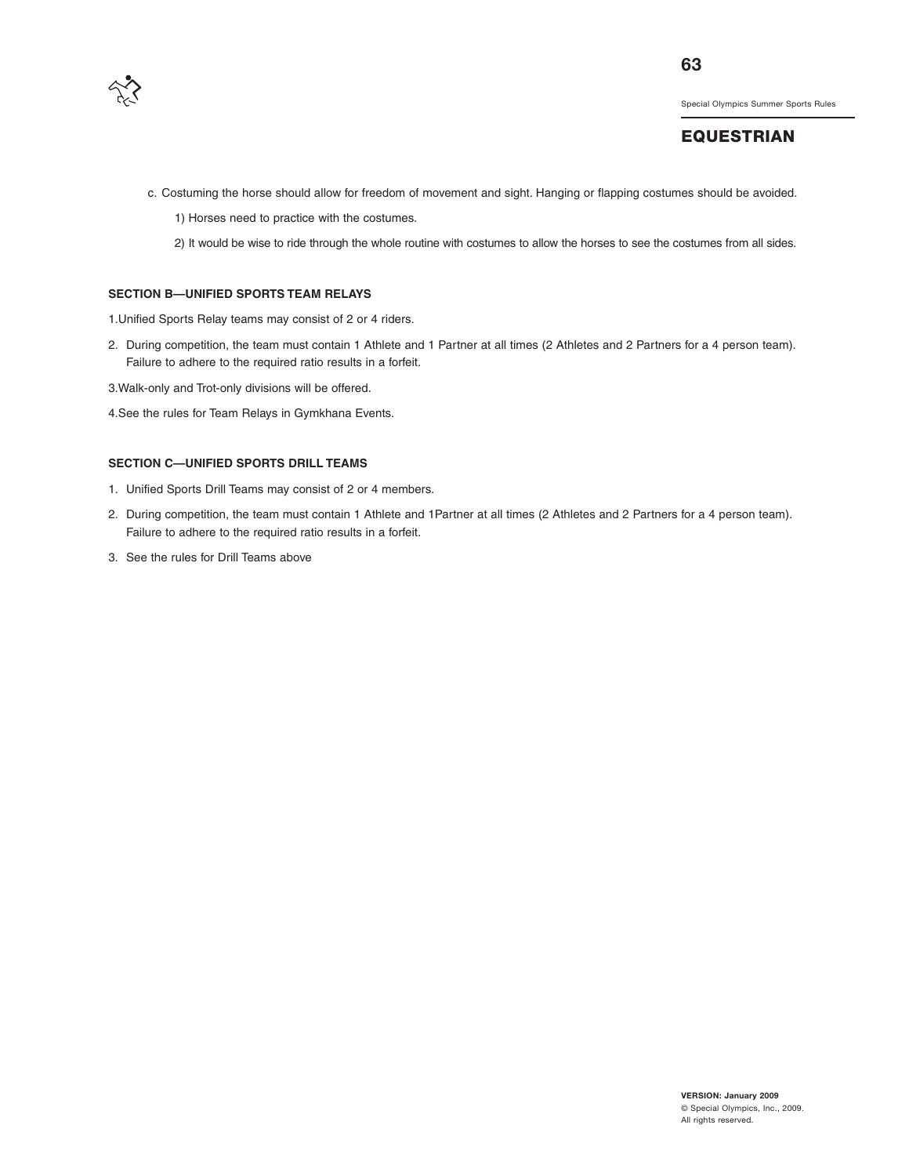

## **EQUESTRIAN**

- c. Costuming the horse should allow for freedom of movement and sight. Hanging or flapping costumes should be avoided.
	- 1) Horses need to practice with the costumes.
	- 2) It would be wise to ride through the whole routine with costumes to allow the horses to see the costumes from all sides.

#### **SECTION B—UNIFIED SPORTS TEAM RELAYS**

1.Unified Sports Relay teams may consist of 2 or 4 riders.

- 2. During competition, the team must contain 1 Athlete and 1 Partner at all times (2 Athletes and 2 Partners for a 4 person team). Failure to adhere to the required ratio results in a forfeit.
- 3.Walk-only and Trot-only divisions will be offered.
- 4.See the rules for Team Relays in Gymkhana Events.

#### **SECTION C—UNIFIED SPORTS DRILL TEAMS**

- 1. Unified Sports Drill Teams may consist of 2 or 4 members.
- 2. During competition, the team must contain 1 Athlete and 1Partner at all times (2 Athletes and 2 Partners for a 4 person team). Failure to adhere to the required ratio results in a forfeit.
- 3. See the rules for Drill Teams above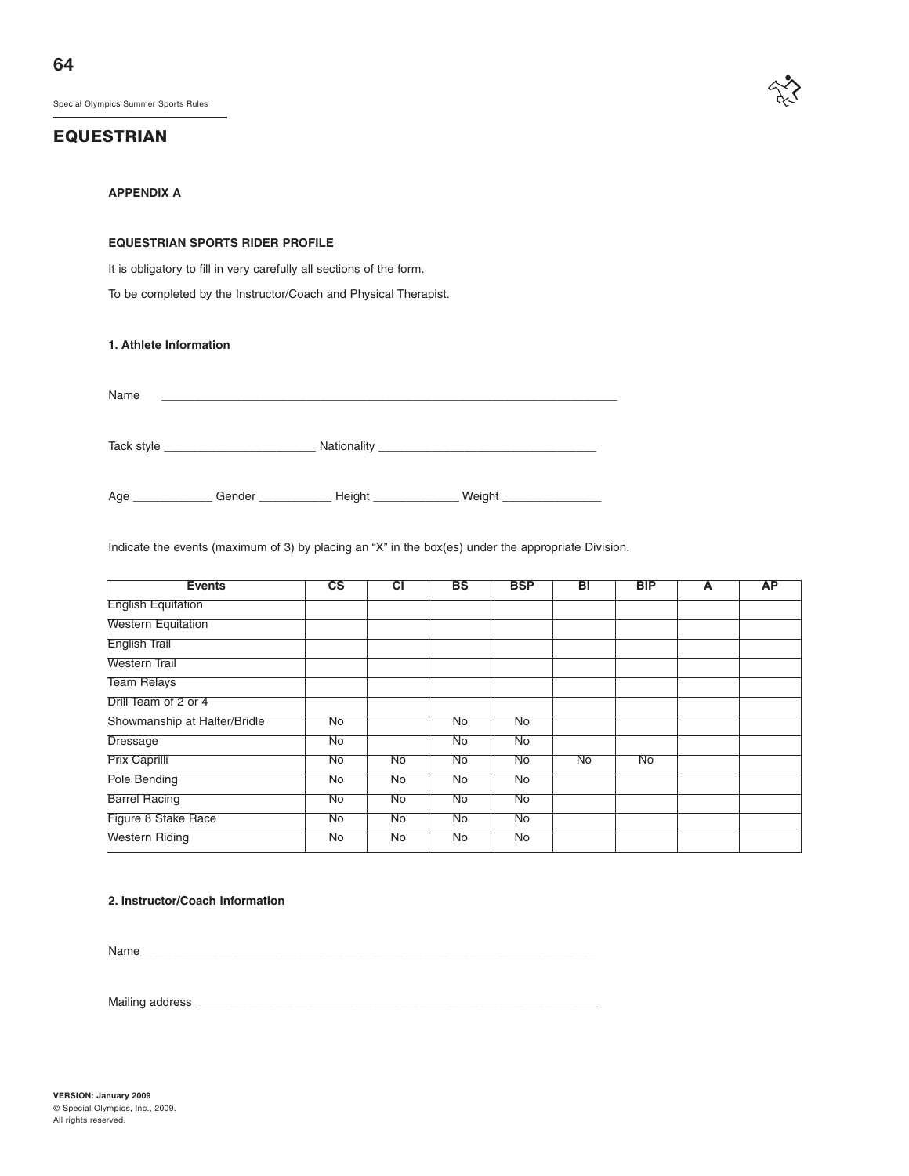**64**

Special Olympics Summer Sports Rules

#### **EQUESTRIAN**



#### **APPENDIX A**

#### **EQUESTRIAN SPORTS RIDER PROFILE**

It is obligatory to fill in very carefully all sections of the form.

To be completed by the Instructor/Coach and Physical Therapist.

**1. Athlete Information**

Name \_\_\_\_\_\_\_\_\_\_\_\_\_\_\_\_\_\_\_\_\_\_\_\_\_\_\_\_\_\_\_\_\_\_\_\_\_\_\_\_\_\_\_\_\_\_\_\_\_\_\_\_\_\_\_\_\_\_\_\_\_\_\_\_\_\_\_\_\_

Tack style \_\_\_\_\_\_\_\_\_\_\_\_\_\_\_\_\_\_\_\_\_\_\_ Nationality \_\_\_\_\_\_\_\_\_\_\_\_\_\_\_\_\_\_\_\_\_\_\_\_\_\_\_\_\_\_\_\_\_

Age \_\_\_\_\_\_\_\_\_\_\_\_\_\_\_Gender \_\_\_\_\_\_\_\_\_\_\_\_\_\_\_\_Height \_\_\_\_\_\_\_\_\_\_\_\_\_\_\_\_\_ Weight \_\_\_\_\_\_

Indicate the events (maximum of 3) by placing an "X" in the box(es) under the appropriate Division.

| <b>Events</b>                | $\overline{\text{cs}}$ | टा        | <b>BS</b> | <b>BSP</b>      | ΒТ | <b>BIP</b> | А | <b>AP</b> |
|------------------------------|------------------------|-----------|-----------|-----------------|----|------------|---|-----------|
| <b>English Equitation</b>    |                        |           |           |                 |    |            |   |           |
| <b>Western Equitation</b>    |                        |           |           |                 |    |            |   |           |
| <b>English Trail</b>         |                        |           |           |                 |    |            |   |           |
| Western Trail                |                        |           |           |                 |    |            |   |           |
| <b>Team Relays</b>           |                        |           |           |                 |    |            |   |           |
| Drill Team of 2 or 4         |                        |           |           |                 |    |            |   |           |
| Showmanship at Halter/Bridle | $N\sigma$              |           | No        | No              |    |            |   |           |
| <b>Dressage</b>              | $\overline{No}$        |           | No        | No              |    |            |   |           |
| <b>Prix Caprilli</b>         | No                     | No        | <b>No</b> | No              | No | <b>No</b>  |   |           |
| Pole Bending                 | <b>No</b>              | <b>No</b> | <b>No</b> | $\overline{No}$ |    |            |   |           |
| <b>Barrel Racing</b>         | No                     | No        | No        | No              |    |            |   |           |
| Figure 8 Stake Race          | No                     | No        | No        | No              |    |            |   |           |
| <b>Western Riding</b>        | No                     | No        | No        | No              |    |            |   |           |

#### **2. Instructor/Coach Information**

Name\_\_\_\_\_\_\_\_\_\_\_\_\_\_\_\_\_\_\_\_\_\_\_\_\_\_\_\_\_\_\_\_\_\_\_\_\_\_\_\_\_\_\_\_\_\_\_\_\_\_\_\_\_\_\_\_\_\_\_\_\_\_\_\_\_\_\_\_\_

Mailing address \_\_\_\_\_\_\_\_\_\_\_\_\_\_\_\_\_\_\_\_\_\_\_\_\_\_\_\_\_\_\_\_\_\_\_\_\_\_\_\_\_\_\_\_\_\_\_\_\_\_\_\_\_\_\_\_\_\_\_\_\_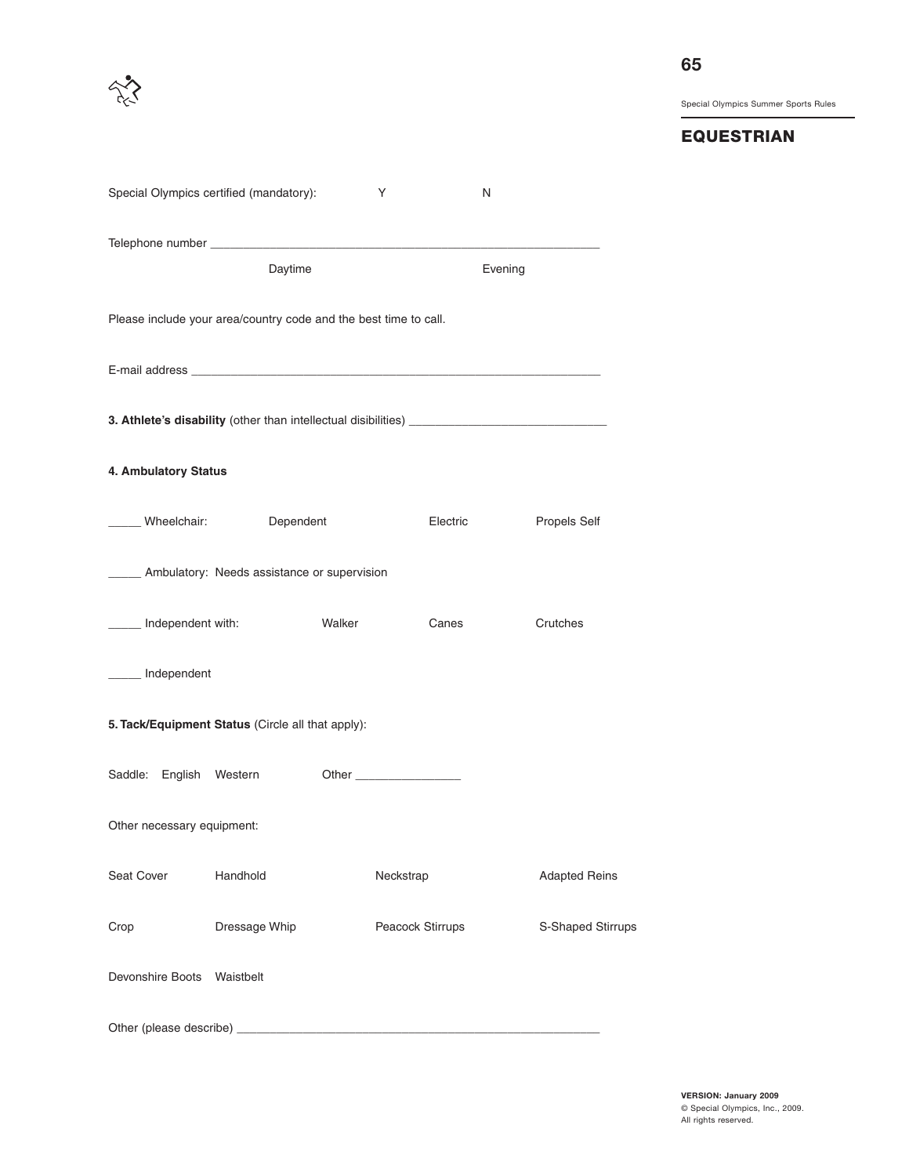# **EQUESTRIAN**

|                            | Special Olympics certified (mandatory):                                                                                                                                                                                       |        | Y                | N       |                      |  |  |  |
|----------------------------|-------------------------------------------------------------------------------------------------------------------------------------------------------------------------------------------------------------------------------|--------|------------------|---------|----------------------|--|--|--|
|                            | Daytime                                                                                                                                                                                                                       |        |                  | Evening |                      |  |  |  |
|                            | Please include your area/country code and the best time to call.                                                                                                                                                              |        |                  |         |                      |  |  |  |
|                            |                                                                                                                                                                                                                               |        |                  |         |                      |  |  |  |
|                            | 3. Athlete's disability (other than intellectual disibilities) [14] Decree and the set of the set of the set of the set of the set of the set of the set of the set of the set of the set of the set of the set of the set of |        |                  |         |                      |  |  |  |
| 4. Ambulatory Status       |                                                                                                                                                                                                                               |        |                  |         |                      |  |  |  |
| Wheelchair:                | Dependent                                                                                                                                                                                                                     |        | Electric         |         | Propels Self         |  |  |  |
|                            | ____ Ambulatory: Needs assistance or supervision                                                                                                                                                                              |        |                  |         |                      |  |  |  |
| _____ Independent with:    |                                                                                                                                                                                                                               | Walker | Canes            |         | Crutches             |  |  |  |
| _____ Independent          |                                                                                                                                                                                                                               |        |                  |         |                      |  |  |  |
|                            | 5. Tack/Equipment Status (Circle all that apply):                                                                                                                                                                             |        |                  |         |                      |  |  |  |
| Saddle: English Western    |                                                                                                                                                                                                                               |        |                  |         |                      |  |  |  |
| Other necessary equipment: |                                                                                                                                                                                                                               |        |                  |         |                      |  |  |  |
| Seat Cover                 | Handhold                                                                                                                                                                                                                      |        | Neckstrap        |         | <b>Adapted Reins</b> |  |  |  |
| Crop                       | Dressage Whip                                                                                                                                                                                                                 |        | Peacock Stirrups |         | S-Shaped Stirrups    |  |  |  |
| Devonshire Boots Waistbelt |                                                                                                                                                                                                                               |        |                  |         |                      |  |  |  |
|                            |                                                                                                                                                                                                                               |        |                  |         |                      |  |  |  |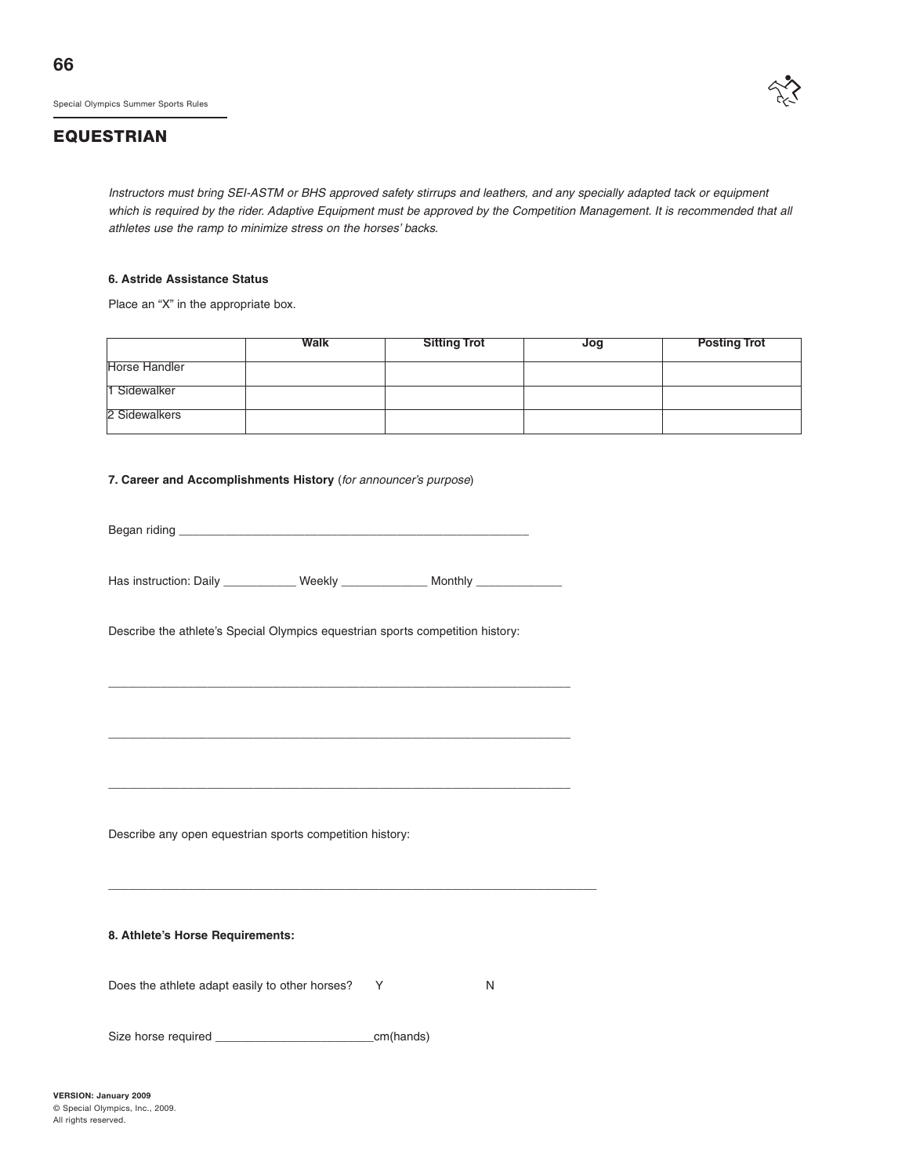# **EQUESTRIAN**

Instructors must bring SEI-ASTM or BHS approved safety stirrups and leathers, and any specially adapted tack or equipment which is required by the rider. Adaptive Equipment must be approved by the Competition Management. It is recommended that all athletes use the ramp to minimize stress on the horses' backs.

#### **6. Astride Assistance Status**

Place an "X" in the appropriate box.

|                      | <b>Walk</b> | <b>Sitting Trot</b> | Jog | <b>Posting Trot</b> |
|----------------------|-------------|---------------------|-----|---------------------|
| <b>Horse Handler</b> |             |                     |     |                     |
| 1 Sidewalker         |             |                     |     |                     |
| 2 Sidewalkers        |             |                     |     |                     |

#### **7. Career and Accomplishments History** (for announcer's purpose)

Began riding \_

Has instruction: Daily \_\_\_\_\_\_\_\_\_\_\_\_ Weekly \_\_\_\_\_\_\_\_\_\_\_\_\_ Monthly \_

\_\_\_\_\_\_\_\_\_\_\_\_\_\_\_\_\_\_\_\_\_\_\_\_\_\_\_\_\_\_\_\_\_\_\_\_\_\_\_\_\_\_\_\_\_\_\_\_\_\_\_\_\_\_\_\_\_\_\_\_\_\_\_\_\_\_\_\_\_\_

\_\_\_\_\_\_\_\_\_\_\_\_\_\_\_\_\_\_\_\_\_\_\_\_\_\_\_\_\_\_\_\_\_\_\_\_\_\_\_\_\_\_\_\_\_\_\_\_\_\_\_\_\_\_\_\_\_\_\_\_\_\_\_\_\_\_\_\_\_\_

\_\_\_\_\_\_\_\_\_\_\_\_\_\_\_\_\_\_\_\_\_\_\_\_\_\_\_\_\_\_\_\_\_\_\_\_\_\_\_\_\_\_\_\_\_\_\_\_\_\_\_\_\_\_\_\_\_\_\_\_\_\_\_\_\_\_\_\_\_\_

\_\_\_\_\_\_\_\_\_\_\_\_\_\_\_\_\_\_\_\_\_\_\_\_\_\_\_\_\_\_\_\_\_\_\_\_\_\_\_\_\_\_\_\_\_\_\_\_\_\_\_\_\_\_\_\_\_\_\_\_\_\_\_\_\_\_\_\_\_\_\_\_\_\_

Describe the athlete's Special Olympics equestrian sports competition history:

Describe any open equestrian sports competition history:

**8. Athlete's Horse Requirements:**

Does the athlete adapt easily to other horses? Y N

Size horse required \_\_\_\_\_\_\_\_\_\_\_\_\_\_\_\_\_\_\_\_\_\_\_\_cm(hands)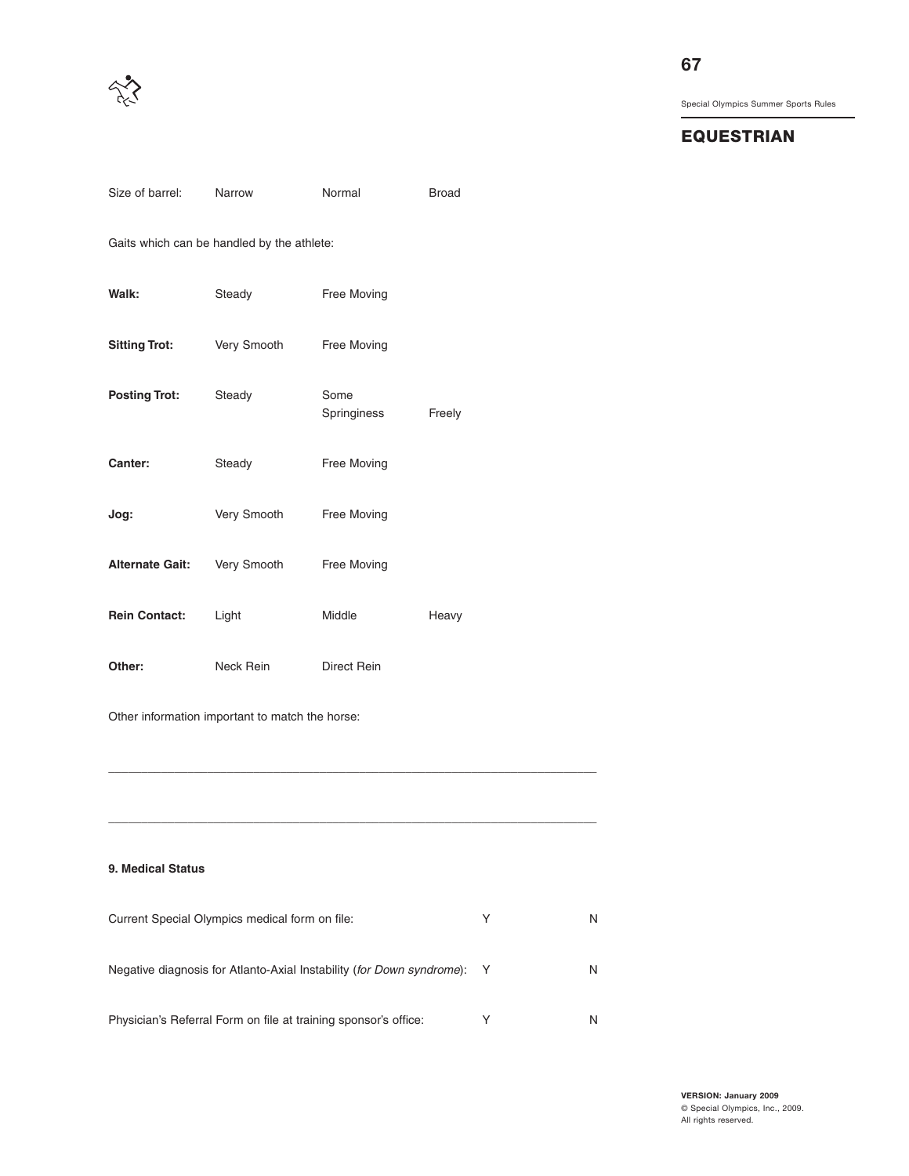

# **67**

Special Olympics Summer Sports Rules

# **EQUESTRIAN**

| Size of barrel:                                                       | Narrow                                          | Normal                                                          | <b>Broad</b> |   |   |
|-----------------------------------------------------------------------|-------------------------------------------------|-----------------------------------------------------------------|--------------|---|---|
|                                                                       | Gaits which can be handled by the athlete:      |                                                                 |              |   |   |
| Walk:                                                                 | Steady                                          | Free Moving                                                     |              |   |   |
| <b>Sitting Trot:</b>                                                  | Very Smooth                                     | Free Moving                                                     |              |   |   |
| <b>Posting Trot:</b>                                                  | Steady                                          | Some<br>Springiness                                             | Freely       |   |   |
| Canter:                                                               | Steady                                          | Free Moving                                                     |              |   |   |
| Jog:                                                                  | Very Smooth                                     | Free Moving                                                     |              |   |   |
| <b>Alternate Gait:</b>                                                | Very Smooth                                     | Free Moving                                                     |              |   |   |
| <b>Rein Contact:</b>                                                  | Light                                           | Middle                                                          | Heavy        |   |   |
| Other:                                                                | Neck Rein                                       | Direct Rein                                                     |              |   |   |
|                                                                       | Other information important to match the horse: |                                                                 |              |   |   |
|                                                                       |                                                 |                                                                 |              |   |   |
|                                                                       |                                                 |                                                                 |              |   |   |
| 9. Medical Status                                                     |                                                 |                                                                 |              |   |   |
| Current Special Olympics medical form on file:                        |                                                 |                                                                 |              | Υ | N |
| Negative diagnosis for Atlanto-Axial Instability (for Down syndrome): |                                                 |                                                                 |              | Y | N |
|                                                                       |                                                 | Physician's Referral Form on file at training sponsor's office: |              | Y | N |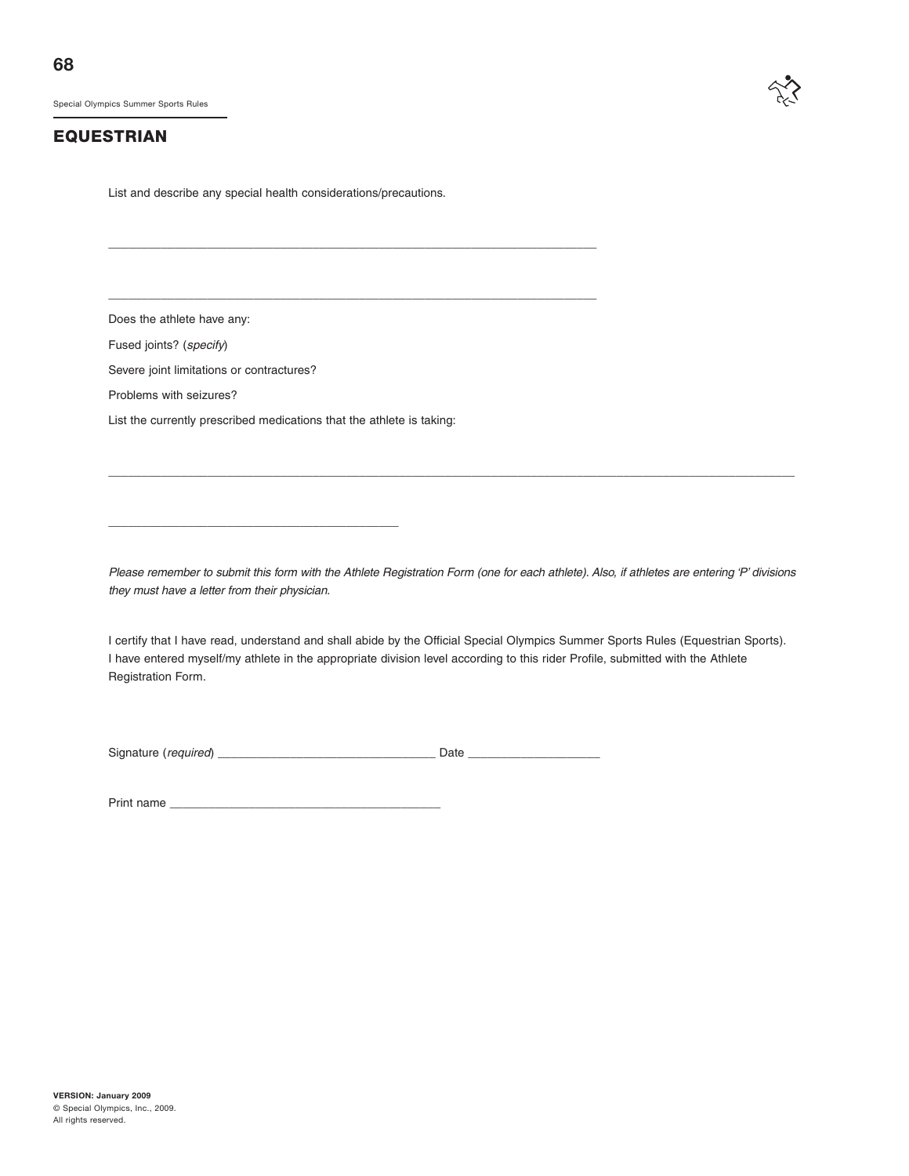# **EQUESTRIAN**

List and describe any special health considerations/precautions.

\_\_\_\_\_\_\_\_\_\_\_\_\_\_\_\_\_\_\_\_\_\_\_\_\_\_\_\_\_\_\_\_\_\_\_\_\_\_\_\_\_\_\_\_\_\_\_\_\_\_\_\_\_\_\_\_\_\_\_\_\_\_\_\_\_\_\_\_\_\_\_\_\_\_

\_\_\_\_\_\_\_\_\_\_\_\_\_\_\_\_\_\_\_\_\_\_\_\_\_\_\_\_\_\_\_\_\_\_\_\_\_\_\_\_\_\_\_\_\_\_\_\_\_\_\_\_\_\_\_\_\_\_\_\_\_\_\_\_\_\_\_\_\_\_\_\_\_\_

Does the athlete have any:

Fused joints? (specify)

Severe joint limitations or contractures?

Problems with seizures?

List the currently prescribed medications that the athlete is taking:

\_\_\_\_\_\_\_\_\_\_\_\_\_\_\_\_\_\_\_\_\_\_\_\_\_\_\_\_\_\_\_\_\_\_\_\_\_\_\_\_\_\_\_\_

Please remember to submit this form with the Athlete Registration Form (one for each athlete). Also, if athletes are entering 'P' divisions they must have a letter from their physician.

\_\_\_\_\_\_\_\_\_\_\_\_\_\_\_\_\_\_\_\_\_\_\_\_\_\_\_\_\_\_\_\_\_\_\_\_\_\_\_\_\_\_\_\_\_\_\_\_\_\_\_\_\_\_\_\_\_\_\_\_\_\_\_\_\_\_\_\_\_\_\_\_\_\_\_\_\_\_\_\_\_\_\_\_\_\_\_\_\_\_\_\_\_\_\_\_\_\_\_\_\_\_\_\_

I certify that I have read, understand and shall abide by the Official Special Olympics Summer Sports Rules (Equestrian Sports). I have entered myself/my athlete in the appropriate division level according to this rider Profile, submitted with the Athlete Registration Form.

Signature (required) \_\_\_\_\_\_\_\_\_\_\_\_\_\_\_\_\_\_\_\_\_\_\_\_\_\_\_\_\_\_\_\_\_ Date \_\_\_\_\_\_\_\_\_\_\_\_\_\_\_\_\_\_\_\_

Print name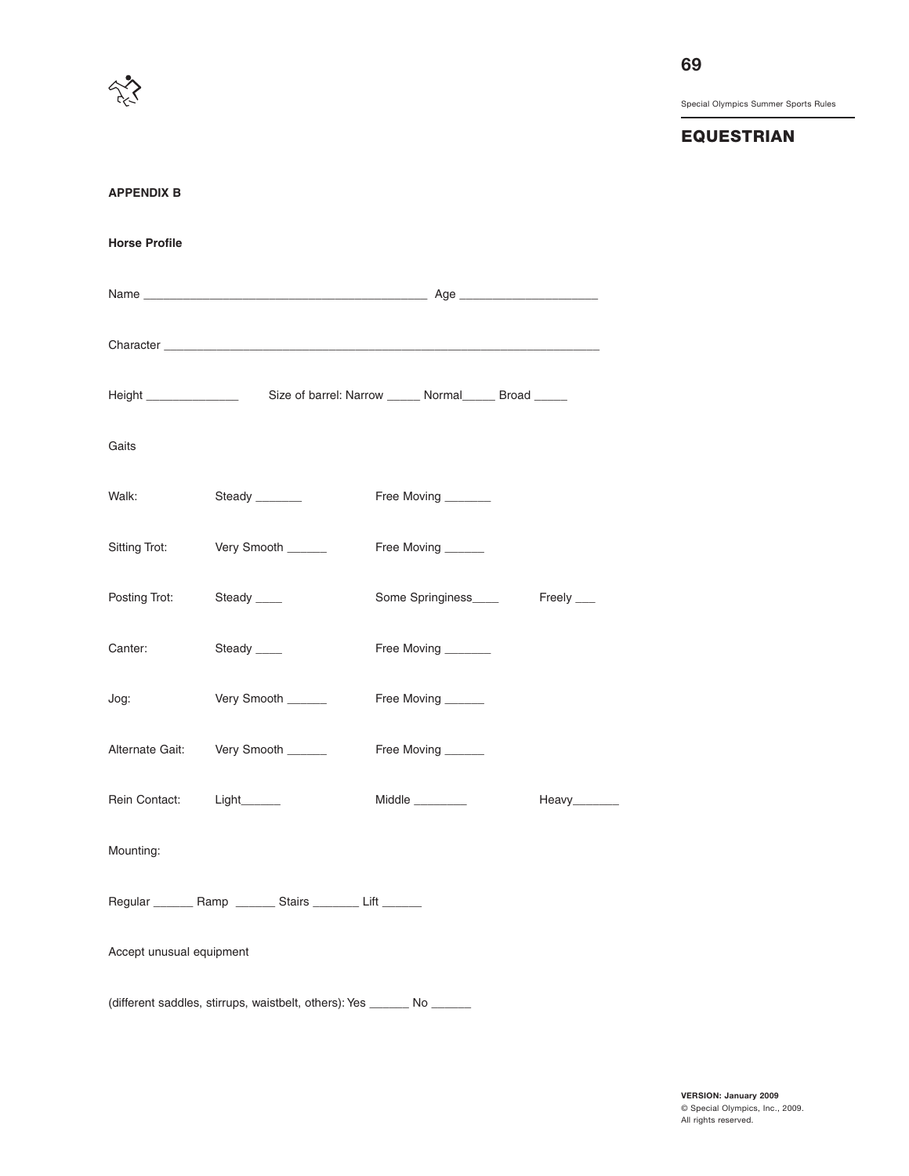

**EQUESTRIAN**

| <b>APPENDIX B</b>        |                                                                         |                      |               |
|--------------------------|-------------------------------------------------------------------------|----------------------|---------------|
| <b>Horse Profile</b>     |                                                                         |                      |               |
|                          |                                                                         |                      |               |
|                          |                                                                         |                      |               |
|                          |                                                                         |                      |               |
| Gaits                    |                                                                         |                      |               |
| Walk:                    | Steady _______                                                          | Free Moving _______  |               |
| Sitting Trot:            | Very Smooth _____                                                       | Free Moving _____    |               |
| Posting Trot:            | Steady ____                                                             | Some Springiness____ | Freely ___    |
| Canter:                  | Steady ____                                                             | Free Moving ______   |               |
| Jog:                     | Very Smooth _____                                                       | Free Moving ______   |               |
|                          | Alternate Gait: Very Smooth ______                                      | Free Moving ______   |               |
| Rein Contact:            | Light_______                                                            | Middle $\_\_$        | Heavy________ |
| Mounting:                |                                                                         |                      |               |
|                          | Regular _________ Ramp _________ Stairs _________ Lift _______          |                      |               |
| Accept unusual equipment |                                                                         |                      |               |
|                          | (different saddles, stirrups, waistbelt, others): Yes _______ No ______ |                      |               |